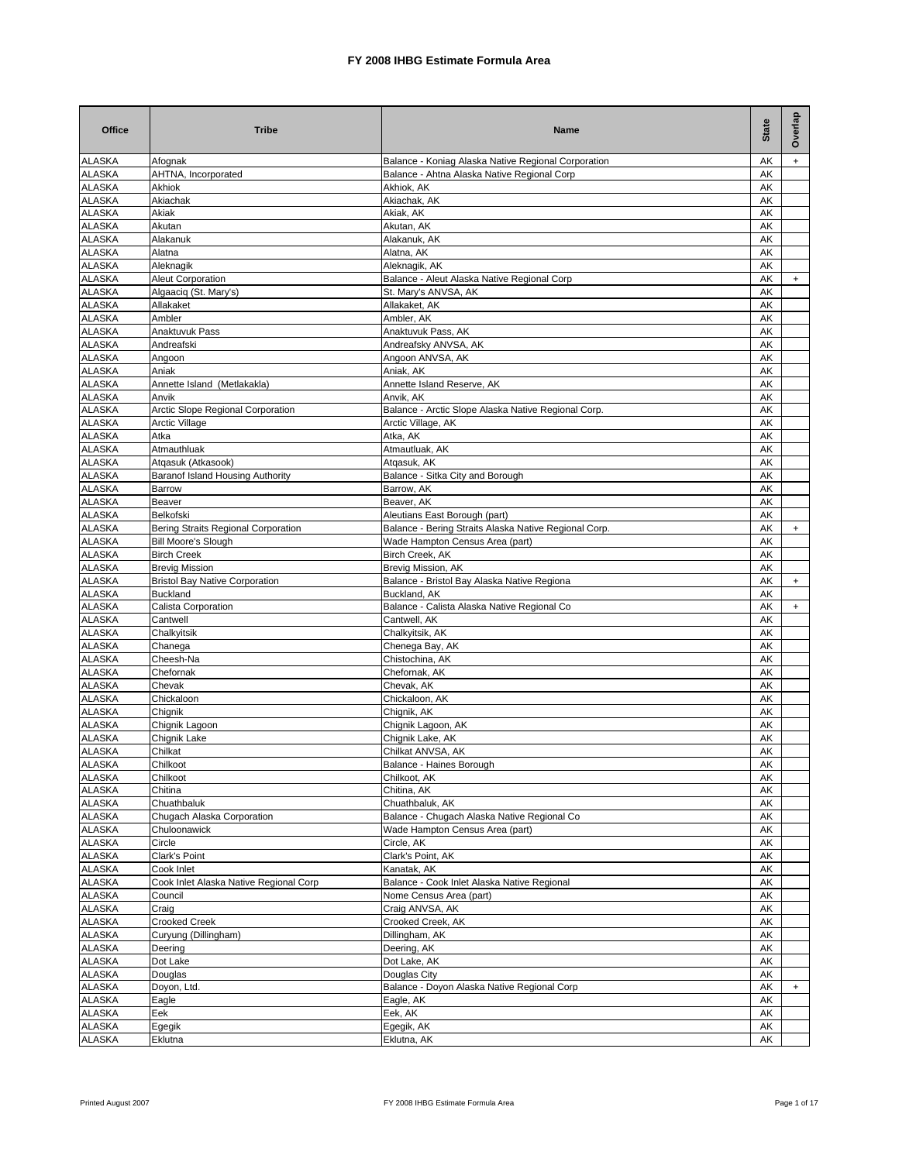| <b>ALASKA</b><br>Balance - Koniag Alaska Native Regional Corporation<br>AK<br>Afognak<br>$+$<br><b>ALASKA</b><br>AHTNA, Incorporated<br>Balance - Ahtna Alaska Native Regional Corp<br>AK<br><b>ALASKA</b><br>Akhiok, AK<br>AK<br>Akhiok<br><b>ALASKA</b><br>Akiachak<br>Akiachak, AK<br>AK<br><b>ALASKA</b><br>Akiak<br>Akiak, AK<br>AK<br><b>ALASKA</b><br>AK<br>Akutan<br>Akutan, AK<br><b>ALASKA</b><br>AK<br>Alakanuk<br>Alakanuk, AK<br><b>ALASKA</b><br>Alatna<br>Alatna, AK<br>AK<br><b>ALASKA</b><br>Aleknagik, AK<br>AK<br>Aleknagik<br><b>ALASKA</b><br>Aleut Corporation<br>Balance - Aleut Alaska Native Regional Corp<br>AΚ<br>$\ddot{}$<br><b>ALASKA</b><br>Algaaciq (St. Mary's)<br>St. Mary's ANVSA, AK<br>AK<br><b>ALASKA</b><br>Allakaket<br>Allakaket, AK<br>AΚ<br><b>ALASKA</b><br>Ambler<br>Ambler, AK<br>AK<br><b>ALASKA</b><br>Anaktuvuk Pass<br>Anaktuvuk Pass, AK<br>AK<br><b>ALASKA</b><br>Andreafski<br>Andreafsky ANVSA, AK<br>AK<br><b>ALASKA</b><br>Angoon<br>Angoon ANVSA, AK<br>AK<br><b>ALASKA</b><br>Aniak, AK<br>Aniak<br>AΚ<br><b>ALASKA</b><br>AK<br>Annette Island (Metlakakla)<br>Annette Island Reserve, AK<br><b>ALASKA</b><br>Anvik, AK<br>Anvik<br>AK<br><b>ALASKA</b><br>AK<br>Arctic Slope Regional Corporation<br>Balance - Arctic Slope Alaska Native Regional Corp.<br><b>ALASKA</b><br>Arctic Village, AK<br>AK<br><b>Arctic Village</b><br>Atka, AK<br><b>ALASKA</b><br>Atka<br>AK<br><b>ALASKA</b><br>Atmauthluak<br>Atmautluak, AK<br>AΚ<br><b>ALASKA</b><br>Atqasuk (Atkasook)<br>Atgasuk, AK<br>AK<br><b>ALASKA</b><br>Baranof Island Housing Authority<br>Balance - Sitka City and Borough<br>AΚ<br><b>ALASKA</b><br><b>Barrow</b><br>Barrow, AK<br>AΚ<br><b>ALASKA</b><br>Beaver<br>Beaver, AK<br>AK<br><b>ALASKA</b><br>Aleutians East Borough (part)<br>Belkofski<br>AK<br><b>ALASKA</b><br>Bering Straits Regional Corporation<br>Balance - Bering Straits Alaska Native Regional Corp.<br>AK<br>$+$<br><b>ALASKA</b><br><b>Bill Moore's Slough</b><br>AK<br>Wade Hampton Census Area (part)<br>Birch Creek, AK<br><b>ALASKA</b><br><b>Birch Creek</b><br>AK<br><b>ALASKA</b><br><b>Brevig Mission</b><br>Brevig Mission, AK<br>AK<br><b>ALASKA</b><br><b>Bristol Bay Native Corporation</b><br>Balance - Bristol Bay Alaska Native Regiona<br>AK<br>$+$<br><b>ALASKA</b><br>AK<br><b>Buckland</b><br>Buckland, AK<br><b>ALASKA</b><br>Calista Corporation<br>Balance - Calista Alaska Native Regional Co<br>AK<br>$+$<br><b>ALASKA</b><br>Cantwell<br>Cantwell, AK<br>AΚ<br><b>ALASKA</b><br>Chalkyitsik, AK<br>Chalkyitsik<br>AK<br><b>ALASKA</b><br>Chanega<br>Chenega Bay, AK<br>AK<br><b>ALASKA</b><br>Chistochina, AK<br>Cheesh-Na<br>AK<br><b>ALASKA</b><br>Chefornak, AK<br>Chefornak<br>AK<br><b>ALASKA</b><br>Chevak, AK<br>AK<br>Chevak<br><b>ALASKA</b><br>Chickaloon, AK<br>AK<br>Chickaloon<br><b>ALASKA</b><br>Chignik, AK<br>AK<br>Chignik<br><b>ALASKA</b><br>Chignik Lagoon, AK<br>AK<br>Chignik Lagoon<br><b>ALASKA</b><br>Chignik Lake<br>Chignik Lake, AK<br>AK<br><b>ALASKA</b><br>Chilkat ANVSA, AK<br>AK<br>Chilkat<br>Chilkoot<br>Balance - Haines Borough<br>AK<br><b>ALASKA</b><br><b>ALASKA</b><br>Chilkoot<br>Chilkoot, AK<br>АK<br><b>ALASKA</b><br>Chitina, AK<br>Chitina<br>AK<br><b>ALASKA</b><br>Chuathbaluk, AK<br>Chuathbaluk<br>АK<br><b>ALASKA</b><br>Chugach Alaska Corporation<br>Balance - Chugach Alaska Native Regional Co<br>AK<br><b>ALASKA</b><br>Wade Hampton Census Area (part)<br>АK<br>Chuloonawick<br><b>ALASKA</b><br>Circle<br>Circle, AK<br>АK<br><b>ALASKA</b><br>Clark's Point<br>Clark's Point, AK<br>AK<br><b>ALASKA</b><br>AK<br>Cook Inlet<br>Kanatak, AK<br><b>ALASKA</b><br>AK<br>Cook Inlet Alaska Native Regional Corp<br>Balance - Cook Inlet Alaska Native Regional<br><b>ALASKA</b><br>AK<br>Council<br>Nome Census Area (part)<br><b>ALASKA</b><br>Craig ANVSA, AK<br>AK<br>Craig<br><b>ALASKA</b><br><b>Crooked Creek</b><br>Crooked Creek, AK<br>AK<br><b>ALASKA</b><br>Curyung (Dillingham)<br>AK<br>Dillingham, AK<br><b>ALASKA</b><br>Deering, AK<br>Deering<br>АK<br><b>ALASKA</b><br>Dot Lake, AK<br>AK<br>Dot Lake<br><b>ALASKA</b><br>Douglas City<br>Douglas<br>АK<br><b>ALASKA</b><br>AK<br>Doyon, Ltd.<br>Balance - Doyon Alaska Native Regional Corp<br>$\ddot{}$<br><b>ALASKA</b><br>Eagle<br>Eagle, AK<br>АK<br><b>ALASKA</b><br>Eek<br>Eek, AK<br>AK<br><b>ALASKA</b><br>Egegik<br>Egegik, AK<br>АK | <b>Office</b> | <b>Tribe</b> | Name        | State | Overlap |
|-----------------------------------------------------------------------------------------------------------------------------------------------------------------------------------------------------------------------------------------------------------------------------------------------------------------------------------------------------------------------------------------------------------------------------------------------------------------------------------------------------------------------------------------------------------------------------------------------------------------------------------------------------------------------------------------------------------------------------------------------------------------------------------------------------------------------------------------------------------------------------------------------------------------------------------------------------------------------------------------------------------------------------------------------------------------------------------------------------------------------------------------------------------------------------------------------------------------------------------------------------------------------------------------------------------------------------------------------------------------------------------------------------------------------------------------------------------------------------------------------------------------------------------------------------------------------------------------------------------------------------------------------------------------------------------------------------------------------------------------------------------------------------------------------------------------------------------------------------------------------------------------------------------------------------------------------------------------------------------------------------------------------------------------------------------------------------------------------------------------------------------------------------------------------------------------------------------------------------------------------------------------------------------------------------------------------------------------------------------------------------------------------------------------------------------------------------------------------------------------------------------------------------------------------------------------------------------------------------------------------------------------------------------------------------------------------------------------------------------------------------------------------------------------------------------------------------------------------------------------------------------------------------------------------------------------------------------------------------------------------------------------------------------------------------------------------------------------------------------------------------------------------------------------------------------------------------------------------------------------------------------------------------------------------------------------------------------------------------------------------------------------------------------------------------------------------------------------------------------------------------------------------------------------------------------------------------------------------------------------------------------------------------------------------------------------------------------------------------------------------------------------------------------------------------------------------------------------------------------------------------------------------------------------------------------------------------------------------------------------------------------------------------------------------------------------------------------------------------------------------------------------------------------------------------------------------------------------------------------------------------------------------------------------------------------------------------------------------------------------------------------------------------------------------------------------------------|---------------|--------------|-------------|-------|---------|
|                                                                                                                                                                                                                                                                                                                                                                                                                                                                                                                                                                                                                                                                                                                                                                                                                                                                                                                                                                                                                                                                                                                                                                                                                                                                                                                                                                                                                                                                                                                                                                                                                                                                                                                                                                                                                                                                                                                                                                                                                                                                                                                                                                                                                                                                                                                                                                                                                                                                                                                                                                                                                                                                                                                                                                                                                                                                                                                                                                                                                                                                                                                                                                                                                                                                                                                                                                                                                                                                                                                                                                                                                                                                                                                                                                                                                                                                                                                                                                                                                                                                                                                                                                                                                                                                                                                                                                                                                                                     |               |              |             |       |         |
|                                                                                                                                                                                                                                                                                                                                                                                                                                                                                                                                                                                                                                                                                                                                                                                                                                                                                                                                                                                                                                                                                                                                                                                                                                                                                                                                                                                                                                                                                                                                                                                                                                                                                                                                                                                                                                                                                                                                                                                                                                                                                                                                                                                                                                                                                                                                                                                                                                                                                                                                                                                                                                                                                                                                                                                                                                                                                                                                                                                                                                                                                                                                                                                                                                                                                                                                                                                                                                                                                                                                                                                                                                                                                                                                                                                                                                                                                                                                                                                                                                                                                                                                                                                                                                                                                                                                                                                                                                                     |               |              |             |       |         |
|                                                                                                                                                                                                                                                                                                                                                                                                                                                                                                                                                                                                                                                                                                                                                                                                                                                                                                                                                                                                                                                                                                                                                                                                                                                                                                                                                                                                                                                                                                                                                                                                                                                                                                                                                                                                                                                                                                                                                                                                                                                                                                                                                                                                                                                                                                                                                                                                                                                                                                                                                                                                                                                                                                                                                                                                                                                                                                                                                                                                                                                                                                                                                                                                                                                                                                                                                                                                                                                                                                                                                                                                                                                                                                                                                                                                                                                                                                                                                                                                                                                                                                                                                                                                                                                                                                                                                                                                                                                     |               |              |             |       |         |
|                                                                                                                                                                                                                                                                                                                                                                                                                                                                                                                                                                                                                                                                                                                                                                                                                                                                                                                                                                                                                                                                                                                                                                                                                                                                                                                                                                                                                                                                                                                                                                                                                                                                                                                                                                                                                                                                                                                                                                                                                                                                                                                                                                                                                                                                                                                                                                                                                                                                                                                                                                                                                                                                                                                                                                                                                                                                                                                                                                                                                                                                                                                                                                                                                                                                                                                                                                                                                                                                                                                                                                                                                                                                                                                                                                                                                                                                                                                                                                                                                                                                                                                                                                                                                                                                                                                                                                                                                                                     |               |              |             |       |         |
|                                                                                                                                                                                                                                                                                                                                                                                                                                                                                                                                                                                                                                                                                                                                                                                                                                                                                                                                                                                                                                                                                                                                                                                                                                                                                                                                                                                                                                                                                                                                                                                                                                                                                                                                                                                                                                                                                                                                                                                                                                                                                                                                                                                                                                                                                                                                                                                                                                                                                                                                                                                                                                                                                                                                                                                                                                                                                                                                                                                                                                                                                                                                                                                                                                                                                                                                                                                                                                                                                                                                                                                                                                                                                                                                                                                                                                                                                                                                                                                                                                                                                                                                                                                                                                                                                                                                                                                                                                                     |               |              |             |       |         |
|                                                                                                                                                                                                                                                                                                                                                                                                                                                                                                                                                                                                                                                                                                                                                                                                                                                                                                                                                                                                                                                                                                                                                                                                                                                                                                                                                                                                                                                                                                                                                                                                                                                                                                                                                                                                                                                                                                                                                                                                                                                                                                                                                                                                                                                                                                                                                                                                                                                                                                                                                                                                                                                                                                                                                                                                                                                                                                                                                                                                                                                                                                                                                                                                                                                                                                                                                                                                                                                                                                                                                                                                                                                                                                                                                                                                                                                                                                                                                                                                                                                                                                                                                                                                                                                                                                                                                                                                                                                     |               |              |             |       |         |
|                                                                                                                                                                                                                                                                                                                                                                                                                                                                                                                                                                                                                                                                                                                                                                                                                                                                                                                                                                                                                                                                                                                                                                                                                                                                                                                                                                                                                                                                                                                                                                                                                                                                                                                                                                                                                                                                                                                                                                                                                                                                                                                                                                                                                                                                                                                                                                                                                                                                                                                                                                                                                                                                                                                                                                                                                                                                                                                                                                                                                                                                                                                                                                                                                                                                                                                                                                                                                                                                                                                                                                                                                                                                                                                                                                                                                                                                                                                                                                                                                                                                                                                                                                                                                                                                                                                                                                                                                                                     |               |              |             |       |         |
|                                                                                                                                                                                                                                                                                                                                                                                                                                                                                                                                                                                                                                                                                                                                                                                                                                                                                                                                                                                                                                                                                                                                                                                                                                                                                                                                                                                                                                                                                                                                                                                                                                                                                                                                                                                                                                                                                                                                                                                                                                                                                                                                                                                                                                                                                                                                                                                                                                                                                                                                                                                                                                                                                                                                                                                                                                                                                                                                                                                                                                                                                                                                                                                                                                                                                                                                                                                                                                                                                                                                                                                                                                                                                                                                                                                                                                                                                                                                                                                                                                                                                                                                                                                                                                                                                                                                                                                                                                                     |               |              |             |       |         |
|                                                                                                                                                                                                                                                                                                                                                                                                                                                                                                                                                                                                                                                                                                                                                                                                                                                                                                                                                                                                                                                                                                                                                                                                                                                                                                                                                                                                                                                                                                                                                                                                                                                                                                                                                                                                                                                                                                                                                                                                                                                                                                                                                                                                                                                                                                                                                                                                                                                                                                                                                                                                                                                                                                                                                                                                                                                                                                                                                                                                                                                                                                                                                                                                                                                                                                                                                                                                                                                                                                                                                                                                                                                                                                                                                                                                                                                                                                                                                                                                                                                                                                                                                                                                                                                                                                                                                                                                                                                     |               |              |             |       |         |
|                                                                                                                                                                                                                                                                                                                                                                                                                                                                                                                                                                                                                                                                                                                                                                                                                                                                                                                                                                                                                                                                                                                                                                                                                                                                                                                                                                                                                                                                                                                                                                                                                                                                                                                                                                                                                                                                                                                                                                                                                                                                                                                                                                                                                                                                                                                                                                                                                                                                                                                                                                                                                                                                                                                                                                                                                                                                                                                                                                                                                                                                                                                                                                                                                                                                                                                                                                                                                                                                                                                                                                                                                                                                                                                                                                                                                                                                                                                                                                                                                                                                                                                                                                                                                                                                                                                                                                                                                                                     |               |              |             |       |         |
|                                                                                                                                                                                                                                                                                                                                                                                                                                                                                                                                                                                                                                                                                                                                                                                                                                                                                                                                                                                                                                                                                                                                                                                                                                                                                                                                                                                                                                                                                                                                                                                                                                                                                                                                                                                                                                                                                                                                                                                                                                                                                                                                                                                                                                                                                                                                                                                                                                                                                                                                                                                                                                                                                                                                                                                                                                                                                                                                                                                                                                                                                                                                                                                                                                                                                                                                                                                                                                                                                                                                                                                                                                                                                                                                                                                                                                                                                                                                                                                                                                                                                                                                                                                                                                                                                                                                                                                                                                                     |               |              |             |       |         |
|                                                                                                                                                                                                                                                                                                                                                                                                                                                                                                                                                                                                                                                                                                                                                                                                                                                                                                                                                                                                                                                                                                                                                                                                                                                                                                                                                                                                                                                                                                                                                                                                                                                                                                                                                                                                                                                                                                                                                                                                                                                                                                                                                                                                                                                                                                                                                                                                                                                                                                                                                                                                                                                                                                                                                                                                                                                                                                                                                                                                                                                                                                                                                                                                                                                                                                                                                                                                                                                                                                                                                                                                                                                                                                                                                                                                                                                                                                                                                                                                                                                                                                                                                                                                                                                                                                                                                                                                                                                     |               |              |             |       |         |
|                                                                                                                                                                                                                                                                                                                                                                                                                                                                                                                                                                                                                                                                                                                                                                                                                                                                                                                                                                                                                                                                                                                                                                                                                                                                                                                                                                                                                                                                                                                                                                                                                                                                                                                                                                                                                                                                                                                                                                                                                                                                                                                                                                                                                                                                                                                                                                                                                                                                                                                                                                                                                                                                                                                                                                                                                                                                                                                                                                                                                                                                                                                                                                                                                                                                                                                                                                                                                                                                                                                                                                                                                                                                                                                                                                                                                                                                                                                                                                                                                                                                                                                                                                                                                                                                                                                                                                                                                                                     |               |              |             |       |         |
|                                                                                                                                                                                                                                                                                                                                                                                                                                                                                                                                                                                                                                                                                                                                                                                                                                                                                                                                                                                                                                                                                                                                                                                                                                                                                                                                                                                                                                                                                                                                                                                                                                                                                                                                                                                                                                                                                                                                                                                                                                                                                                                                                                                                                                                                                                                                                                                                                                                                                                                                                                                                                                                                                                                                                                                                                                                                                                                                                                                                                                                                                                                                                                                                                                                                                                                                                                                                                                                                                                                                                                                                                                                                                                                                                                                                                                                                                                                                                                                                                                                                                                                                                                                                                                                                                                                                                                                                                                                     |               |              |             |       |         |
|                                                                                                                                                                                                                                                                                                                                                                                                                                                                                                                                                                                                                                                                                                                                                                                                                                                                                                                                                                                                                                                                                                                                                                                                                                                                                                                                                                                                                                                                                                                                                                                                                                                                                                                                                                                                                                                                                                                                                                                                                                                                                                                                                                                                                                                                                                                                                                                                                                                                                                                                                                                                                                                                                                                                                                                                                                                                                                                                                                                                                                                                                                                                                                                                                                                                                                                                                                                                                                                                                                                                                                                                                                                                                                                                                                                                                                                                                                                                                                                                                                                                                                                                                                                                                                                                                                                                                                                                                                                     |               |              |             |       |         |
|                                                                                                                                                                                                                                                                                                                                                                                                                                                                                                                                                                                                                                                                                                                                                                                                                                                                                                                                                                                                                                                                                                                                                                                                                                                                                                                                                                                                                                                                                                                                                                                                                                                                                                                                                                                                                                                                                                                                                                                                                                                                                                                                                                                                                                                                                                                                                                                                                                                                                                                                                                                                                                                                                                                                                                                                                                                                                                                                                                                                                                                                                                                                                                                                                                                                                                                                                                                                                                                                                                                                                                                                                                                                                                                                                                                                                                                                                                                                                                                                                                                                                                                                                                                                                                                                                                                                                                                                                                                     |               |              |             |       |         |
|                                                                                                                                                                                                                                                                                                                                                                                                                                                                                                                                                                                                                                                                                                                                                                                                                                                                                                                                                                                                                                                                                                                                                                                                                                                                                                                                                                                                                                                                                                                                                                                                                                                                                                                                                                                                                                                                                                                                                                                                                                                                                                                                                                                                                                                                                                                                                                                                                                                                                                                                                                                                                                                                                                                                                                                                                                                                                                                                                                                                                                                                                                                                                                                                                                                                                                                                                                                                                                                                                                                                                                                                                                                                                                                                                                                                                                                                                                                                                                                                                                                                                                                                                                                                                                                                                                                                                                                                                                                     |               |              |             |       |         |
|                                                                                                                                                                                                                                                                                                                                                                                                                                                                                                                                                                                                                                                                                                                                                                                                                                                                                                                                                                                                                                                                                                                                                                                                                                                                                                                                                                                                                                                                                                                                                                                                                                                                                                                                                                                                                                                                                                                                                                                                                                                                                                                                                                                                                                                                                                                                                                                                                                                                                                                                                                                                                                                                                                                                                                                                                                                                                                                                                                                                                                                                                                                                                                                                                                                                                                                                                                                                                                                                                                                                                                                                                                                                                                                                                                                                                                                                                                                                                                                                                                                                                                                                                                                                                                                                                                                                                                                                                                                     |               |              |             |       |         |
|                                                                                                                                                                                                                                                                                                                                                                                                                                                                                                                                                                                                                                                                                                                                                                                                                                                                                                                                                                                                                                                                                                                                                                                                                                                                                                                                                                                                                                                                                                                                                                                                                                                                                                                                                                                                                                                                                                                                                                                                                                                                                                                                                                                                                                                                                                                                                                                                                                                                                                                                                                                                                                                                                                                                                                                                                                                                                                                                                                                                                                                                                                                                                                                                                                                                                                                                                                                                                                                                                                                                                                                                                                                                                                                                                                                                                                                                                                                                                                                                                                                                                                                                                                                                                                                                                                                                                                                                                                                     |               |              |             |       |         |
|                                                                                                                                                                                                                                                                                                                                                                                                                                                                                                                                                                                                                                                                                                                                                                                                                                                                                                                                                                                                                                                                                                                                                                                                                                                                                                                                                                                                                                                                                                                                                                                                                                                                                                                                                                                                                                                                                                                                                                                                                                                                                                                                                                                                                                                                                                                                                                                                                                                                                                                                                                                                                                                                                                                                                                                                                                                                                                                                                                                                                                                                                                                                                                                                                                                                                                                                                                                                                                                                                                                                                                                                                                                                                                                                                                                                                                                                                                                                                                                                                                                                                                                                                                                                                                                                                                                                                                                                                                                     |               |              |             |       |         |
|                                                                                                                                                                                                                                                                                                                                                                                                                                                                                                                                                                                                                                                                                                                                                                                                                                                                                                                                                                                                                                                                                                                                                                                                                                                                                                                                                                                                                                                                                                                                                                                                                                                                                                                                                                                                                                                                                                                                                                                                                                                                                                                                                                                                                                                                                                                                                                                                                                                                                                                                                                                                                                                                                                                                                                                                                                                                                                                                                                                                                                                                                                                                                                                                                                                                                                                                                                                                                                                                                                                                                                                                                                                                                                                                                                                                                                                                                                                                                                                                                                                                                                                                                                                                                                                                                                                                                                                                                                                     |               |              |             |       |         |
|                                                                                                                                                                                                                                                                                                                                                                                                                                                                                                                                                                                                                                                                                                                                                                                                                                                                                                                                                                                                                                                                                                                                                                                                                                                                                                                                                                                                                                                                                                                                                                                                                                                                                                                                                                                                                                                                                                                                                                                                                                                                                                                                                                                                                                                                                                                                                                                                                                                                                                                                                                                                                                                                                                                                                                                                                                                                                                                                                                                                                                                                                                                                                                                                                                                                                                                                                                                                                                                                                                                                                                                                                                                                                                                                                                                                                                                                                                                                                                                                                                                                                                                                                                                                                                                                                                                                                                                                                                                     |               |              |             |       |         |
|                                                                                                                                                                                                                                                                                                                                                                                                                                                                                                                                                                                                                                                                                                                                                                                                                                                                                                                                                                                                                                                                                                                                                                                                                                                                                                                                                                                                                                                                                                                                                                                                                                                                                                                                                                                                                                                                                                                                                                                                                                                                                                                                                                                                                                                                                                                                                                                                                                                                                                                                                                                                                                                                                                                                                                                                                                                                                                                                                                                                                                                                                                                                                                                                                                                                                                                                                                                                                                                                                                                                                                                                                                                                                                                                                                                                                                                                                                                                                                                                                                                                                                                                                                                                                                                                                                                                                                                                                                                     |               |              |             |       |         |
|                                                                                                                                                                                                                                                                                                                                                                                                                                                                                                                                                                                                                                                                                                                                                                                                                                                                                                                                                                                                                                                                                                                                                                                                                                                                                                                                                                                                                                                                                                                                                                                                                                                                                                                                                                                                                                                                                                                                                                                                                                                                                                                                                                                                                                                                                                                                                                                                                                                                                                                                                                                                                                                                                                                                                                                                                                                                                                                                                                                                                                                                                                                                                                                                                                                                                                                                                                                                                                                                                                                                                                                                                                                                                                                                                                                                                                                                                                                                                                                                                                                                                                                                                                                                                                                                                                                                                                                                                                                     |               |              |             |       |         |
|                                                                                                                                                                                                                                                                                                                                                                                                                                                                                                                                                                                                                                                                                                                                                                                                                                                                                                                                                                                                                                                                                                                                                                                                                                                                                                                                                                                                                                                                                                                                                                                                                                                                                                                                                                                                                                                                                                                                                                                                                                                                                                                                                                                                                                                                                                                                                                                                                                                                                                                                                                                                                                                                                                                                                                                                                                                                                                                                                                                                                                                                                                                                                                                                                                                                                                                                                                                                                                                                                                                                                                                                                                                                                                                                                                                                                                                                                                                                                                                                                                                                                                                                                                                                                                                                                                                                                                                                                                                     |               |              |             |       |         |
|                                                                                                                                                                                                                                                                                                                                                                                                                                                                                                                                                                                                                                                                                                                                                                                                                                                                                                                                                                                                                                                                                                                                                                                                                                                                                                                                                                                                                                                                                                                                                                                                                                                                                                                                                                                                                                                                                                                                                                                                                                                                                                                                                                                                                                                                                                                                                                                                                                                                                                                                                                                                                                                                                                                                                                                                                                                                                                                                                                                                                                                                                                                                                                                                                                                                                                                                                                                                                                                                                                                                                                                                                                                                                                                                                                                                                                                                                                                                                                                                                                                                                                                                                                                                                                                                                                                                                                                                                                                     |               |              |             |       |         |
|                                                                                                                                                                                                                                                                                                                                                                                                                                                                                                                                                                                                                                                                                                                                                                                                                                                                                                                                                                                                                                                                                                                                                                                                                                                                                                                                                                                                                                                                                                                                                                                                                                                                                                                                                                                                                                                                                                                                                                                                                                                                                                                                                                                                                                                                                                                                                                                                                                                                                                                                                                                                                                                                                                                                                                                                                                                                                                                                                                                                                                                                                                                                                                                                                                                                                                                                                                                                                                                                                                                                                                                                                                                                                                                                                                                                                                                                                                                                                                                                                                                                                                                                                                                                                                                                                                                                                                                                                                                     |               |              |             |       |         |
|                                                                                                                                                                                                                                                                                                                                                                                                                                                                                                                                                                                                                                                                                                                                                                                                                                                                                                                                                                                                                                                                                                                                                                                                                                                                                                                                                                                                                                                                                                                                                                                                                                                                                                                                                                                                                                                                                                                                                                                                                                                                                                                                                                                                                                                                                                                                                                                                                                                                                                                                                                                                                                                                                                                                                                                                                                                                                                                                                                                                                                                                                                                                                                                                                                                                                                                                                                                                                                                                                                                                                                                                                                                                                                                                                                                                                                                                                                                                                                                                                                                                                                                                                                                                                                                                                                                                                                                                                                                     |               |              |             |       |         |
|                                                                                                                                                                                                                                                                                                                                                                                                                                                                                                                                                                                                                                                                                                                                                                                                                                                                                                                                                                                                                                                                                                                                                                                                                                                                                                                                                                                                                                                                                                                                                                                                                                                                                                                                                                                                                                                                                                                                                                                                                                                                                                                                                                                                                                                                                                                                                                                                                                                                                                                                                                                                                                                                                                                                                                                                                                                                                                                                                                                                                                                                                                                                                                                                                                                                                                                                                                                                                                                                                                                                                                                                                                                                                                                                                                                                                                                                                                                                                                                                                                                                                                                                                                                                                                                                                                                                                                                                                                                     |               |              |             |       |         |
|                                                                                                                                                                                                                                                                                                                                                                                                                                                                                                                                                                                                                                                                                                                                                                                                                                                                                                                                                                                                                                                                                                                                                                                                                                                                                                                                                                                                                                                                                                                                                                                                                                                                                                                                                                                                                                                                                                                                                                                                                                                                                                                                                                                                                                                                                                                                                                                                                                                                                                                                                                                                                                                                                                                                                                                                                                                                                                                                                                                                                                                                                                                                                                                                                                                                                                                                                                                                                                                                                                                                                                                                                                                                                                                                                                                                                                                                                                                                                                                                                                                                                                                                                                                                                                                                                                                                                                                                                                                     |               |              |             |       |         |
|                                                                                                                                                                                                                                                                                                                                                                                                                                                                                                                                                                                                                                                                                                                                                                                                                                                                                                                                                                                                                                                                                                                                                                                                                                                                                                                                                                                                                                                                                                                                                                                                                                                                                                                                                                                                                                                                                                                                                                                                                                                                                                                                                                                                                                                                                                                                                                                                                                                                                                                                                                                                                                                                                                                                                                                                                                                                                                                                                                                                                                                                                                                                                                                                                                                                                                                                                                                                                                                                                                                                                                                                                                                                                                                                                                                                                                                                                                                                                                                                                                                                                                                                                                                                                                                                                                                                                                                                                                                     |               |              |             |       |         |
|                                                                                                                                                                                                                                                                                                                                                                                                                                                                                                                                                                                                                                                                                                                                                                                                                                                                                                                                                                                                                                                                                                                                                                                                                                                                                                                                                                                                                                                                                                                                                                                                                                                                                                                                                                                                                                                                                                                                                                                                                                                                                                                                                                                                                                                                                                                                                                                                                                                                                                                                                                                                                                                                                                                                                                                                                                                                                                                                                                                                                                                                                                                                                                                                                                                                                                                                                                                                                                                                                                                                                                                                                                                                                                                                                                                                                                                                                                                                                                                                                                                                                                                                                                                                                                                                                                                                                                                                                                                     |               |              |             |       |         |
|                                                                                                                                                                                                                                                                                                                                                                                                                                                                                                                                                                                                                                                                                                                                                                                                                                                                                                                                                                                                                                                                                                                                                                                                                                                                                                                                                                                                                                                                                                                                                                                                                                                                                                                                                                                                                                                                                                                                                                                                                                                                                                                                                                                                                                                                                                                                                                                                                                                                                                                                                                                                                                                                                                                                                                                                                                                                                                                                                                                                                                                                                                                                                                                                                                                                                                                                                                                                                                                                                                                                                                                                                                                                                                                                                                                                                                                                                                                                                                                                                                                                                                                                                                                                                                                                                                                                                                                                                                                     |               |              |             |       |         |
|                                                                                                                                                                                                                                                                                                                                                                                                                                                                                                                                                                                                                                                                                                                                                                                                                                                                                                                                                                                                                                                                                                                                                                                                                                                                                                                                                                                                                                                                                                                                                                                                                                                                                                                                                                                                                                                                                                                                                                                                                                                                                                                                                                                                                                                                                                                                                                                                                                                                                                                                                                                                                                                                                                                                                                                                                                                                                                                                                                                                                                                                                                                                                                                                                                                                                                                                                                                                                                                                                                                                                                                                                                                                                                                                                                                                                                                                                                                                                                                                                                                                                                                                                                                                                                                                                                                                                                                                                                                     |               |              |             |       |         |
|                                                                                                                                                                                                                                                                                                                                                                                                                                                                                                                                                                                                                                                                                                                                                                                                                                                                                                                                                                                                                                                                                                                                                                                                                                                                                                                                                                                                                                                                                                                                                                                                                                                                                                                                                                                                                                                                                                                                                                                                                                                                                                                                                                                                                                                                                                                                                                                                                                                                                                                                                                                                                                                                                                                                                                                                                                                                                                                                                                                                                                                                                                                                                                                                                                                                                                                                                                                                                                                                                                                                                                                                                                                                                                                                                                                                                                                                                                                                                                                                                                                                                                                                                                                                                                                                                                                                                                                                                                                     |               |              |             |       |         |
|                                                                                                                                                                                                                                                                                                                                                                                                                                                                                                                                                                                                                                                                                                                                                                                                                                                                                                                                                                                                                                                                                                                                                                                                                                                                                                                                                                                                                                                                                                                                                                                                                                                                                                                                                                                                                                                                                                                                                                                                                                                                                                                                                                                                                                                                                                                                                                                                                                                                                                                                                                                                                                                                                                                                                                                                                                                                                                                                                                                                                                                                                                                                                                                                                                                                                                                                                                                                                                                                                                                                                                                                                                                                                                                                                                                                                                                                                                                                                                                                                                                                                                                                                                                                                                                                                                                                                                                                                                                     |               |              |             |       |         |
|                                                                                                                                                                                                                                                                                                                                                                                                                                                                                                                                                                                                                                                                                                                                                                                                                                                                                                                                                                                                                                                                                                                                                                                                                                                                                                                                                                                                                                                                                                                                                                                                                                                                                                                                                                                                                                                                                                                                                                                                                                                                                                                                                                                                                                                                                                                                                                                                                                                                                                                                                                                                                                                                                                                                                                                                                                                                                                                                                                                                                                                                                                                                                                                                                                                                                                                                                                                                                                                                                                                                                                                                                                                                                                                                                                                                                                                                                                                                                                                                                                                                                                                                                                                                                                                                                                                                                                                                                                                     |               |              |             |       |         |
|                                                                                                                                                                                                                                                                                                                                                                                                                                                                                                                                                                                                                                                                                                                                                                                                                                                                                                                                                                                                                                                                                                                                                                                                                                                                                                                                                                                                                                                                                                                                                                                                                                                                                                                                                                                                                                                                                                                                                                                                                                                                                                                                                                                                                                                                                                                                                                                                                                                                                                                                                                                                                                                                                                                                                                                                                                                                                                                                                                                                                                                                                                                                                                                                                                                                                                                                                                                                                                                                                                                                                                                                                                                                                                                                                                                                                                                                                                                                                                                                                                                                                                                                                                                                                                                                                                                                                                                                                                                     |               |              |             |       |         |
|                                                                                                                                                                                                                                                                                                                                                                                                                                                                                                                                                                                                                                                                                                                                                                                                                                                                                                                                                                                                                                                                                                                                                                                                                                                                                                                                                                                                                                                                                                                                                                                                                                                                                                                                                                                                                                                                                                                                                                                                                                                                                                                                                                                                                                                                                                                                                                                                                                                                                                                                                                                                                                                                                                                                                                                                                                                                                                                                                                                                                                                                                                                                                                                                                                                                                                                                                                                                                                                                                                                                                                                                                                                                                                                                                                                                                                                                                                                                                                                                                                                                                                                                                                                                                                                                                                                                                                                                                                                     |               |              |             |       |         |
|                                                                                                                                                                                                                                                                                                                                                                                                                                                                                                                                                                                                                                                                                                                                                                                                                                                                                                                                                                                                                                                                                                                                                                                                                                                                                                                                                                                                                                                                                                                                                                                                                                                                                                                                                                                                                                                                                                                                                                                                                                                                                                                                                                                                                                                                                                                                                                                                                                                                                                                                                                                                                                                                                                                                                                                                                                                                                                                                                                                                                                                                                                                                                                                                                                                                                                                                                                                                                                                                                                                                                                                                                                                                                                                                                                                                                                                                                                                                                                                                                                                                                                                                                                                                                                                                                                                                                                                                                                                     |               |              |             |       |         |
|                                                                                                                                                                                                                                                                                                                                                                                                                                                                                                                                                                                                                                                                                                                                                                                                                                                                                                                                                                                                                                                                                                                                                                                                                                                                                                                                                                                                                                                                                                                                                                                                                                                                                                                                                                                                                                                                                                                                                                                                                                                                                                                                                                                                                                                                                                                                                                                                                                                                                                                                                                                                                                                                                                                                                                                                                                                                                                                                                                                                                                                                                                                                                                                                                                                                                                                                                                                                                                                                                                                                                                                                                                                                                                                                                                                                                                                                                                                                                                                                                                                                                                                                                                                                                                                                                                                                                                                                                                                     |               |              |             |       |         |
|                                                                                                                                                                                                                                                                                                                                                                                                                                                                                                                                                                                                                                                                                                                                                                                                                                                                                                                                                                                                                                                                                                                                                                                                                                                                                                                                                                                                                                                                                                                                                                                                                                                                                                                                                                                                                                                                                                                                                                                                                                                                                                                                                                                                                                                                                                                                                                                                                                                                                                                                                                                                                                                                                                                                                                                                                                                                                                                                                                                                                                                                                                                                                                                                                                                                                                                                                                                                                                                                                                                                                                                                                                                                                                                                                                                                                                                                                                                                                                                                                                                                                                                                                                                                                                                                                                                                                                                                                                                     |               |              |             |       |         |
|                                                                                                                                                                                                                                                                                                                                                                                                                                                                                                                                                                                                                                                                                                                                                                                                                                                                                                                                                                                                                                                                                                                                                                                                                                                                                                                                                                                                                                                                                                                                                                                                                                                                                                                                                                                                                                                                                                                                                                                                                                                                                                                                                                                                                                                                                                                                                                                                                                                                                                                                                                                                                                                                                                                                                                                                                                                                                                                                                                                                                                                                                                                                                                                                                                                                                                                                                                                                                                                                                                                                                                                                                                                                                                                                                                                                                                                                                                                                                                                                                                                                                                                                                                                                                                                                                                                                                                                                                                                     |               |              |             |       |         |
|                                                                                                                                                                                                                                                                                                                                                                                                                                                                                                                                                                                                                                                                                                                                                                                                                                                                                                                                                                                                                                                                                                                                                                                                                                                                                                                                                                                                                                                                                                                                                                                                                                                                                                                                                                                                                                                                                                                                                                                                                                                                                                                                                                                                                                                                                                                                                                                                                                                                                                                                                                                                                                                                                                                                                                                                                                                                                                                                                                                                                                                                                                                                                                                                                                                                                                                                                                                                                                                                                                                                                                                                                                                                                                                                                                                                                                                                                                                                                                                                                                                                                                                                                                                                                                                                                                                                                                                                                                                     |               |              |             |       |         |
|                                                                                                                                                                                                                                                                                                                                                                                                                                                                                                                                                                                                                                                                                                                                                                                                                                                                                                                                                                                                                                                                                                                                                                                                                                                                                                                                                                                                                                                                                                                                                                                                                                                                                                                                                                                                                                                                                                                                                                                                                                                                                                                                                                                                                                                                                                                                                                                                                                                                                                                                                                                                                                                                                                                                                                                                                                                                                                                                                                                                                                                                                                                                                                                                                                                                                                                                                                                                                                                                                                                                                                                                                                                                                                                                                                                                                                                                                                                                                                                                                                                                                                                                                                                                                                                                                                                                                                                                                                                     |               |              |             |       |         |
|                                                                                                                                                                                                                                                                                                                                                                                                                                                                                                                                                                                                                                                                                                                                                                                                                                                                                                                                                                                                                                                                                                                                                                                                                                                                                                                                                                                                                                                                                                                                                                                                                                                                                                                                                                                                                                                                                                                                                                                                                                                                                                                                                                                                                                                                                                                                                                                                                                                                                                                                                                                                                                                                                                                                                                                                                                                                                                                                                                                                                                                                                                                                                                                                                                                                                                                                                                                                                                                                                                                                                                                                                                                                                                                                                                                                                                                                                                                                                                                                                                                                                                                                                                                                                                                                                                                                                                                                                                                     |               |              |             |       |         |
|                                                                                                                                                                                                                                                                                                                                                                                                                                                                                                                                                                                                                                                                                                                                                                                                                                                                                                                                                                                                                                                                                                                                                                                                                                                                                                                                                                                                                                                                                                                                                                                                                                                                                                                                                                                                                                                                                                                                                                                                                                                                                                                                                                                                                                                                                                                                                                                                                                                                                                                                                                                                                                                                                                                                                                                                                                                                                                                                                                                                                                                                                                                                                                                                                                                                                                                                                                                                                                                                                                                                                                                                                                                                                                                                                                                                                                                                                                                                                                                                                                                                                                                                                                                                                                                                                                                                                                                                                                                     |               |              |             |       |         |
|                                                                                                                                                                                                                                                                                                                                                                                                                                                                                                                                                                                                                                                                                                                                                                                                                                                                                                                                                                                                                                                                                                                                                                                                                                                                                                                                                                                                                                                                                                                                                                                                                                                                                                                                                                                                                                                                                                                                                                                                                                                                                                                                                                                                                                                                                                                                                                                                                                                                                                                                                                                                                                                                                                                                                                                                                                                                                                                                                                                                                                                                                                                                                                                                                                                                                                                                                                                                                                                                                                                                                                                                                                                                                                                                                                                                                                                                                                                                                                                                                                                                                                                                                                                                                                                                                                                                                                                                                                                     |               |              |             |       |         |
|                                                                                                                                                                                                                                                                                                                                                                                                                                                                                                                                                                                                                                                                                                                                                                                                                                                                                                                                                                                                                                                                                                                                                                                                                                                                                                                                                                                                                                                                                                                                                                                                                                                                                                                                                                                                                                                                                                                                                                                                                                                                                                                                                                                                                                                                                                                                                                                                                                                                                                                                                                                                                                                                                                                                                                                                                                                                                                                                                                                                                                                                                                                                                                                                                                                                                                                                                                                                                                                                                                                                                                                                                                                                                                                                                                                                                                                                                                                                                                                                                                                                                                                                                                                                                                                                                                                                                                                                                                                     |               |              |             |       |         |
|                                                                                                                                                                                                                                                                                                                                                                                                                                                                                                                                                                                                                                                                                                                                                                                                                                                                                                                                                                                                                                                                                                                                                                                                                                                                                                                                                                                                                                                                                                                                                                                                                                                                                                                                                                                                                                                                                                                                                                                                                                                                                                                                                                                                                                                                                                                                                                                                                                                                                                                                                                                                                                                                                                                                                                                                                                                                                                                                                                                                                                                                                                                                                                                                                                                                                                                                                                                                                                                                                                                                                                                                                                                                                                                                                                                                                                                                                                                                                                                                                                                                                                                                                                                                                                                                                                                                                                                                                                                     |               |              |             |       |         |
|                                                                                                                                                                                                                                                                                                                                                                                                                                                                                                                                                                                                                                                                                                                                                                                                                                                                                                                                                                                                                                                                                                                                                                                                                                                                                                                                                                                                                                                                                                                                                                                                                                                                                                                                                                                                                                                                                                                                                                                                                                                                                                                                                                                                                                                                                                                                                                                                                                                                                                                                                                                                                                                                                                                                                                                                                                                                                                                                                                                                                                                                                                                                                                                                                                                                                                                                                                                                                                                                                                                                                                                                                                                                                                                                                                                                                                                                                                                                                                                                                                                                                                                                                                                                                                                                                                                                                                                                                                                     |               |              |             |       |         |
|                                                                                                                                                                                                                                                                                                                                                                                                                                                                                                                                                                                                                                                                                                                                                                                                                                                                                                                                                                                                                                                                                                                                                                                                                                                                                                                                                                                                                                                                                                                                                                                                                                                                                                                                                                                                                                                                                                                                                                                                                                                                                                                                                                                                                                                                                                                                                                                                                                                                                                                                                                                                                                                                                                                                                                                                                                                                                                                                                                                                                                                                                                                                                                                                                                                                                                                                                                                                                                                                                                                                                                                                                                                                                                                                                                                                                                                                                                                                                                                                                                                                                                                                                                                                                                                                                                                                                                                                                                                     |               |              |             |       |         |
|                                                                                                                                                                                                                                                                                                                                                                                                                                                                                                                                                                                                                                                                                                                                                                                                                                                                                                                                                                                                                                                                                                                                                                                                                                                                                                                                                                                                                                                                                                                                                                                                                                                                                                                                                                                                                                                                                                                                                                                                                                                                                                                                                                                                                                                                                                                                                                                                                                                                                                                                                                                                                                                                                                                                                                                                                                                                                                                                                                                                                                                                                                                                                                                                                                                                                                                                                                                                                                                                                                                                                                                                                                                                                                                                                                                                                                                                                                                                                                                                                                                                                                                                                                                                                                                                                                                                                                                                                                                     |               |              |             |       |         |
|                                                                                                                                                                                                                                                                                                                                                                                                                                                                                                                                                                                                                                                                                                                                                                                                                                                                                                                                                                                                                                                                                                                                                                                                                                                                                                                                                                                                                                                                                                                                                                                                                                                                                                                                                                                                                                                                                                                                                                                                                                                                                                                                                                                                                                                                                                                                                                                                                                                                                                                                                                                                                                                                                                                                                                                                                                                                                                                                                                                                                                                                                                                                                                                                                                                                                                                                                                                                                                                                                                                                                                                                                                                                                                                                                                                                                                                                                                                                                                                                                                                                                                                                                                                                                                                                                                                                                                                                                                                     |               |              |             |       |         |
|                                                                                                                                                                                                                                                                                                                                                                                                                                                                                                                                                                                                                                                                                                                                                                                                                                                                                                                                                                                                                                                                                                                                                                                                                                                                                                                                                                                                                                                                                                                                                                                                                                                                                                                                                                                                                                                                                                                                                                                                                                                                                                                                                                                                                                                                                                                                                                                                                                                                                                                                                                                                                                                                                                                                                                                                                                                                                                                                                                                                                                                                                                                                                                                                                                                                                                                                                                                                                                                                                                                                                                                                                                                                                                                                                                                                                                                                                                                                                                                                                                                                                                                                                                                                                                                                                                                                                                                                                                                     |               |              |             |       |         |
|                                                                                                                                                                                                                                                                                                                                                                                                                                                                                                                                                                                                                                                                                                                                                                                                                                                                                                                                                                                                                                                                                                                                                                                                                                                                                                                                                                                                                                                                                                                                                                                                                                                                                                                                                                                                                                                                                                                                                                                                                                                                                                                                                                                                                                                                                                                                                                                                                                                                                                                                                                                                                                                                                                                                                                                                                                                                                                                                                                                                                                                                                                                                                                                                                                                                                                                                                                                                                                                                                                                                                                                                                                                                                                                                                                                                                                                                                                                                                                                                                                                                                                                                                                                                                                                                                                                                                                                                                                                     |               |              |             |       |         |
|                                                                                                                                                                                                                                                                                                                                                                                                                                                                                                                                                                                                                                                                                                                                                                                                                                                                                                                                                                                                                                                                                                                                                                                                                                                                                                                                                                                                                                                                                                                                                                                                                                                                                                                                                                                                                                                                                                                                                                                                                                                                                                                                                                                                                                                                                                                                                                                                                                                                                                                                                                                                                                                                                                                                                                                                                                                                                                                                                                                                                                                                                                                                                                                                                                                                                                                                                                                                                                                                                                                                                                                                                                                                                                                                                                                                                                                                                                                                                                                                                                                                                                                                                                                                                                                                                                                                                                                                                                                     |               |              |             |       |         |
|                                                                                                                                                                                                                                                                                                                                                                                                                                                                                                                                                                                                                                                                                                                                                                                                                                                                                                                                                                                                                                                                                                                                                                                                                                                                                                                                                                                                                                                                                                                                                                                                                                                                                                                                                                                                                                                                                                                                                                                                                                                                                                                                                                                                                                                                                                                                                                                                                                                                                                                                                                                                                                                                                                                                                                                                                                                                                                                                                                                                                                                                                                                                                                                                                                                                                                                                                                                                                                                                                                                                                                                                                                                                                                                                                                                                                                                                                                                                                                                                                                                                                                                                                                                                                                                                                                                                                                                                                                                     |               |              |             |       |         |
|                                                                                                                                                                                                                                                                                                                                                                                                                                                                                                                                                                                                                                                                                                                                                                                                                                                                                                                                                                                                                                                                                                                                                                                                                                                                                                                                                                                                                                                                                                                                                                                                                                                                                                                                                                                                                                                                                                                                                                                                                                                                                                                                                                                                                                                                                                                                                                                                                                                                                                                                                                                                                                                                                                                                                                                                                                                                                                                                                                                                                                                                                                                                                                                                                                                                                                                                                                                                                                                                                                                                                                                                                                                                                                                                                                                                                                                                                                                                                                                                                                                                                                                                                                                                                                                                                                                                                                                                                                                     |               |              |             |       |         |
|                                                                                                                                                                                                                                                                                                                                                                                                                                                                                                                                                                                                                                                                                                                                                                                                                                                                                                                                                                                                                                                                                                                                                                                                                                                                                                                                                                                                                                                                                                                                                                                                                                                                                                                                                                                                                                                                                                                                                                                                                                                                                                                                                                                                                                                                                                                                                                                                                                                                                                                                                                                                                                                                                                                                                                                                                                                                                                                                                                                                                                                                                                                                                                                                                                                                                                                                                                                                                                                                                                                                                                                                                                                                                                                                                                                                                                                                                                                                                                                                                                                                                                                                                                                                                                                                                                                                                                                                                                                     | <b>ALASKA</b> | Eklutna      | Eklutna, AK | АK    |         |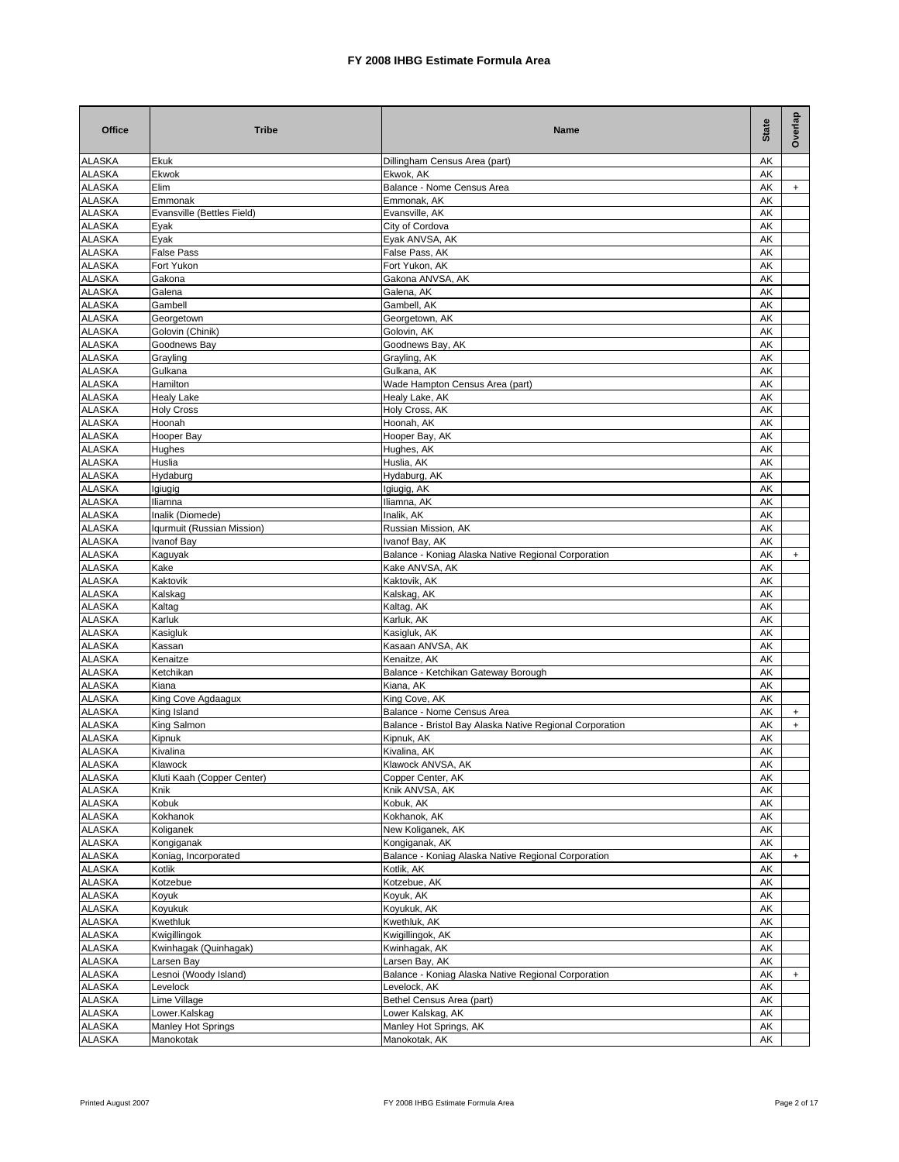| <b>Office</b>                  | <b>Tribe</b>                          | Name                                                                  | <b>State</b> | Overlap   |
|--------------------------------|---------------------------------------|-----------------------------------------------------------------------|--------------|-----------|
| <b>ALASKA</b>                  | Ekuk                                  | Dillingham Census Area (part)                                         | AK           |           |
| <b>ALASKA</b>                  | Ekwok                                 | Ekwok, AK                                                             | AK           |           |
| <b>ALASKA</b>                  | Elim                                  | Balance - Nome Census Area                                            | AK           | $+$       |
| <b>ALASKA</b><br><b>ALASKA</b> | Emmonak<br>Evansville (Bettles Field) | Emmonak, AK<br>Evansville, AK                                         | AΚ<br>AΚ     |           |
| <b>ALASKA</b>                  | Eyak                                  | City of Cordova                                                       | AΚ           |           |
| <b>ALASKA</b>                  | Eyak                                  | Eyak ANVSA, AK                                                        | AΚ           |           |
| <b>ALASKA</b>                  | False Pass                            | False Pass, AK                                                        | AΚ           |           |
| <b>ALASKA</b>                  | Fort Yukon                            | Fort Yukon, AK                                                        | AΚ           |           |
| <b>ALASKA</b>                  | Gakona                                | Gakona ANVSA, AK                                                      | AK           |           |
| <b>ALASKA</b>                  | Galena                                | Galena, AK                                                            | AK           |           |
| <b>ALASKA</b><br><b>ALASKA</b> | Gambell<br>Georgetown                 | Gambell, AK<br>Georgetown, AK                                         | AK<br>AK     |           |
| <b>ALASKA</b>                  | Golovin (Chinik)                      | Golovin, AK                                                           | AK           |           |
| <b>ALASKA</b>                  | Goodnews Bay                          | Goodnews Bay, AK                                                      | AK           |           |
| <b>ALASKA</b>                  | Grayling                              | Grayling, AK                                                          | AK           |           |
| <b>ALASKA</b>                  | Gulkana                               | Gulkana, AK                                                           | AK           |           |
| <b>ALASKA</b>                  | Hamilton                              | Wade Hampton Census Area (part)                                       | AΚ           |           |
| <b>ALASKA</b>                  | <b>Healy Lake</b>                     | Healy Lake, AK                                                        | AΚ           |           |
| <b>ALASKA</b>                  | <b>Holy Cross</b>                     | Holy Cross, AK                                                        | AΚ           |           |
| <b>ALASKA</b><br><b>ALASKA</b> | Hoonah<br>Hooper Bay                  | Hoonah, AK<br>Hooper Bay, AK                                          | AK<br>AK     |           |
| <b>ALASKA</b>                  | Hughes                                | Hughes, AK                                                            | AΚ           |           |
| <b>ALASKA</b>                  | Huslia                                | Huslia, AK                                                            | AK           |           |
| <b>ALASKA</b>                  | Hydaburg                              | Hydaburg, AK                                                          | AK           |           |
| <b>ALASKA</b>                  | Igiugig                               | Igiugig, AK                                                           | AK           |           |
| <b>ALASKA</b>                  | Iliamna                               | Iliamna, AK                                                           | AK           |           |
| <b>ALASKA</b>                  | Inalik (Diomede)                      | Inalik. AK                                                            | AK           |           |
| <b>ALASKA</b>                  | Iqurmuit (Russian Mission)            | Russian Mission, AK                                                   | AΚ           |           |
| <b>ALASKA</b><br><b>ALASKA</b> | Ivanof Bay<br>Kaguyak                 | Ivanof Bay, AK<br>Balance - Koniag Alaska Native Regional Corporation | AΚ<br>AΚ     | $+$       |
| <b>ALASKA</b>                  | Kake                                  | Kake ANVSA, AK                                                        | AΚ           |           |
| <b>ALASKA</b>                  | Kaktovik                              | Kaktovik, AK                                                          | AΚ           |           |
| <b>ALASKA</b>                  | Kalskag                               | Kalskag, AK                                                           | AK           |           |
| <b>ALASKA</b>                  | Kaltag                                | Kaltag, AK                                                            | AΚ           |           |
| <b>ALASKA</b>                  | Karluk                                | Karluk, AK                                                            | AK           |           |
| <b>ALASKA</b>                  | Kasigluk                              | Kasigluk, AK                                                          | AK           |           |
| <b>ALASKA</b><br><b>ALASKA</b> | Kassan<br>Kenaitze                    | Kasaan ANVSA, AK<br>Kenaitze, AK                                      | AK<br>AK     |           |
| <b>ALASKA</b>                  | Ketchikan                             | Balance - Ketchikan Gateway Borough                                   | AK           |           |
| <b>ALASKA</b>                  | Kiana                                 | Kiana, AK                                                             | AK           |           |
| <b>ALASKA</b>                  | King Cove Agdaagux                    | King Cove, AK                                                         | AK           |           |
| <b>ALASKA</b>                  | King Island                           | Balance - Nome Census Area                                            | AK           | $\ddot{}$ |
| <b>ALASKA</b>                  | King Salmon                           | Balance - Bristol Bay Alaska Native Regional Corporation              | AK           | $+$       |
| <b>ALASKA</b>                  | Kipnuk                                | Kipnuk, AK                                                            | AK           |           |
| <b>ALASKA</b>                  | Kivalina                              | Kivalina, AK<br>Klawock ANVSA, AK                                     | AK           |           |
| ALASKA<br><b>ALASKA</b>        | Klawock<br>Kluti Kaah (Copper Center) | Copper Center, AK                                                     | AK<br>AK     |           |
| <b>ALASKA</b>                  | Knik                                  | Knik ANVSA, AK                                                        | AK           |           |
| <b>ALASKA</b>                  | Kobuk                                 | Kobuk, AK                                                             | AK           |           |
| <b>ALASKA</b>                  | Kokhanok                              | Kokhanok, AK                                                          | AK           |           |
| <b>ALASKA</b>                  | Koliganek                             | New Koliganek, AK                                                     | AK           |           |
| <b>ALASKA</b>                  | Kongiganak                            | Kongiganak, AK                                                        | AK           |           |
| <b>ALASKA</b>                  | Koniag, Incorporated                  | Balance - Koniag Alaska Native Regional Corporation                   | AΚ           | $\ddot{}$ |
| <b>ALASKA</b>                  | Kotlik                                | Kotlik, AK                                                            | AK           |           |
| <b>ALASKA</b><br><b>ALASKA</b> | Kotzebue                              | Kotzebue, AK<br>Koyuk, AK                                             | AΚ<br>АK     |           |
| <b>ALASKA</b>                  | Koyuk<br>Koyukuk                      | Koyukuk, AK                                                           | AK           |           |
| <b>ALASKA</b>                  | Kwethluk                              | Kwethluk, AK                                                          | AK           |           |
| <b>ALASKA</b>                  | Kwigillingok                          | Kwigillingok, AK                                                      | AK           |           |
| <b>ALASKA</b>                  | Kwinhagak (Quinhagak)                 | Kwinhagak, AK                                                         | AK           |           |
| <b>ALASKA</b>                  | Larsen Bay                            | Larsen Bay, AK                                                        | AK           |           |
| <b>ALASKA</b>                  | Lesnoi (Woody Island)                 | Balance - Koniag Alaska Native Regional Corporation                   | AK           | $+$       |
| <b>ALASKA</b>                  | Levelock                              | Levelock, AK                                                          | AK           |           |
| <b>ALASKA</b><br><b>ALASKA</b> | Lime Village<br>Lower.Kalskag         | Bethel Census Area (part)<br>Lower Kalskag, AK                        | AK<br>AK     |           |
| <b>ALASKA</b>                  | Manley Hot Springs                    | Manley Hot Springs, AK                                                | AΚ           |           |
| <b>ALASKA</b>                  | Manokotak                             | Manokotak, AK                                                         | AK           |           |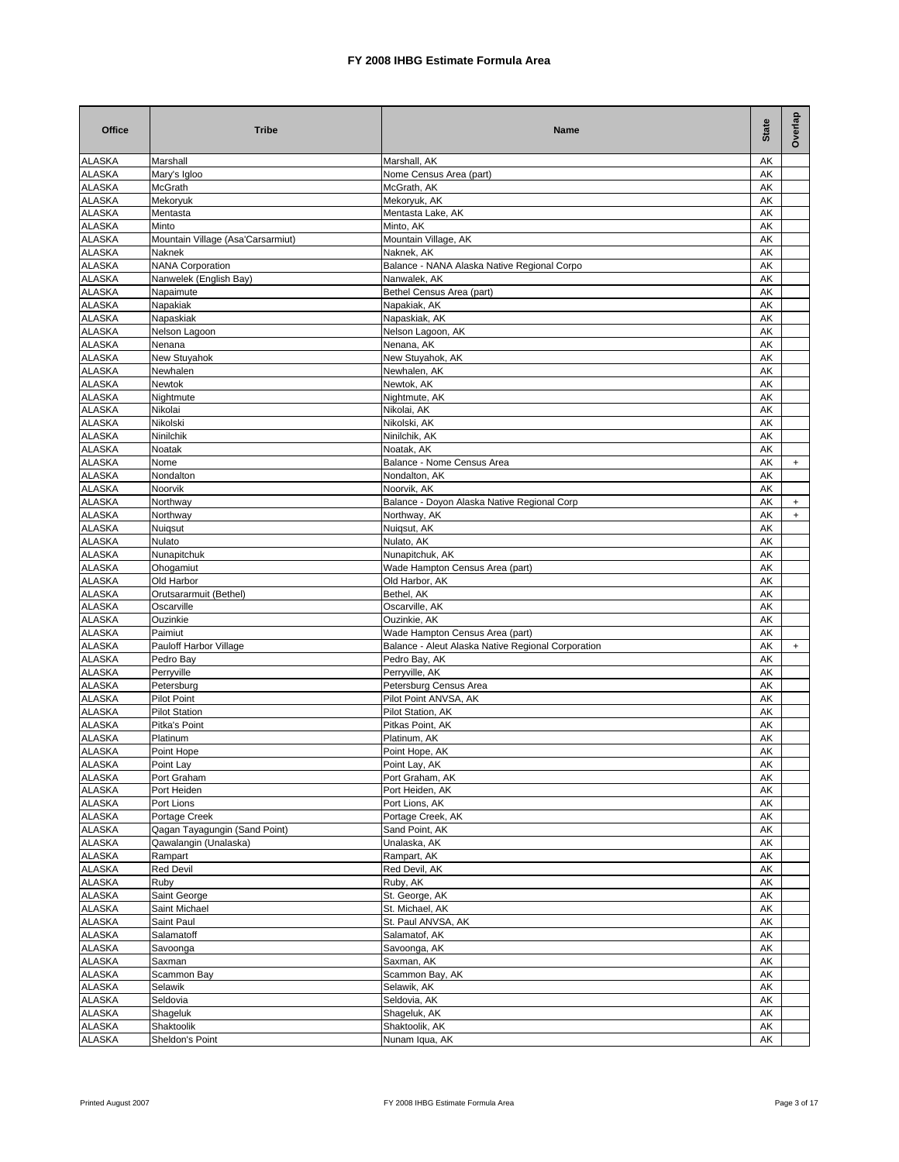| <b>Office</b>                  | <b>Tribe</b>                                      | Name                                                        | <b>State</b>     | Overlap |
|--------------------------------|---------------------------------------------------|-------------------------------------------------------------|------------------|---------|
| <b>ALASKA</b>                  | Marshall                                          | Marshall, AK                                                | AK               |         |
| <b>ALASKA</b>                  | Mary's Igloo                                      | Nome Census Area (part)                                     | AΚ               |         |
| <b>ALASKA</b>                  | McGrath                                           | McGrath, AK                                                 | AK               |         |
| <b>ALASKA</b>                  | Mekoryuk                                          | Mekoryuk, AK                                                | AK               |         |
| <b>ALASKA</b>                  | Mentasta                                          | Mentasta Lake, AK                                           | AΚ               |         |
| <b>ALASKA</b>                  | Minto                                             | Minto, AK                                                   | AK               |         |
| <b>ALASKA</b>                  | Mountain Village (Asa'Carsarmiut)                 | Mountain Village, AK                                        | AΚ               |         |
| <b>ALASKA</b><br><b>ALASKA</b> | Naknek                                            | Naknek, AK                                                  | AK<br>AK         |         |
| <b>ALASKA</b>                  | <b>NANA Corporation</b><br>Nanwelek (English Bay) | Balance - NANA Alaska Native Regional Corpo<br>Nanwalek, AK | AΚ               |         |
| <b>ALASKA</b>                  | Napaimute                                         | Bethel Census Area (part)                                   | AΚ               |         |
| <b>ALASKA</b>                  | Napakiak                                          | Napakiak, AK                                                | AΚ               |         |
| <b>ALASKA</b>                  | Napaskiak                                         | Napaskiak, AK                                               | AΚ               |         |
| <b>ALASKA</b>                  | Nelson Lagoon                                     | Nelson Lagoon, AK                                           | AK               |         |
| <b>ALASKA</b>                  | Nenana                                            | Nenana, AK                                                  | AΚ               |         |
| <b>ALASKA</b>                  | <b>New Stuyahok</b>                               | New Stuyahok, AK                                            | AK               |         |
| <b>ALASKA</b>                  | Newhalen                                          | Newhalen, AK                                                | AK               |         |
| <b>ALASKA</b>                  | Newtok                                            | Newtok, AK                                                  | AK               |         |
| <b>ALASKA</b>                  | Nightmute                                         | Nightmute, AK                                               | AK               |         |
| <b>ALASKA</b>                  | Nikolai                                           | Nikolai, AK                                                 | AK               |         |
| <b>ALASKA</b>                  | Nikolski                                          | Nikolski, AK                                                | AK               |         |
| <b>ALASKA</b>                  | Ninilchik                                         | Ninilchik, AK                                               | AK               |         |
| <b>ALASKA</b>                  | Noatak                                            | Noatak, AK                                                  | AK               |         |
| <b>ALASKA</b>                  | Nome                                              | Balance - Nome Census Area                                  | AΚ               | $+$     |
| <b>ALASKA</b>                  | Nondalton                                         | Nondalton, AK                                               | AK               |         |
| <b>ALASKA</b>                  | Noorvik                                           | Noorvik, AK                                                 | AK               |         |
| <b>ALASKA</b>                  | Northway                                          | Balance - Doyon Alaska Native Regional Corp                 | AK               | $+$     |
| <b>ALASKA</b><br><b>ALASKA</b> | Northway                                          | Northway, AK                                                | AK<br>AK         | $+$     |
| <b>ALASKA</b>                  | Nuiqsut<br>Nulato                                 | Nuigsut, AK<br>Nulato, AK                                   | AK               |         |
| <b>ALASKA</b>                  | Nunapitchuk                                       | Nunapitchuk, AK                                             | AK               |         |
| <b>ALASKA</b>                  | Ohogamiut                                         | Wade Hampton Census Area (part)                             | AK               |         |
| <b>ALASKA</b>                  | Old Harbor                                        | Old Harbor, AK                                              | AK               |         |
| <b>ALASKA</b>                  | Orutsararmuit (Bethel)                            | Bethel, AK                                                  | AK               |         |
| <b>ALASKA</b>                  | Oscarville                                        | Oscarville, AK                                              | AK               |         |
| <b>ALASKA</b>                  | Ouzinkie                                          | Ouzinkie, AK                                                | AΚ               |         |
| <b>ALASKA</b>                  | Paimiut                                           | Wade Hampton Census Area (part)                             | AΚ               |         |
| <b>ALASKA</b>                  | Pauloff Harbor Village                            | Balance - Aleut Alaska Native Regional Corporation          | AK               | $+$     |
| <b>ALASKA</b>                  | Pedro Bay                                         | Pedro Bay, AK                                               | AK               |         |
| <b>ALASKA</b>                  | Perryville                                        | Perryville, AK                                              | AK               |         |
| <b>ALASKA</b>                  | Petersburg                                        | Petersburg Census Area                                      | AK               |         |
| <b>ALASKA</b>                  | <b>Pilot Point</b>                                | Pilot Point ANVSA, AK                                       | AK               |         |
| <b>ALASKA</b>                  | <b>Pilot Station</b>                              | Pilot Station, AK                                           | AK               |         |
| <b>ALASKA</b>                  | Pitka's Point                                     | Pitkas Point, AK                                            | AK               |         |
| <b>ALASKA</b>                  | Platinum                                          | Platinum, AK                                                | AK               |         |
| <b>ALASKA</b><br><b>ALASKA</b> | Point Hope                                        | Point Hope, AK                                              | AK               |         |
| <b>ALASKA</b>                  | Point Lay<br>Port Graham                          | Point Lay, AK<br>Port Graham, AK                            | ${\sf AK}$<br>AK |         |
| <b>ALASKA</b>                  | Port Heiden                                       | Port Heiden, AK                                             | AK               |         |
| <b>ALASKA</b>                  | Port Lions                                        | Port Lions, AK                                              | AK               |         |
| <b>ALASKA</b>                  | Portage Creek                                     | Portage Creek, AK                                           | AK               |         |
| <b>ALASKA</b>                  | Qagan Tayagungin (Sand Point)                     | Sand Point, AK                                              | AK               |         |
| <b>ALASKA</b>                  | Qawalangin (Unalaska)                             | Unalaska, AK                                                | AK               |         |
| <b>ALASKA</b>                  | Rampart                                           | Rampart, AK                                                 | AK               |         |
| <b>ALASKA</b>                  | Red Devil                                         | Red Devil, AK                                               | AK               |         |
| <b>ALASKA</b>                  | Ruby                                              | Ruby, AK                                                    | AK               |         |
| <b>ALASKA</b>                  | Saint George                                      | St. George, AK                                              | AK               |         |
| <b>ALASKA</b>                  | Saint Michael                                     | St. Michael, AK                                             | AK               |         |
| <b>ALASKA</b>                  | Saint Paul                                        | St. Paul ANVSA, AK                                          | AK               |         |
| <b>ALASKA</b>                  | Salamatoff                                        | Salamatof, AK                                               | AK               |         |
| <b>ALASKA</b>                  | Savoonga                                          | Savoonga, AK                                                | АK               |         |
| <b>ALASKA</b>                  | Saxman                                            | Saxman, AK                                                  | AK               |         |
| <b>ALASKA</b>                  | Scammon Bay                                       | Scammon Bay, AK                                             | АK               |         |
| <b>ALASKA</b>                  | Selawik                                           | Selawik, AK                                                 | AK               |         |
| <b>ALASKA</b>                  | Seldovia                                          | Seldovia, AK                                                | AK               |         |
| <b>ALASKA</b>                  | Shageluk                                          | Shageluk, AK                                                | AK               |         |
| <b>ALASKA</b>                  | Shaktoolik                                        | Shaktoolik, AK                                              | AK               |         |
| <b>ALASKA</b>                  | Sheldon's Point                                   | Nunam Iqua, AK                                              | AK               |         |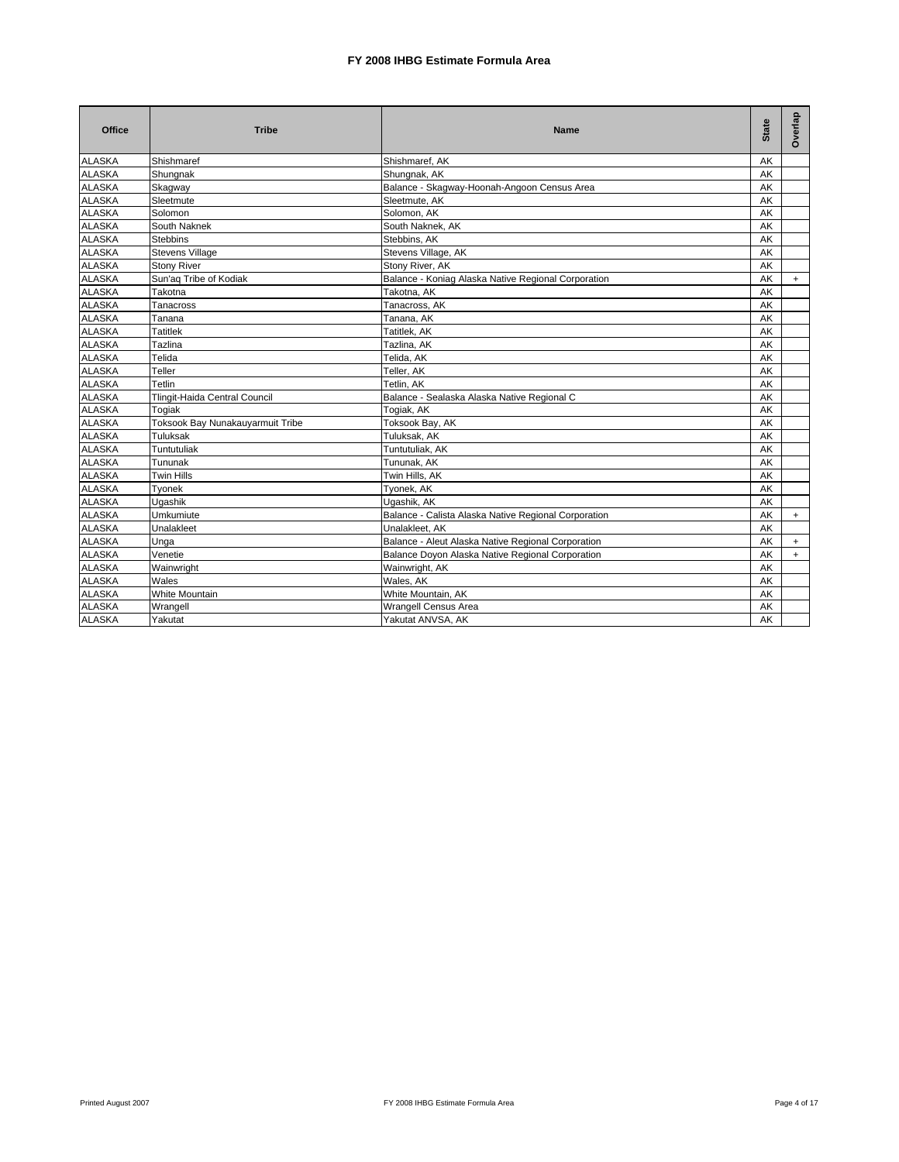| Office        | <b>Tribe</b>                     | <b>Name</b>                                          | <b>State</b> | Overlap   |
|---------------|----------------------------------|------------------------------------------------------|--------------|-----------|
| <b>ALASKA</b> | Shishmaref                       | Shishmaref, AK                                       | AK           |           |
| <b>ALASKA</b> | Shungnak                         | Shungnak, AK                                         | AK           |           |
| <b>ALASKA</b> | Skagway                          | Balance - Skagway-Hoonah-Angoon Census Area          | AK           |           |
| <b>ALASKA</b> | Sleetmute                        | Sleetmute, AK                                        | AK           |           |
| <b>ALASKA</b> | Solomon                          | Solomon, AK                                          | AK           |           |
| <b>ALASKA</b> | South Naknek                     | South Naknek, AK                                     | AK           |           |
| <b>ALASKA</b> | <b>Stebbins</b>                  | Stebbins, AK                                         | AK           |           |
| <b>ALASKA</b> | <b>Stevens Village</b>           | Stevens Village, AK                                  | AK           |           |
| <b>ALASKA</b> | <b>Stony River</b>               | Stony River, AK                                      | AK           |           |
| <b>ALASKA</b> | Sun'aq Tribe of Kodiak           | Balance - Koniag Alaska Native Regional Corporation  | AK           | $\ddot{}$ |
| <b>ALASKA</b> | Takotna                          | Takotna, AK                                          | AK           |           |
| <b>ALASKA</b> | Tanacross                        | Tanacross, AK                                        | AK           |           |
| <b>ALASKA</b> | Tanana                           | Tanana, AK                                           | AK           |           |
| <b>ALASKA</b> | <b>Tatitlek</b>                  | Tatitlek, AK                                         | AK           |           |
| <b>ALASKA</b> | Tazlina                          | Tazlina, AK                                          | AK           |           |
| <b>ALASKA</b> | Telida                           | Telida, AK                                           | AK           |           |
| <b>ALASKA</b> | Teller                           | Teller, AK                                           | AK           |           |
| <b>ALASKA</b> | Tetlin                           | Tetlin, AK                                           | AK           |           |
| <b>ALASKA</b> | Tlingit-Haida Central Council    | Balance - Sealaska Alaska Native Regional C          | AK           |           |
| <b>ALASKA</b> | Togiak                           | Togiak, AK                                           | AK           |           |
| <b>ALASKA</b> | Toksook Bay Nunakauyarmuit Tribe | Toksook Bay, AK                                      | AK           |           |
| <b>ALASKA</b> | Tuluksak                         | Tuluksak, AK                                         | AK           |           |
| <b>ALASKA</b> | Tuntutuliak                      | Tuntutuliak, AK                                      | AK           |           |
| <b>ALASKA</b> | Tununak                          | Tununak, AK                                          | AK           |           |
| <b>ALASKA</b> | Twin Hills                       | Twin Hills, AK                                       | AK           |           |
| <b>ALASKA</b> | Tyonek                           | Tyonek, AK                                           | AK           |           |
| <b>ALASKA</b> | Ugashik                          | Ugashik, AK                                          | AK           |           |
| <b>ALASKA</b> | Umkumiute                        | Balance - Calista Alaska Native Regional Corporation | AK           | $+$       |
| <b>ALASKA</b> | Unalakleet                       | Unalakleet, AK                                       | AK           |           |
| <b>ALASKA</b> | Unga                             | Balance - Aleut Alaska Native Regional Corporation   | AK           | $+$       |
| <b>ALASKA</b> | Venetie                          | Balance Doyon Alaska Native Regional Corporation     | AK           | $\ddot{}$ |
| <b>ALASKA</b> | Wainwright                       | Wainwright, AK                                       | AK           |           |
| <b>ALASKA</b> | Wales                            | Wales, AK                                            | AK           |           |
| <b>ALASKA</b> | White Mountain                   | White Mountain, AK                                   | AK           |           |
| <b>ALASKA</b> | Wrangell                         | <b>Wrangell Census Area</b>                          | AK           |           |
| <b>ALASKA</b> | Yakutat                          | Yakutat ANVSA, AK                                    | AK           |           |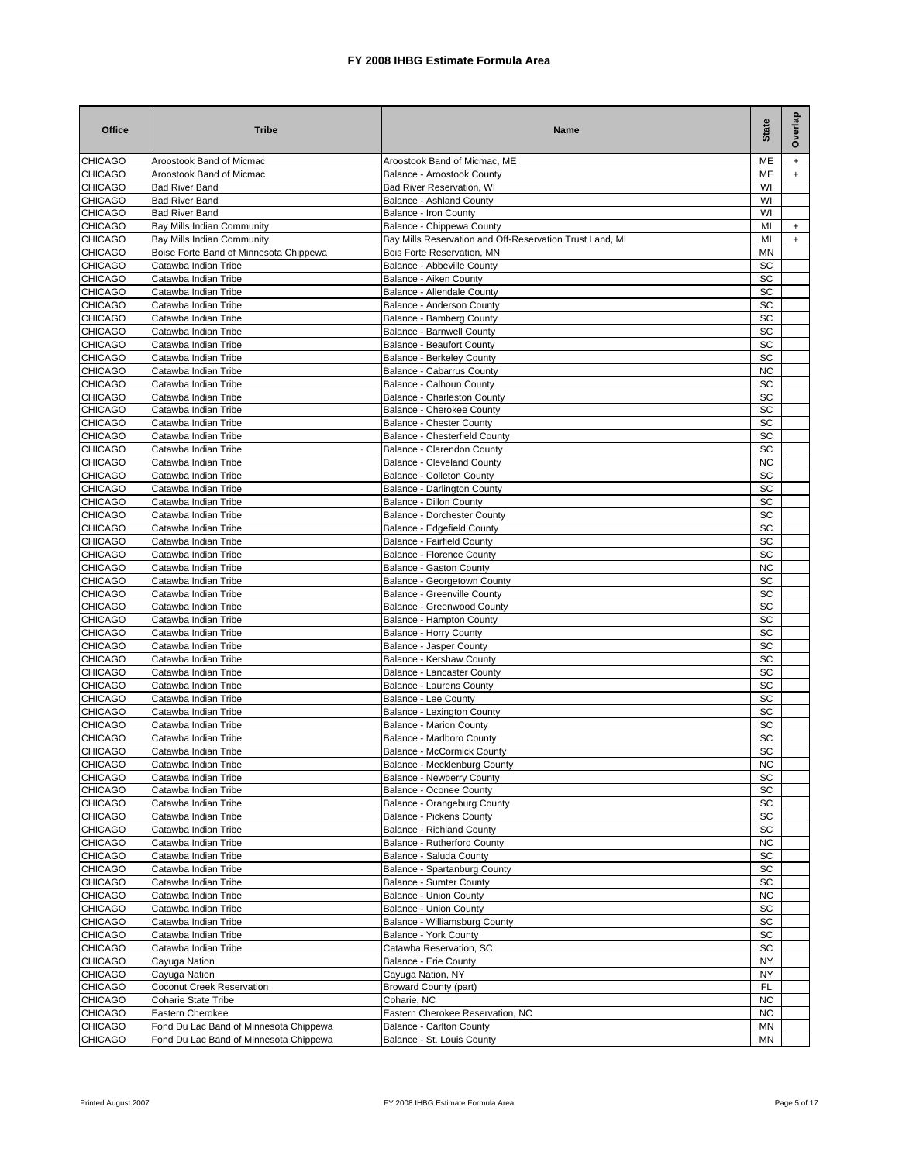| <b>Office</b>                    | <b>Tribe</b>                                                                     | Name                                                          | <b>State</b> | Overlap |
|----------------------------------|----------------------------------------------------------------------------------|---------------------------------------------------------------|--------------|---------|
| <b>CHICAGO</b>                   | Aroostook Band of Micmac                                                         | Aroostook Band of Micmac, ME                                  | ME           | $+$     |
| <b>CHICAGO</b>                   | Aroostook Band of Micmac                                                         | Balance - Aroostook County                                    | ME           | $+$     |
| <b>CHICAGO</b>                   | <b>Bad River Band</b>                                                            | Bad River Reservation, WI                                     | WI           |         |
| <b>CHICAGO</b><br><b>CHICAGO</b> | <b>Bad River Band</b><br><b>Bad River Band</b>                                   | Balance - Ashland County<br>Balance - Iron County             | WI<br>WI     |         |
| <b>CHICAGO</b>                   | Bay Mills Indian Community                                                       | Balance - Chippewa County                                     | MI           | $^{+}$  |
| <b>CHICAGO</b>                   | Bay Mills Indian Community                                                       | Bay Mills Reservation and Off-Reservation Trust Land, MI      | MI           | $+$     |
| <b>CHICAGO</b>                   | Boise Forte Band of Minnesota Chippewa                                           | Bois Forte Reservation, MN                                    | MN           |         |
| <b>CHICAGO</b>                   | Catawba Indian Tribe                                                             | Balance - Abbeville County                                    | SC           |         |
| <b>CHICAGO</b>                   | Catawba Indian Tribe                                                             | Balance - Aiken County                                        | SC           |         |
| <b>CHICAGO</b>                   | Catawba Indian Tribe                                                             | Balance - Allendale County                                    | SC           |         |
| <b>CHICAGO</b>                   | Catawba Indian Tribe                                                             | Balance - Anderson County                                     | SC           |         |
| <b>CHICAGO</b>                   | Catawba Indian Tribe                                                             | Balance - Bamberg County                                      | SC           |         |
| <b>CHICAGO</b><br><b>CHICAGO</b> | Catawba Indian Tribe<br>Catawba Indian Tribe                                     | Balance - Barnwell County<br><b>Balance - Beaufort County</b> | SC<br>SC     |         |
| <b>CHICAGO</b>                   | Catawba Indian Tribe                                                             | <b>Balance - Berkeley County</b>                              | SC           |         |
| <b>CHICAGO</b>                   | Catawba Indian Tribe                                                             | Balance - Cabarrus County                                     | <b>NC</b>    |         |
| <b>CHICAGO</b>                   | Catawba Indian Tribe                                                             | Balance - Calhoun County                                      | SC           |         |
| <b>CHICAGO</b>                   | Catawba Indian Tribe                                                             | Balance - Charleston County                                   | SC           |         |
| <b>CHICAGO</b>                   | Catawba Indian Tribe                                                             | Balance - Cherokee County                                     | SC           |         |
| <b>CHICAGO</b>                   | Catawba Indian Tribe                                                             | <b>Balance - Chester County</b>                               | SC           |         |
| <b>CHICAGO</b>                   | Catawba Indian Tribe                                                             | Balance - Chesterfield County                                 | SC           |         |
| <b>CHICAGO</b>                   | Catawba Indian Tribe                                                             | Balance - Clarendon County                                    | SC           |         |
| <b>CHICAGO</b>                   | Catawba Indian Tribe                                                             | <b>Balance - Cleveland County</b>                             | <b>NC</b>    |         |
| <b>CHICAGO</b><br><b>CHICAGO</b> | Catawba Indian Tribe<br>Catawba Indian Tribe                                     | Balance - Colleton County<br>Balance - Darlington County      | SC<br>SC     |         |
| <b>CHICAGO</b>                   | Catawba Indian Tribe                                                             | <b>Balance - Dillon County</b>                                | SC           |         |
| <b>CHICAGO</b>                   | Catawba Indian Tribe                                                             | <b>Balance - Dorchester County</b>                            | SC           |         |
| <b>CHICAGO</b>                   | Catawba Indian Tribe                                                             | Balance - Edgefield County                                    | SC           |         |
| <b>CHICAGO</b>                   | Catawba Indian Tribe                                                             | Balance - Fairfield County                                    | SC           |         |
| <b>CHICAGO</b>                   | Catawba Indian Tribe                                                             | <b>Balance - Florence County</b>                              | SC           |         |
| <b>CHICAGO</b>                   | Catawba Indian Tribe                                                             | Balance - Gaston County                                       | <b>NC</b>    |         |
| <b>CHICAGO</b>                   | Catawba Indian Tribe                                                             | Balance - Georgetown County                                   | SC           |         |
| <b>CHICAGO</b>                   | Catawba Indian Tribe                                                             | Balance - Greenville County                                   | SC           |         |
| <b>CHICAGO</b>                   | Catawba Indian Tribe                                                             | Balance - Greenwood County                                    | SC           |         |
| <b>CHICAGO</b><br><b>CHICAGO</b> | Catawba Indian Tribe<br>Catawba Indian Tribe                                     | Balance - Hampton County<br>Balance - Horry County            | SC<br>SC     |         |
| <b>CHICAGO</b>                   | Catawba Indian Tribe                                                             | Balance - Jasper County                                       | SC           |         |
| <b>CHICAGO</b>                   | Catawba Indian Tribe                                                             | Balance - Kershaw County                                      | SC           |         |
| <b>CHICAGO</b>                   | Catawba Indian Tribe                                                             | Balance - Lancaster County                                    | SC           |         |
| <b>CHICAGO</b>                   | Catawba Indian Tribe                                                             | Balance - Laurens County                                      | SC           |         |
| <b>CHICAGO</b>                   | Catawba Indian Tribe                                                             | Balance - Lee County                                          | SC           |         |
| <b>CHICAGO</b>                   | Catawba Indian Tribe                                                             | Balance - Lexington County                                    | SC           |         |
| <b>CHICAGO</b>                   | Catawba Indian Tribe                                                             | <b>Balance - Marion County</b>                                | SC           |         |
| <b>CHICAGO</b>                   | Catawba Indian Tribe                                                             | Balance - Marlboro County                                     | SC           |         |
| <b>CHICAGO</b>                   | Catawba Indian Tribe                                                             | Balance - McCormick County                                    | SC           |         |
| <b>CHICAGO</b><br><b>CHICAGO</b> | Catawba Indian Tribe<br>Catawba Indian Tribe                                     | Balance - Mecklenburg County<br>Balance - Newberry County     | NC.<br>SC    |         |
| <b>CHICAGO</b>                   | Catawba Indian Tribe                                                             | Balance - Oconee County                                       | SC           |         |
| <b>CHICAGO</b>                   | Catawba Indian Tribe                                                             | Balance - Orangeburg County                                   | SC           |         |
| <b>CHICAGO</b>                   | Catawba Indian Tribe                                                             | <b>Balance - Pickens County</b>                               | SC           |         |
| <b>CHICAGO</b>                   | Catawba Indian Tribe                                                             | <b>Balance - Richland County</b>                              | SC           |         |
| <b>CHICAGO</b>                   | Catawba Indian Tribe                                                             | Balance - Rutherford County                                   | NC           |         |
| <b>CHICAGO</b>                   | Catawba Indian Tribe                                                             | Balance - Saluda County                                       | SC           |         |
| <b>CHICAGO</b>                   | Catawba Indian Tribe                                                             | Balance - Spartanburg County                                  | SC           |         |
| <b>CHICAGO</b>                   | Catawba Indian Tribe                                                             | <b>Balance - Sumter County</b>                                | SC           |         |
| CHICAGO<br><b>CHICAGO</b>        | Catawba Indian Tribe<br>Catawba Indian Tribe                                     | Balance - Union County<br><b>Balance - Union County</b>       | NC<br>SC     |         |
| <b>CHICAGO</b>                   | Catawba Indian Tribe                                                             | Balance - Williamsburg County                                 | SC           |         |
| <b>CHICAGO</b>                   | Catawba Indian Tribe                                                             | Balance - York County                                         | SC           |         |
| CHICAGO                          | Catawba Indian Tribe                                                             | Catawba Reservation, SC                                       | SC           |         |
| <b>CHICAGO</b>                   | Cayuga Nation                                                                    | Balance - Erie County                                         | NY           |         |
| CHICAGO                          | Cayuga Nation                                                                    | Cayuga Nation, NY                                             | NY           |         |
| <b>CHICAGO</b>                   | Coconut Creek Reservation                                                        | <b>Broward County (part)</b>                                  | FL           |         |
| <b>CHICAGO</b>                   | Coharie State Tribe                                                              | Coharie, NC                                                   | <b>NC</b>    |         |
| <b>CHICAGO</b>                   | Eastern Cherokee                                                                 | Eastern Cherokee Reservation, NC                              | <b>NC</b>    |         |
| <b>CHICAGO</b><br><b>CHICAGO</b> | Fond Du Lac Band of Minnesota Chippewa<br>Fond Du Lac Band of Minnesota Chippewa | Balance - Carlton County<br>Balance - St. Louis County        | MN<br>MN     |         |
|                                  |                                                                                  |                                                               |              |         |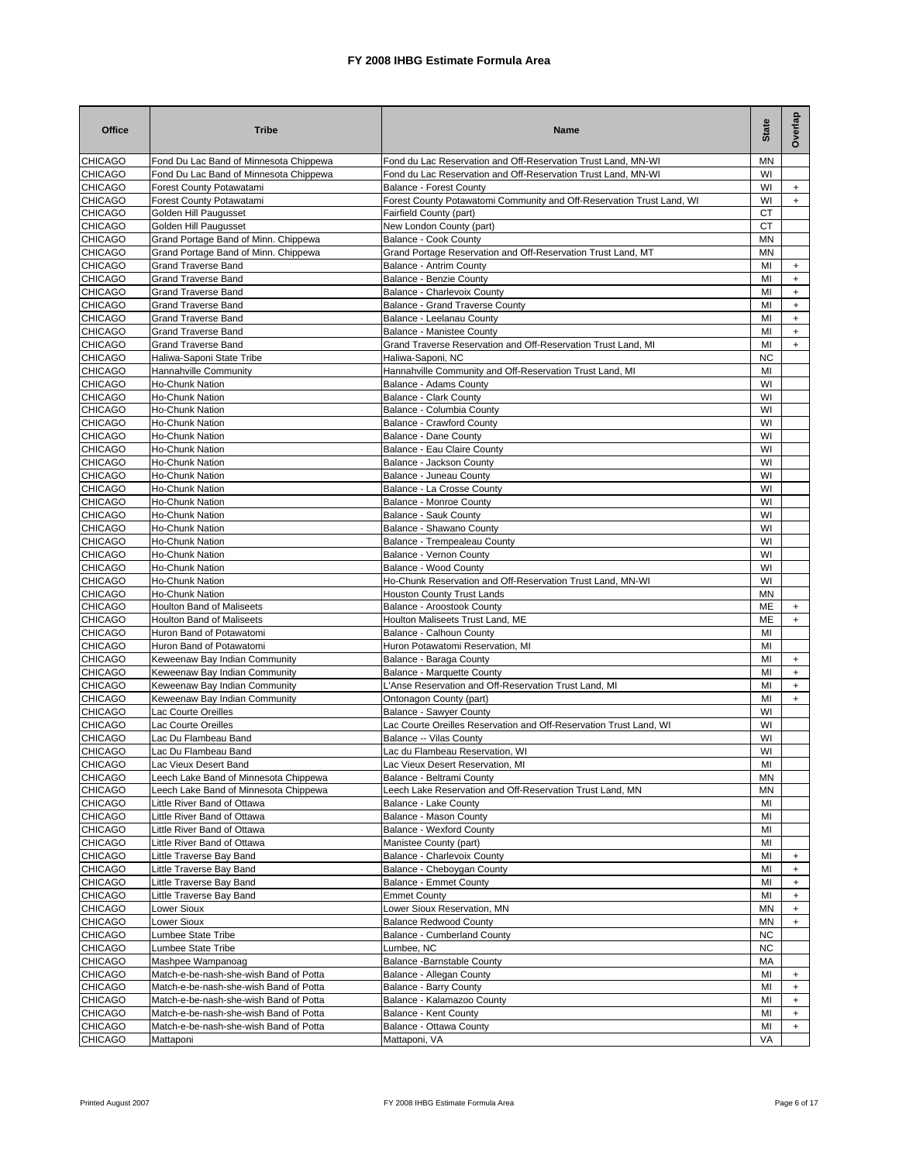| <b>Office</b>                    | <b>Tribe</b>                                                                     | Name                                                                                                    | <b>State</b>    | Overlap                          |
|----------------------------------|----------------------------------------------------------------------------------|---------------------------------------------------------------------------------------------------------|-----------------|----------------------------------|
| <b>CHICAGO</b>                   | Fond Du Lac Band of Minnesota Chippewa                                           | Fond du Lac Reservation and Off-Reservation Trust Land, MN-WI                                           | MN              |                                  |
| <b>CHICAGO</b>                   | Fond Du Lac Band of Minnesota Chippewa                                           | Fond du Lac Reservation and Off-Reservation Trust Land, MN-WI                                           | WI              |                                  |
| <b>CHICAGO</b><br><b>CHICAGO</b> | Forest County Potawatami<br>Forest County Potawatami                             | <b>Balance - Forest County</b><br>Forest County Potawatomi Community and Off-Reservation Trust Land, WI | WI<br>WI        | $+$<br>$+$                       |
| <b>CHICAGO</b>                   | <b>Golden Hill Paugusset</b>                                                     | Fairfield County (part)                                                                                 | <b>CT</b>       |                                  |
| <b>CHICAGO</b>                   | Golden Hill Paugusset                                                            | New London County (part)                                                                                | <b>CT</b>       |                                  |
| <b>CHICAGO</b>                   | Grand Portage Band of Minn. Chippewa                                             | Balance - Cook County                                                                                   | <b>MN</b>       |                                  |
| <b>CHICAGO</b>                   | Grand Portage Band of Minn. Chippewa                                             | Grand Portage Reservation and Off-Reservation Trust Land, MT                                            | <b>MN</b>       |                                  |
| <b>CHICAGO</b>                   | <b>Grand Traverse Band</b>                                                       | Balance - Antrim County                                                                                 | MI              | $\ddot{}$                        |
| <b>CHICAGO</b>                   | <b>Grand Traverse Band</b>                                                       | <b>Balance - Benzie County</b>                                                                          | MI              | $\begin{array}{c} + \end{array}$ |
| <b>CHICAGO</b>                   | <b>Grand Traverse Band</b>                                                       | Balance - Charlevoix County                                                                             | MI              | $\ddot{}$                        |
| <b>CHICAGO</b>                   | <b>Grand Traverse Band</b>                                                       | Balance - Grand Traverse County                                                                         | MI              | $\begin{array}{c} + \end{array}$ |
| <b>CHICAGO</b>                   | <b>Grand Traverse Band</b>                                                       | Balance - Leelanau County                                                                               | MI              | $\begin{array}{c} + \end{array}$ |
| <b>CHICAGO</b>                   | <b>Grand Traverse Band</b>                                                       | Balance - Manistee County                                                                               | MI              | $\begin{array}{c} + \end{array}$ |
| <b>CHICAGO</b><br><b>CHICAGO</b> | <b>Grand Traverse Band</b><br>Haliwa-Saponi State Tribe                          | Grand Traverse Reservation and Off-Reservation Trust Land, MI<br>Haliwa-Saponi, NC                      | MI<br><b>NC</b> | $\ddot{}$                        |
| <b>CHICAGO</b>                   | Hannahville Community                                                            | Hannahville Community and Off-Reservation Trust Land, MI                                                | MI              |                                  |
| <b>CHICAGO</b>                   | Ho-Chunk Nation                                                                  | Balance - Adams County                                                                                  | WI              |                                  |
| <b>CHICAGO</b>                   | Ho-Chunk Nation                                                                  | <b>Balance - Clark County</b>                                                                           | WI              |                                  |
| <b>CHICAGO</b>                   | Ho-Chunk Nation                                                                  | Balance - Columbia County                                                                               | WI              |                                  |
| <b>CHICAGO</b>                   | Ho-Chunk Nation                                                                  | Balance - Crawford County                                                                               | WI              |                                  |
| <b>CHICAGO</b>                   | Ho-Chunk Nation                                                                  | Balance - Dane County                                                                                   | WI              |                                  |
| <b>CHICAGO</b>                   | Ho-Chunk Nation                                                                  | Balance - Eau Claire County                                                                             | WI              |                                  |
| <b>CHICAGO</b>                   | Ho-Chunk Nation                                                                  | Balance - Jackson County                                                                                | WI              |                                  |
| <b>CHICAGO</b>                   | Ho-Chunk Nation                                                                  | Balance - Juneau County                                                                                 | WI              |                                  |
| <b>CHICAGO</b>                   | Ho-Chunk Nation                                                                  | Balance - La Crosse County                                                                              | WI              |                                  |
| <b>CHICAGO</b><br><b>CHICAGO</b> | Ho-Chunk Nation<br><b>Ho-Chunk Nation</b>                                        | Balance - Monroe County                                                                                 | WI<br>WI        |                                  |
| <b>CHICAGO</b>                   | Ho-Chunk Nation                                                                  | Balance - Sauk County<br>Balance - Shawano County                                                       | WI              |                                  |
| <b>CHICAGO</b>                   | <b>Ho-Chunk Nation</b>                                                           | Balance - Trempealeau County                                                                            | WI              |                                  |
| <b>CHICAGO</b>                   | Ho-Chunk Nation                                                                  | Balance - Vernon County                                                                                 | WI              |                                  |
| <b>CHICAGO</b>                   | <b>Ho-Chunk Nation</b>                                                           | Balance - Wood County                                                                                   | WI              |                                  |
| <b>CHICAGO</b>                   | Ho-Chunk Nation                                                                  | Ho-Chunk Reservation and Off-Reservation Trust Land, MN-WI                                              | WI              |                                  |
| <b>CHICAGO</b>                   | Ho-Chunk Nation                                                                  | <b>Houston County Trust Lands</b>                                                                       | MN              |                                  |
| <b>CHICAGO</b>                   | Houlton Band of Maliseets                                                        | Balance - Aroostook County                                                                              | ME              | $+$                              |
| <b>CHICAGO</b>                   | <b>Houlton Band of Maliseets</b>                                                 | Houlton Maliseets Trust Land, ME                                                                        | MЕ              | $+$                              |
| <b>CHICAGO</b>                   | Huron Band of Potawatomi                                                         | Balance - Calhoun County                                                                                | MI              |                                  |
| <b>CHICAGO</b>                   | Huron Band of Potawatomi                                                         | Huron Potawatomi Reservation, MI                                                                        | MI              |                                  |
| <b>CHICAGO</b><br><b>CHICAGO</b> | Keweenaw Bay Indian Community<br>Keweenaw Bay Indian Community                   | Balance - Baraga County<br>Balance - Marquette County                                                   | MI<br>MI        | $+$<br>$+$                       |
| <b>CHICAGO</b>                   | Keweenaw Bay Indian Community                                                    | L'Anse Reservation and Off-Reservation Trust Land, MI                                                   | MI              | $\ddot{}$                        |
| <b>CHICAGO</b>                   | Keweenaw Bay Indian Community                                                    | Ontonagon County (part)                                                                                 | MI              | $\ddot{}$                        |
| <b>CHICAGO</b>                   | Lac Courte Oreilles                                                              | Balance - Sawyer County                                                                                 | WI              |                                  |
| <b>CHICAGO</b>                   | Lac Courte Oreilles                                                              | Lac Courte Oreilles Reservation and Off-Reservation Trust Land, WI                                      | WI              |                                  |
| <b>CHICAGO</b>                   | Lac Du Flambeau Band                                                             | Balance -- Vilas County                                                                                 | WI              |                                  |
| <b>CHICAGO</b>                   | Lac Du Flambeau Band                                                             | Lac du Flambeau Reservation, WI                                                                         | WI              |                                  |
| <b>CHICAGO</b>                   | Lac Vieux Desert Band                                                            | Lac Vieux Desert Reservation, MI                                                                        | MI              |                                  |
| <b>CHICAGO</b>                   | Leech Lake Band of Minnesota Chippewa                                            | Balance - Beltrami County                                                                               | ΜN              |                                  |
| <b>CHICAGO</b>                   | Leech Lake Band of Minnesota Chippewa                                            | Leech Lake Reservation and Off-Reservation Trust Land, MN                                               | ΜN              |                                  |
| <b>CHICAGO</b>                   | Little River Band of Ottawa                                                      | Balance - Lake County                                                                                   | MI              |                                  |
| <b>CHICAGO</b><br>CHICAGO        | Little River Band of Ottawa<br>Little River Band of Ottawa                       | Balance - Mason County<br><b>Balance - Wexford County</b>                                               | MI<br>MI        |                                  |
| <b>CHICAGO</b>                   | Little River Band of Ottawa                                                      | Manistee County (part)                                                                                  | MI              |                                  |
| <b>CHICAGO</b>                   | Little Traverse Bay Band                                                         | Balance - Charlevoix County                                                                             | MI              | $\ddot{}$                        |
| <b>CHICAGO</b>                   | Little Traverse Bay Band                                                         | Balance - Cheboygan County                                                                              | MI              | $\ddot{}$                        |
| <b>CHICAGO</b>                   | Little Traverse Bay Band                                                         | Balance - Emmet County                                                                                  | MI              | $\ddot{}$                        |
| <b>CHICAGO</b>                   | Little Traverse Bay Band                                                         | <b>Emmet County</b>                                                                                     | MI              | $\ddot{}$                        |
| <b>CHICAGO</b>                   | Lower Sioux                                                                      | Lower Sioux Reservation, MN                                                                             | MN              | $+$                              |
| <b>CHICAGO</b>                   | Lower Sioux                                                                      | <b>Balance Redwood County</b>                                                                           | MN              | $+$                              |
| <b>CHICAGO</b>                   | Lumbee State Tribe                                                               | Balance - Cumberland County                                                                             | <b>NC</b>       |                                  |
| <b>CHICAGO</b>                   | Lumbee State Tribe                                                               | Lumbee, NC                                                                                              | <b>NC</b>       |                                  |
| <b>CHICAGO</b>                   | Mashpee Wampanoag                                                                | Balance - Barnstable County                                                                             | MA              |                                  |
| <b>CHICAGO</b><br><b>CHICAGO</b> | Match-e-be-nash-she-wish Band of Potta<br>Match-e-be-nash-she-wish Band of Potta | Balance - Allegan County<br><b>Balance - Barry County</b>                                               | MI<br>MI        | $\ddot{}$<br>$\ddot{}$           |
| <b>CHICAGO</b>                   | Match-e-be-nash-she-wish Band of Potta                                           | Balance - Kalamazoo County                                                                              | MI              | $\begin{array}{c} + \end{array}$ |
| <b>CHICAGO</b>                   | Match-e-be-nash-she-wish Band of Potta                                           | Balance - Kent County                                                                                   | MI              | $\begin{array}{c} + \end{array}$ |
| <b>CHICAGO</b>                   | Match-e-be-nash-she-wish Band of Potta                                           | Balance - Ottawa County                                                                                 | MI              | $\ddot{}$                        |
| <b>CHICAGO</b>                   | Mattaponi                                                                        | Mattaponi, VA                                                                                           | VA              |                                  |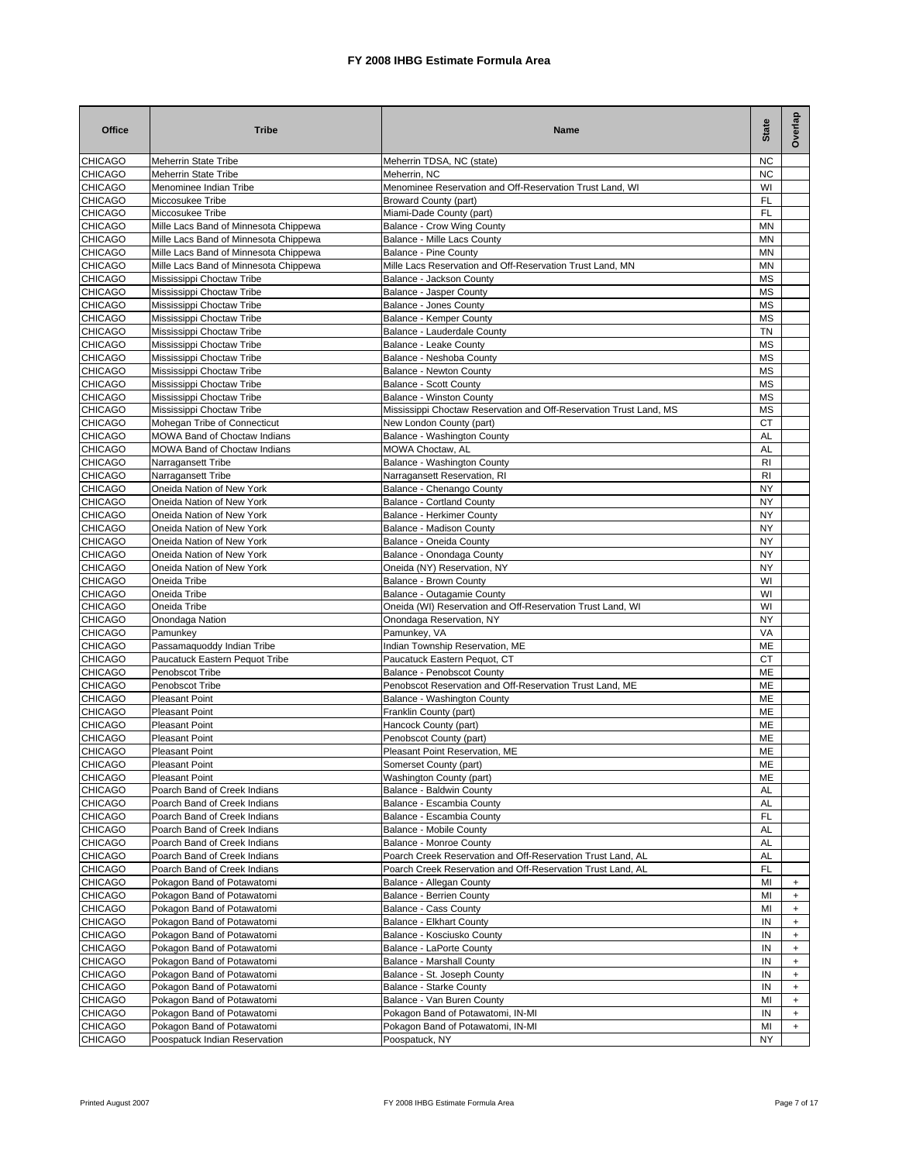| <b>Office</b>                    | <b>Tribe</b>                                                 | Name                                                               | <b>State</b>    | Overlap          |
|----------------------------------|--------------------------------------------------------------|--------------------------------------------------------------------|-----------------|------------------|
| <b>CHICAGO</b>                   | <b>Meherrin State Tribe</b>                                  | Meherrin TDSA, NC (state)                                          | <b>NC</b>       |                  |
| <b>CHICAGO</b>                   | <b>Meherrin State Tribe</b>                                  | Meherrin, NC                                                       | <b>NC</b>       |                  |
| <b>CHICAGO</b>                   | Menominee Indian Tribe                                       | Menominee Reservation and Off-Reservation Trust Land, WI           | WI              |                  |
| <b>CHICAGO</b><br><b>CHICAGO</b> | Miccosukee Tribe<br>Miccosukee Tribe                         | <b>Broward County (part)</b><br>Miami-Dade County (part)           | FL<br>FL        |                  |
| <b>CHICAGO</b>                   | Mille Lacs Band of Minnesota Chippewa                        | Balance - Crow Wing County                                         | MN              |                  |
| <b>CHICAGO</b>                   | Mille Lacs Band of Minnesota Chippewa                        | Balance - Mille Lacs County                                        | MN              |                  |
| <b>CHICAGO</b>                   | Mille Lacs Band of Minnesota Chippewa                        | <b>Balance - Pine County</b>                                       | MN              |                  |
| <b>CHICAGO</b>                   | Mille Lacs Band of Minnesota Chippewa                        | Mille Lacs Reservation and Off-Reservation Trust Land, MN          | MN              |                  |
| <b>CHICAGO</b>                   | Mississippi Choctaw Tribe                                    | Balance - Jackson County                                           | MS              |                  |
| <b>CHICAGO</b>                   | Mississippi Choctaw Tribe                                    | Balance - Jasper County                                            | MS              |                  |
| <b>CHICAGO</b>                   | Mississippi Choctaw Tribe                                    | Balance - Jones County                                             | <b>MS</b>       |                  |
| <b>CHICAGO</b>                   | Mississippi Choctaw Tribe                                    | Balance - Kemper County                                            | MS              |                  |
| <b>CHICAGO</b>                   | Mississippi Choctaw Tribe                                    | Balance - Lauderdale County                                        | <b>TN</b>       |                  |
| <b>CHICAGO</b><br><b>CHICAGO</b> | Mississippi Choctaw Tribe<br>Mississippi Choctaw Tribe       | Balance - Leake County<br>Balance - Neshoba County                 | MS<br>MS        |                  |
| <b>CHICAGO</b>                   | Mississippi Choctaw Tribe                                    | Balance - Newton County                                            | MS              |                  |
| <b>CHICAGO</b>                   | Mississippi Choctaw Tribe                                    | <b>Balance - Scott County</b>                                      | <b>MS</b>       |                  |
| <b>CHICAGO</b>                   | Mississippi Choctaw Tribe                                    | <b>Balance - Winston County</b>                                    | MS              |                  |
| <b>CHICAGO</b>                   | Mississippi Choctaw Tribe                                    | Mississippi Choctaw Reservation and Off-Reservation Trust Land, MS | <b>MS</b>       |                  |
| <b>CHICAGO</b>                   | Mohegan Tribe of Connecticut                                 | New London County (part)                                           | СT              |                  |
| <b>CHICAGO</b>                   | <b>MOWA Band of Choctaw Indians</b>                          | Balance - Washington County                                        | <b>AL</b>       |                  |
| <b>CHICAGO</b>                   | MOWA Band of Choctaw Indians                                 | MOWA Choctaw, AL                                                   | AL              |                  |
| <b>CHICAGO</b>                   | Narragansett Tribe                                           | Balance - Washington County                                        | R1              |                  |
| <b>CHICAGO</b>                   | Narragansett Tribe                                           | Narragansett Reservation, RI                                       | R1              |                  |
| <b>CHICAGO</b>                   | Oneida Nation of New York                                    | Balance - Chenango County                                          | NY              |                  |
| <b>CHICAGO</b><br><b>CHICAGO</b> | Oneida Nation of New York<br>Oneida Nation of New York       | <b>Balance - Cortland County</b>                                   | NY<br><b>NY</b> |                  |
| <b>CHICAGO</b>                   | Oneida Nation of New York                                    | Balance - Herkimer County<br>Balance - Madison County              | NY              |                  |
| <b>CHICAGO</b>                   | Oneida Nation of New York                                    | Balance - Oneida County                                            | <b>NY</b>       |                  |
| <b>CHICAGO</b>                   | Oneida Nation of New York                                    | Balance - Onondaga County                                          | NY              |                  |
| <b>CHICAGO</b>                   | Oneida Nation of New York                                    | Oneida (NY) Reservation, NY                                        | <b>NY</b>       |                  |
| <b>CHICAGO</b>                   | Oneida Tribe                                                 | Balance - Brown County                                             | WI              |                  |
| <b>CHICAGO</b>                   | Oneida Tribe                                                 | Balance - Outagamie County                                         | WI              |                  |
| <b>CHICAGO</b>                   | Oneida Tribe                                                 | Oneida (WI) Reservation and Off-Reservation Trust Land, WI         | WI              |                  |
| <b>CHICAGO</b>                   | Onondaga Nation                                              | Onondaga Reservation, NY                                           | <b>NY</b>       |                  |
| <b>CHICAGO</b>                   | Pamunkey                                                     | Pamunkey, VA                                                       | VA              |                  |
| <b>CHICAGO</b>                   | Passamaquoddy Indian Tribe                                   | Indian Township Reservation, ME                                    | <b>ME</b>       |                  |
| <b>CHICAGO</b><br><b>CHICAGO</b> | Paucatuck Eastern Pequot Tribe<br>Penobscot Tribe            | Paucatuck Eastern Pequot, CT<br><b>Balance - Penobscot County</b>  | CT<br><b>ME</b> |                  |
| <b>CHICAGO</b>                   | Penobscot Tribe                                              | Penobscot Reservation and Off-Reservation Trust Land, ME           | ME              |                  |
| <b>CHICAGO</b>                   | <b>Pleasant Point</b>                                        | Balance - Washington County                                        | ME              |                  |
| <b>CHICAGO</b>                   | <b>Pleasant Point</b>                                        | Franklin County (part)                                             | ME              |                  |
| <b>CHICAGO</b>                   | <b>Pleasant Point</b>                                        | Hancock County (part)                                              | ME              |                  |
| <b>CHICAGO</b>                   | <b>Pleasant Point</b>                                        | Penobscot County (part)                                            | MЕ              |                  |
| <b>CHICAGO</b>                   | <b>Pleasant Point</b>                                        | Pleasant Point Reservation, ME                                     | ME              |                  |
| <b>CHICAGO</b>                   | <b>Pleasant Point</b>                                        | Somerset County (part)                                             | ME              |                  |
| <b>CHICAGO</b>                   | <b>Pleasant Point</b>                                        | Washington County (part)                                           | ME              |                  |
| <b>CHICAGO</b>                   | Poarch Band of Creek Indians                                 | Balance - Baldwin County                                           | AL              |                  |
| <b>CHICAGO</b>                   | Poarch Band of Creek Indians                                 | Balance - Escambia County                                          | AL              |                  |
| <b>CHICAGO</b><br><b>CHICAGO</b> | Poarch Band of Creek Indians<br>Poarch Band of Creek Indians | Balance - Escambia County<br>Balance - Mobile County               | <b>FL</b><br>AL |                  |
| <b>CHICAGO</b>                   | Poarch Band of Creek Indians                                 | Balance - Monroe County                                            | AL              |                  |
| <b>CHICAGO</b>                   | Poarch Band of Creek Indians                                 | Poarch Creek Reservation and Off-Reservation Trust Land, AL        | AL              |                  |
| <b>CHICAGO</b>                   | Poarch Band of Creek Indians                                 | Poarch Creek Reservation and Off-Reservation Trust Land, AL        | FL              |                  |
| <b>CHICAGO</b>                   | Pokagon Band of Potawatomi                                   | Balance - Allegan County                                           | MI              | $\ddot{}$        |
| <b>CHICAGO</b>                   | Pokagon Band of Potawatomi                                   | <b>Balance - Berrien County</b>                                    | MI              | $\ddot{}$        |
| <b>CHICAGO</b>                   | Pokagon Band of Potawatomi                                   | Balance - Cass County                                              | MI              | $\ddot{}$        |
| <b>CHICAGO</b>                   | Pokagon Band of Potawatomi                                   | Balance - Elkhart County                                           | IN              | $\ddot{}$        |
| CHICAGO                          | Pokagon Band of Potawatomi                                   | Balance - Kosciusko County                                         | IN              | $\ddot{}$        |
| <b>CHICAGO</b>                   | Pokagon Band of Potawatomi                                   | Balance - LaPorte County                                           | IN              | $+$              |
| <b>CHICAGO</b>                   | Pokagon Band of Potawatomi                                   | Balance - Marshall County                                          | IN              | $\ddot{}$        |
| <b>CHICAGO</b><br><b>CHICAGO</b> | Pokagon Band of Potawatomi                                   | Balance - St. Joseph County                                        | IN<br>IN        | $+$<br>$\ddot{}$ |
| <b>CHICAGO</b>                   | Pokagon Band of Potawatomi<br>Pokagon Band of Potawatomi     | Balance - Starke County<br>Balance - Van Buren County              | MI              | $+$              |
| <b>CHICAGO</b>                   | Pokagon Band of Potawatomi                                   | Pokagon Band of Potawatomi, IN-MI                                  | IN              | $+$              |
| <b>CHICAGO</b>                   | Pokagon Band of Potawatomi                                   | Pokagon Band of Potawatomi, IN-MI                                  | MI              | $+$              |
| <b>CHICAGO</b>                   | Poospatuck Indian Reservation                                | Poospatuck, NY                                                     | NY              |                  |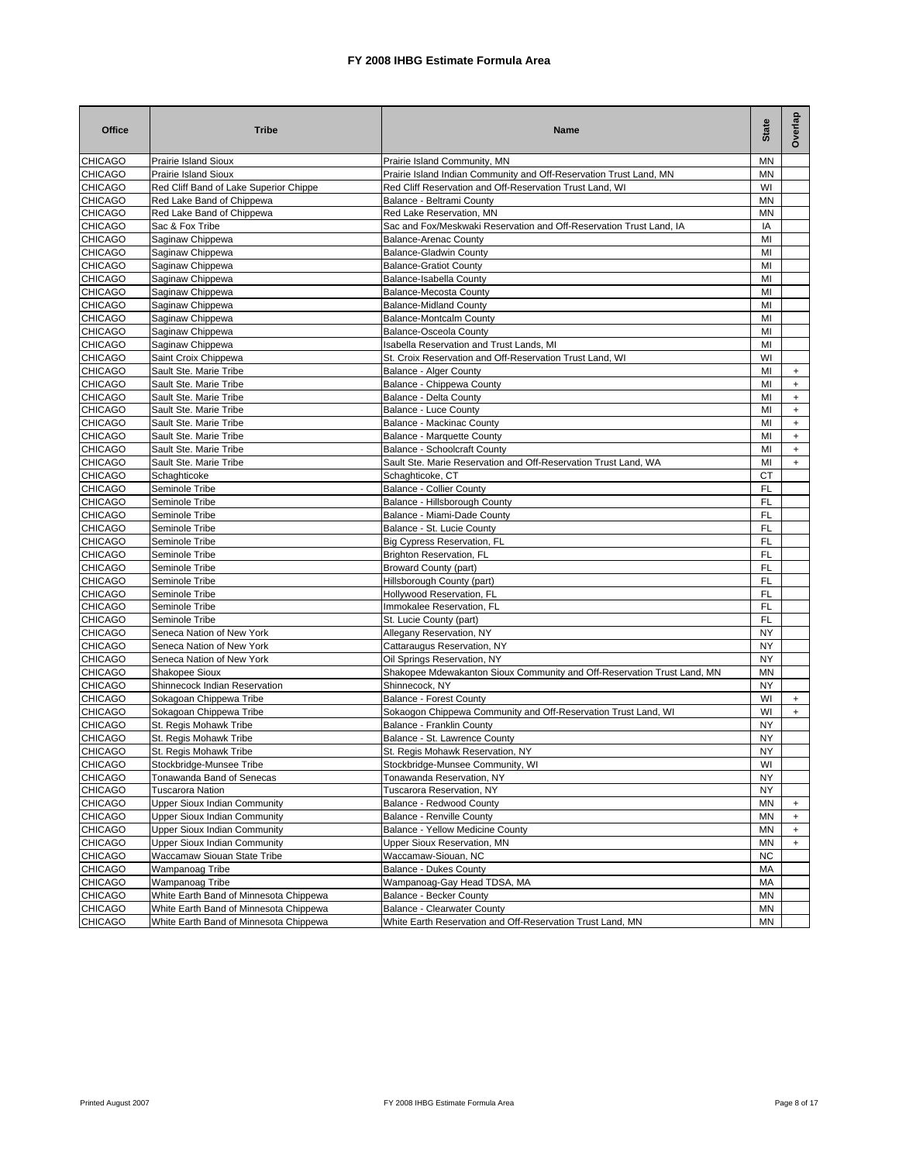| <b>Office</b>  | <b>Tribe</b>                           | Name                                                                    | State     | Overlap                          |
|----------------|----------------------------------------|-------------------------------------------------------------------------|-----------|----------------------------------|
| <b>CHICAGO</b> | <b>Prairie Island Sioux</b>            | Prairie Island Community, MN                                            | MN        |                                  |
| <b>CHICAGO</b> | Prairie Island Sioux                   | Prairie Island Indian Community and Off-Reservation Trust Land, MN      | MN        |                                  |
| <b>CHICAGO</b> | Red Cliff Band of Lake Superior Chippe | Red Cliff Reservation and Off-Reservation Trust Land, WI                | WI        |                                  |
| <b>CHICAGO</b> | Red Lake Band of Chippewa              | Balance - Beltrami County                                               | MN        |                                  |
| <b>CHICAGO</b> | Red Lake Band of Chippewa              | Red Lake Reservation. MN                                                | <b>MN</b> |                                  |
| <b>CHICAGO</b> | Sac & Fox Tribe                        | Sac and Fox/Meskwaki Reservation and Off-Reservation Trust Land, IA     | IA        |                                  |
| <b>CHICAGO</b> | Saginaw Chippewa                       | <b>Balance-Arenac County</b>                                            | MI        |                                  |
| <b>CHICAGO</b> | Saginaw Chippewa                       | <b>Balance-Gladwin County</b>                                           | MI        |                                  |
| <b>CHICAGO</b> | Saginaw Chippewa                       | <b>Balance-Gratiot County</b>                                           | MI        |                                  |
| <b>CHICAGO</b> | Saginaw Chippewa                       | Balance-Isabella County                                                 | MI        |                                  |
| <b>CHICAGO</b> | Saginaw Chippewa                       | <b>Balance-Mecosta County</b>                                           | MI        |                                  |
| <b>CHICAGO</b> | Saginaw Chippewa                       | <b>Balance-Midland County</b>                                           | MI        |                                  |
| <b>CHICAGO</b> | Saginaw Chippewa                       | <b>Balance-Montcalm County</b>                                          | MI        |                                  |
| <b>CHICAGO</b> | Saginaw Chippewa                       | Balance-Osceola County                                                  | MI        |                                  |
| <b>CHICAGO</b> | Saginaw Chippewa                       | Isabella Reservation and Trust Lands, MI                                | MI        |                                  |
| <b>CHICAGO</b> | Saint Croix Chippewa                   | St. Croix Reservation and Off-Reservation Trust Land, WI                | WI        |                                  |
| <b>CHICAGO</b> | Sault Ste. Marie Tribe                 | <b>Balance - Alger County</b>                                           | MI        | $\begin{array}{c} + \end{array}$ |
| <b>CHICAGO</b> | Sault Ste. Marie Tribe                 | Balance - Chippewa County                                               | MI        | $\ddot{}$                        |
| <b>CHICAGO</b> | Sault Ste. Marie Tribe                 | Balance - Delta County                                                  | MI        | $\ddot{}$                        |
| <b>CHICAGO</b> | Sault Ste. Marie Tribe                 | Balance - Luce County                                                   | MI        | $\ddot{}$                        |
| <b>CHICAGO</b> | Sault Ste. Marie Tribe                 | Balance - Mackinac County                                               | MI        | $\ddot{}$                        |
| <b>CHICAGO</b> | Sault Ste. Marie Tribe                 | Balance - Marquette County                                              | MI        | $\ddot{}$                        |
| <b>CHICAGO</b> | Sault Ste. Marie Tribe                 | Balance - Schoolcraft County                                            | MI        | $\ddot{}$                        |
| <b>CHICAGO</b> | Sault Ste. Marie Tribe                 | Sault Ste. Marie Reservation and Off-Reservation Trust Land, WA         | MI        | $\ddot{}$                        |
| <b>CHICAGO</b> | Schaghticoke                           | Schaghticoke, CT                                                        | CT        |                                  |
| <b>CHICAGO</b> | Seminole Tribe                         | Balance - Collier County                                                | FL        |                                  |
| <b>CHICAGO</b> | Seminole Tribe                         | Balance - Hillsborough County                                           | FL        |                                  |
| <b>CHICAGO</b> | Seminole Tribe                         | Balance - Miami-Dade County                                             | FL        |                                  |
| <b>CHICAGO</b> | Seminole Tribe                         | Balance - St. Lucie County                                              | <b>FL</b> |                                  |
| <b>CHICAGO</b> | Seminole Tribe                         | Big Cypress Reservation, FL                                             | <b>FL</b> |                                  |
| <b>CHICAGO</b> | Seminole Tribe                         | Brighton Reservation, FL                                                | <b>FL</b> |                                  |
| <b>CHICAGO</b> | Seminole Tribe                         | <b>Broward County (part)</b>                                            | FL        |                                  |
| <b>CHICAGO</b> | Seminole Tribe                         | Hillsborough County (part)                                              | <b>FL</b> |                                  |
| <b>CHICAGO</b> | Seminole Tribe                         | Hollywood Reservation, FL                                               | FL        |                                  |
| <b>CHICAGO</b> | Seminole Tribe                         | Immokalee Reservation, FL                                               | <b>FL</b> |                                  |
| <b>CHICAGO</b> | Seminole Tribe                         | St. Lucie County (part)                                                 | FL        |                                  |
| <b>CHICAGO</b> | Seneca Nation of New York              | Allegany Reservation, NY                                                | <b>NY</b> |                                  |
| <b>CHICAGO</b> | Seneca Nation of New York              | Cattaraugus Reservation, NY                                             | <b>NY</b> |                                  |
| <b>CHICAGO</b> | Seneca Nation of New York              | Oil Springs Reservation, NY                                             | NY        |                                  |
| <b>CHICAGO</b> | Shakopee Sioux                         | Shakopee Mdewakanton Sioux Community and Off-Reservation Trust Land, MN | MN        |                                  |
| <b>CHICAGO</b> | Shinnecock Indian Reservation          | Shinnecock, NY                                                          | NY        |                                  |
| <b>CHICAGO</b> | Sokagoan Chippewa Tribe                | <b>Balance - Forest County</b>                                          | WI        | $+$                              |
| <b>CHICAGO</b> | Sokagoan Chippewa Tribe                | Sokaogon Chippewa Community and Off-Reservation Trust Land, WI          | WI        | $\ddot{}$                        |
| <b>CHICAGO</b> | St. Regis Mohawk Tribe                 | Balance - Franklin County                                               | NY        |                                  |
| <b>CHICAGO</b> | St. Regis Mohawk Tribe                 | Balance - St. Lawrence County                                           | <b>NY</b> |                                  |
| <b>CHICAGO</b> | St. Regis Mohawk Tribe                 | St. Regis Mohawk Reservation, NY                                        | NY        |                                  |
| <b>CHICAGO</b> | Stockbridge-Munsee Tribe               | Stockbridge-Munsee Community, WI                                        | WI        |                                  |
| <b>CHICAGO</b> | Tonawanda Band of Senecas              | Tonawanda Reservation, NY                                               | ΝY        |                                  |
| <b>CHICAGO</b> | Tuscarora Nation                       | Tuscarora Reservation, NY                                               | ΝY        |                                  |
| <b>CHICAGO</b> | <b>Upper Sioux Indian Community</b>    | Balance - Redwood County                                                | MN        | $\ddot{}$                        |
| <b>CHICAGO</b> | <b>Upper Sioux Indian Community</b>    | Balance - Renville County                                               | ΜN        | $\ddot{}$                        |
| <b>CHICAGO</b> | <b>Upper Sioux Indian Community</b>    | Balance - Yellow Medicine County                                        | ΜN        | $\ddot{}$                        |
| <b>CHICAGO</b> | Upper Sioux Indian Community           | Upper Sioux Reservation, MN                                             | ΜN        | $+$                              |
| <b>CHICAGO</b> | Waccamaw Siouan State Tribe            | Waccamaw-Siouan, NC                                                     | <b>NC</b> |                                  |
| <b>CHICAGO</b> | Wampanoag Tribe                        | Balance - Dukes County                                                  | MA        |                                  |
| <b>CHICAGO</b> | Wampanoag Tribe                        | Wampanoag-Gay Head TDSA, MA                                             | MA        |                                  |
| <b>CHICAGO</b> | White Earth Band of Minnesota Chippewa | Balance - Becker County                                                 | MN        |                                  |
| <b>CHICAGO</b> | White Earth Band of Minnesota Chippewa | Balance - Clearwater County                                             | MN        |                                  |
| <b>CHICAGO</b> | White Earth Band of Minnesota Chippewa | White Earth Reservation and Off-Reservation Trust Land, MN              | MN        |                                  |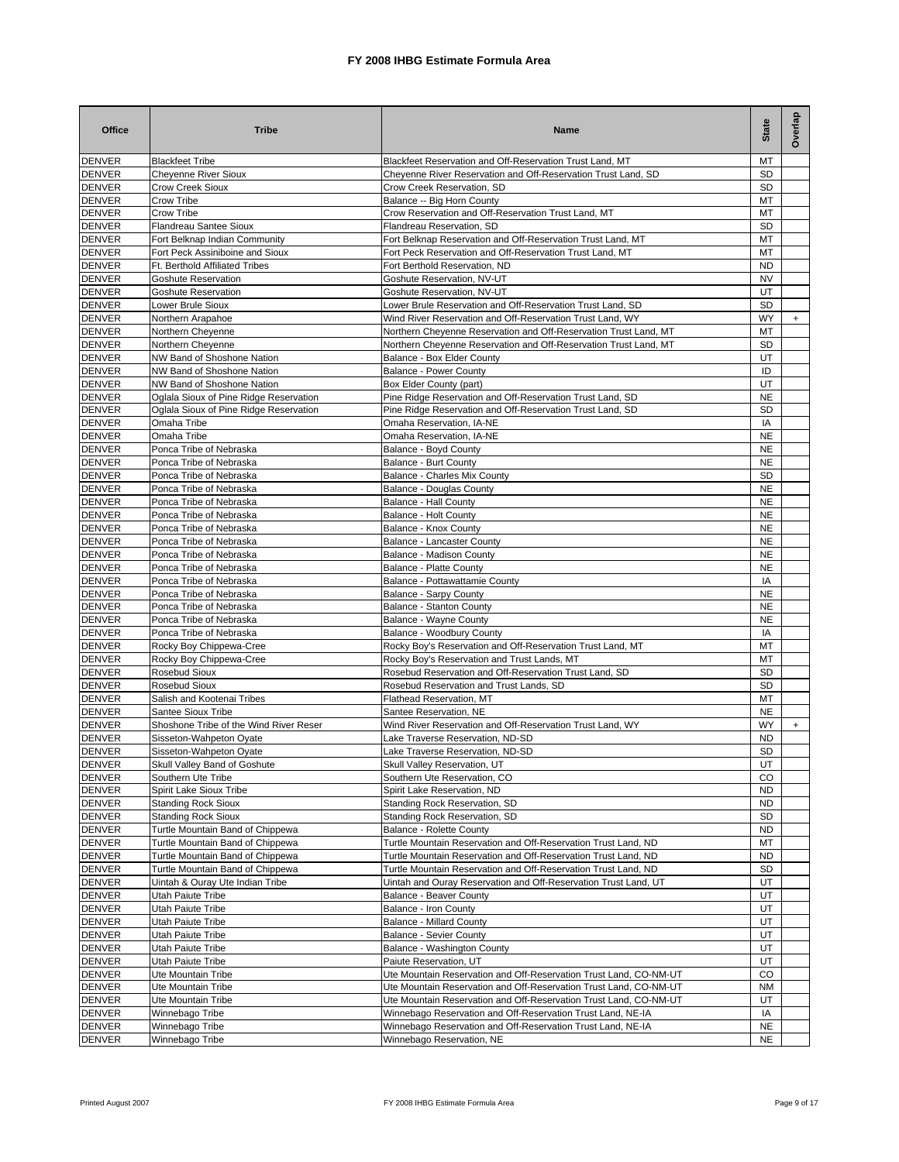| <b>Office</b>                  | <b>Tribe</b>                                             | Name                                                                                                                    | <b>State</b>           | Overlap |
|--------------------------------|----------------------------------------------------------|-------------------------------------------------------------------------------------------------------------------------|------------------------|---------|
| <b>DENVER</b>                  | <b>Blackfeet Tribe</b>                                   | Blackfeet Reservation and Off-Reservation Trust Land, MT                                                                | МT                     |         |
| <b>DENVER</b>                  | <b>Cheyenne River Sioux</b>                              | Cheyenne River Reservation and Off-Reservation Trust Land, SD                                                           | <b>SD</b>              |         |
| <b>DENVER</b><br><b>DENVER</b> | <b>Crow Creek Sioux</b><br>Crow Tribe                    | Crow Creek Reservation, SD<br>Balance -- Big Horn County                                                                | SD<br>МT               |         |
| <b>DENVER</b>                  | Crow Tribe                                               | Crow Reservation and Off-Reservation Trust Land, MT                                                                     | МT                     |         |
| <b>DENVER</b>                  | Flandreau Santee Sioux                                   | Flandreau Reservation, SD                                                                                               | SD                     |         |
| <b>DENVER</b>                  | Fort Belknap Indian Community                            | Fort Belknap Reservation and Off-Reservation Trust Land, MT                                                             | МT                     |         |
| <b>DENVER</b>                  | Fort Peck Assiniboine and Sioux                          | Fort Peck Reservation and Off-Reservation Trust Land, MT                                                                | МT                     |         |
| <b>DENVER</b>                  | Ft. Berthold Affiliated Tribes                           | Fort Berthold Reservation, ND                                                                                           | <b>ND</b>              |         |
| <b>DENVER</b>                  | <b>Goshute Reservation</b>                               | Goshute Reservation, NV-UT                                                                                              | <b>NV</b>              |         |
| <b>DENVER</b>                  | <b>Goshute Reservation</b>                               | Goshute Reservation, NV-UT                                                                                              | UT                     |         |
| <b>DENVER</b><br><b>DENVER</b> | Lower Brule Sioux                                        | Lower Brule Reservation and Off-Reservation Trust Land, SD<br>Wind River Reservation and Off-Reservation Trust Land, WY | <b>SD</b><br><b>WY</b> |         |
| <b>DENVER</b>                  | Northern Arapahoe<br>Northern Cheyenne                   | Northern Cheyenne Reservation and Off-Reservation Trust Land, MT                                                        | MT                     | $+$     |
| <b>DENVER</b>                  | Northern Cheyenne                                        | Northern Cheyenne Reservation and Off-Reservation Trust Land, MT                                                        | <b>SD</b>              |         |
| <b>DENVER</b>                  | NW Band of Shoshone Nation                               | Balance - Box Elder County                                                                                              | UT                     |         |
| <b>DENVER</b>                  | NW Band of Shoshone Nation                               | <b>Balance - Power County</b>                                                                                           | ID                     |         |
| <b>DENVER</b>                  | NW Band of Shoshone Nation                               | Box Elder County (part)                                                                                                 | UT                     |         |
| <b>DENVER</b>                  | Oglala Sioux of Pine Ridge Reservation                   | Pine Ridge Reservation and Off-Reservation Trust Land, SD                                                               | <b>NE</b>              |         |
| <b>DENVER</b>                  | Oglala Sioux of Pine Ridge Reservation                   | Pine Ridge Reservation and Off-Reservation Trust Land, SD                                                               | SD                     |         |
| <b>DENVER</b>                  | Omaha Tribe                                              | Omaha Reservation, IA-NE                                                                                                | IA                     |         |
| <b>DENVER</b><br><b>DENVER</b> | Omaha Tribe<br>Ponca Tribe of Nebraska                   | Omaha Reservation, IA-NE<br>Balance - Boyd County                                                                       | <b>NE</b><br><b>NE</b> |         |
| <b>DENVER</b>                  | Ponca Tribe of Nebraska                                  | Balance - Burt County                                                                                                   | <b>NE</b>              |         |
| <b>DENVER</b>                  | Ponca Tribe of Nebraska                                  | Balance - Charles Mix County                                                                                            | <b>SD</b>              |         |
| <b>DENVER</b>                  | Ponca Tribe of Nebraska                                  | Balance - Douglas County                                                                                                | <b>NE</b>              |         |
| <b>DENVER</b>                  | Ponca Tribe of Nebraska                                  | <b>Balance - Hall County</b>                                                                                            | <b>NE</b>              |         |
| <b>DENVER</b>                  | Ponca Tribe of Nebraska                                  | Balance - Holt County                                                                                                   | <b>NE</b>              |         |
| <b>DENVER</b>                  | Ponca Tribe of Nebraska                                  | Balance - Knox County                                                                                                   | <b>NE</b>              |         |
| <b>DENVER</b>                  | Ponca Tribe of Nebraska                                  | Balance - Lancaster County                                                                                              | NE                     |         |
| <b>DENVER</b>                  | Ponca Tribe of Nebraska                                  | Balance - Madison County                                                                                                | NE                     |         |
| <b>DENVER</b><br><b>DENVER</b> | Ponca Tribe of Nebraska<br>Ponca Tribe of Nebraska       | Balance - Platte County<br>Balance - Pottawattamie County                                                               | NE<br>IA               |         |
| <b>DENVER</b>                  | Ponca Tribe of Nebraska                                  | Balance - Sarpy County                                                                                                  | <b>NE</b>              |         |
| <b>DENVER</b>                  | Ponca Tribe of Nebraska                                  | Balance - Stanton County                                                                                                | <b>NE</b>              |         |
| <b>DENVER</b>                  | Ponca Tribe of Nebraska                                  | <b>Balance - Wayne County</b>                                                                                           | <b>NE</b>              |         |
| <b>DENVER</b>                  | Ponca Tribe of Nebraska                                  | Balance - Woodbury County                                                                                               | IA                     |         |
| <b>DENVER</b>                  | Rocky Boy Chippewa-Cree                                  | Rocky Boy's Reservation and Off-Reservation Trust Land, MT                                                              | MT                     |         |
| <b>DENVER</b>                  | Rocky Boy Chippewa-Cree                                  | Rocky Boy's Reservation and Trust Lands, MT                                                                             | MT                     |         |
| <b>DENVER</b>                  | <b>Rosebud Sioux</b>                                     | Rosebud Reservation and Off-Reservation Trust Land, SD                                                                  | <b>SD</b>              |         |
| <b>DENVER</b><br><b>DENVER</b> | <b>Rosebud Sioux</b><br>Salish and Kootenai Tribes       | Rosebud Reservation and Trust Lands, SD<br>Flathead Reservation, MT                                                     | <b>SD</b><br>МT        |         |
| <b>DENVER</b>                  | Santee Sioux Tribe                                       | Santee Reservation, NE                                                                                                  | <b>NE</b>              |         |
| <b>DENVER</b>                  | Shoshone Tribe of the Wind River Reser                   | Wind River Reservation and Off-Reservation Trust Land, WY                                                               | WY                     | $+$     |
| <b>DENVER</b>                  | Sisseton-Wahpeton Oyate                                  | Lake Traverse Reservation, ND-SD                                                                                        | ND                     |         |
| <b>DENVER</b>                  | Sisseton-Wahpeton Oyate                                  | Lake Traverse Reservation, ND-SD                                                                                        | <b>SD</b>              |         |
| <b>DENVER</b>                  | Skull Valley Band of Goshute                             | Skull Valley Reservation, UT                                                                                            | UT                     |         |
| <b>DENVER</b>                  | Southern Ute Tribe                                       | Southern Ute Reservation, CO                                                                                            | CO                     |         |
| <b>DENVER</b>                  | Spirit Lake Sioux Tribe                                  | Spirit Lake Reservation, ND                                                                                             | <b>ND</b>              |         |
| <b>DENVER</b><br><b>DENVER</b> | <b>Standing Rock Sioux</b><br><b>Standing Rock Sioux</b> | Standing Rock Reservation, SD<br>Standing Rock Reservation, SD                                                          | <b>ND</b><br>SD        |         |
| <b>DENVER</b>                  | Turtle Mountain Band of Chippewa                         | Balance - Rolette County                                                                                                | <b>ND</b>              |         |
| <b>DENVER</b>                  | Turtle Mountain Band of Chippewa                         | Turtle Mountain Reservation and Off-Reservation Trust Land, ND                                                          | МT                     |         |
| <b>DENVER</b>                  | Turtle Mountain Band of Chippewa                         | Turtle Mountain Reservation and Off-Reservation Trust Land, ND                                                          | ND.                    |         |
| <b>DENVER</b>                  | Turtle Mountain Band of Chippewa                         | Turtle Mountain Reservation and Off-Reservation Trust Land, ND                                                          | SD                     |         |
| <b>DENVER</b>                  | Uintah & Ouray Ute Indian Tribe                          | Uintah and Ouray Reservation and Off-Reservation Trust Land, UT                                                         | UT                     |         |
| <b>DENVER</b>                  | Utah Paiute Tribe                                        | <b>Balance - Beaver County</b>                                                                                          | UT                     |         |
| <b>DENVER</b>                  | Utah Paiute Tribe                                        | Balance - Iron County                                                                                                   | UT                     |         |
| <b>DENVER</b>                  | Utah Paiute Tribe                                        | <b>Balance - Millard County</b><br><b>Balance - Sevier County</b>                                                       | UT<br>UT               |         |
| <b>DENVER</b><br><b>DENVER</b> | Utah Paiute Tribe<br>Utah Paiute Tribe                   | Balance - Washington County                                                                                             | UT                     |         |
| <b>DENVER</b>                  | Utah Paiute Tribe                                        | Paiute Reservation, UT                                                                                                  | UT                     |         |
| <b>DENVER</b>                  | Ute Mountain Tribe                                       | Ute Mountain Reservation and Off-Reservation Trust Land, CO-NM-UT                                                       | CO                     |         |
| <b>DENVER</b>                  | Ute Mountain Tribe                                       | Ute Mountain Reservation and Off-Reservation Trust Land, CO-NM-UT                                                       | <b>NM</b>              |         |
| <b>DENVER</b>                  | Ute Mountain Tribe                                       | Ute Mountain Reservation and Off-Reservation Trust Land, CO-NM-UT                                                       | UT                     |         |
| <b>DENVER</b>                  | Winnebago Tribe                                          | Winnebago Reservation and Off-Reservation Trust Land, NE-IA                                                             | IA                     |         |
| <b>DENVER</b>                  | Winnebago Tribe                                          | Winnebago Reservation and Off-Reservation Trust Land, NE-IA                                                             | <b>NE</b>              |         |
| <b>DENVER</b>                  | Winnebago Tribe                                          | Winnebago Reservation, NE                                                                                               | NE                     |         |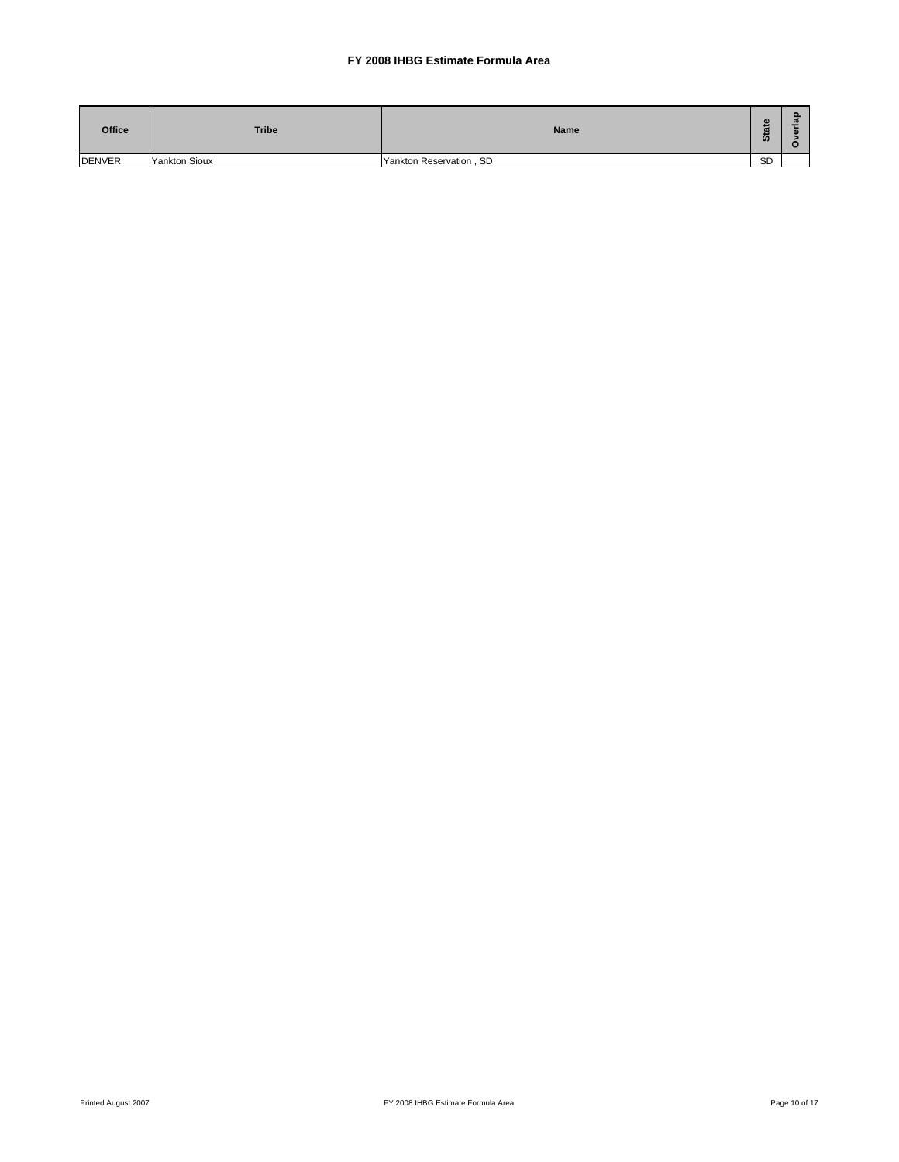| <b>Office</b> | <b>Tribe</b>         | <b>Name</b>             | n,<br>$\boldsymbol{\omega}$<br><b>O</b> | ത |
|---------------|----------------------|-------------------------|-----------------------------------------|---|
| <b>DENVER</b> | <b>Yankton Sioux</b> | Yankton Reservation, SD | <b>SD</b>                               |   |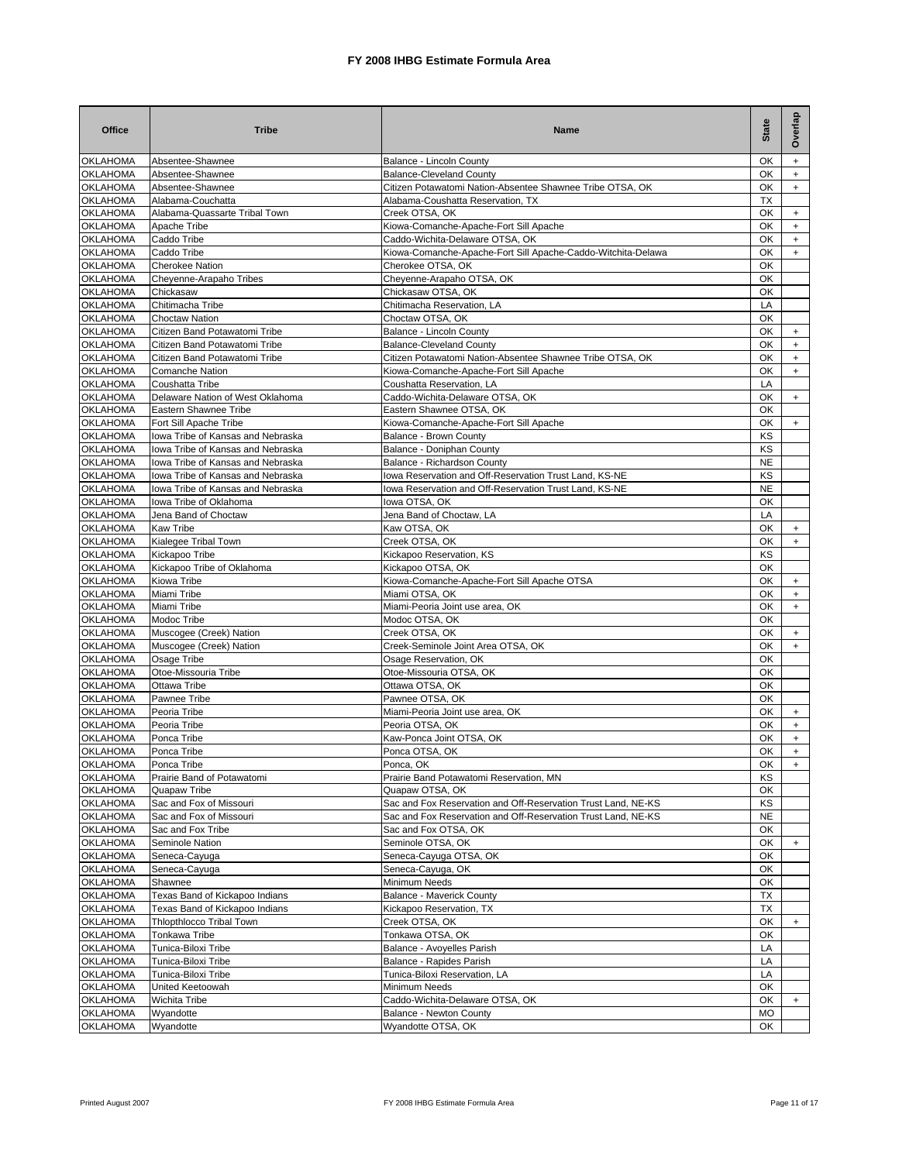| <b>Office</b>                      | <b>Tribe</b>                                                           | Name                                                                                           | <b>State</b>    | Overlap                                       |
|------------------------------------|------------------------------------------------------------------------|------------------------------------------------------------------------------------------------|-----------------|-----------------------------------------------|
| <b>OKLAHOMA</b>                    | Absentee-Shawnee                                                       | Balance - Lincoln County                                                                       | OK              | $+$                                           |
| <b>OKLAHOMA</b>                    | Absentee-Shawnee                                                       | <b>Balance-Cleveland County</b>                                                                | ОК              | $\ddot{}$                                     |
| <b>OKLAHOMA</b><br><b>OKLAHOMA</b> | Absentee-Shawnee<br>Alabama-Couchatta                                  | Citizen Potawatomi Nation-Absentee Shawnee Tribe OTSA, OK<br>Alabama-Coushatta Reservation, TX | OK<br>TX        | $+$                                           |
| <b>OKLAHOMA</b>                    | Alabama-Quassarte Tribal Town                                          | Creek OTSA, OK                                                                                 | OK              | $+$                                           |
| <b>OKLAHOMA</b>                    | Apache Tribe                                                           | Kiowa-Comanche-Apache-Fort Sill Apache                                                         | OK              | $+$                                           |
| <b>OKLAHOMA</b>                    | Caddo Tribe                                                            | Caddo-Wichita-Delaware OTSA, OK                                                                | OK              | $+$                                           |
| <b>OKLAHOMA</b>                    | Caddo Tribe                                                            | Kiowa-Comanche-Apache-Fort Sill Apache-Caddo-Witchita-Delawa                                   | OK              | $+$                                           |
| <b>OKLAHOMA</b>                    | <b>Cherokee Nation</b>                                                 | Cherokee OTSA, OK                                                                              | OK              |                                               |
| <b>OKLAHOMA</b>                    | Cheyenne-Arapaho Tribes                                                | Cheyenne-Arapaho OTSA, OK                                                                      | OK              |                                               |
| <b>OKLAHOMA</b>                    | Chickasaw                                                              | Chickasaw OTSA, OK                                                                             | OK              |                                               |
| <b>OKLAHOMA</b>                    | Chitimacha Tribe                                                       | Chitimacha Reservation, LA                                                                     | LA              |                                               |
| <b>OKLAHOMA</b>                    | <b>Choctaw Nation</b>                                                  | Choctaw OTSA, OK                                                                               | OK              |                                               |
| <b>OKLAHOMA</b><br><b>OKLAHOMA</b> | Citizen Band Potawatomi Tribe<br>Citizen Band Potawatomi Tribe         | Balance - Lincoln County<br><b>Balance-Cleveland County</b>                                    | OK<br>OK        | $\ddot{}$<br>$\ddot{}$                        |
| <b>OKLAHOMA</b>                    | Citizen Band Potawatomi Tribe                                          | Citizen Potawatomi Nation-Absentee Shawnee Tribe OTSA, OK                                      | OK              | $\ddot{}$                                     |
| <b>OKLAHOMA</b>                    | <b>Comanche Nation</b>                                                 | Kiowa-Comanche-Apache-Fort Sill Apache                                                         | OK              | $\ddot{}$                                     |
| <b>OKLAHOMA</b>                    | Coushatta Tribe                                                        | Coushatta Reservation, LA                                                                      | LA              |                                               |
| <b>OKLAHOMA</b>                    | Delaware Nation of West Oklahoma                                       | Caddo-Wichita-Delaware OTSA, OK                                                                | OK              | $+$                                           |
| <b>OKLAHOMA</b>                    | Eastern Shawnee Tribe                                                  | Eastern Shawnee OTSA, OK                                                                       | OK              |                                               |
| <b>OKLAHOMA</b>                    | Fort Sill Apache Tribe                                                 | Kiowa-Comanche-Apache-Fort Sill Apache                                                         | OK              | $+$                                           |
| <b>OKLAHOMA</b>                    | lowa Tribe of Kansas and Nebraska                                      | Balance - Brown County                                                                         | ΚS              |                                               |
| <b>OKLAHOMA</b>                    | lowa Tribe of Kansas and Nebraska                                      | Balance - Doniphan County                                                                      | ΚS              |                                               |
| <b>OKLAHOMA</b><br><b>OKLAHOMA</b> | Iowa Tribe of Kansas and Nebraska<br>lowa Tribe of Kansas and Nebraska | Balance - Richardson County<br>lowa Reservation and Off-Reservation Trust Land, KS-NE          | <b>NE</b><br>ΚS |                                               |
| <b>OKLAHOMA</b>                    | Iowa Tribe of Kansas and Nebraska                                      | lowa Reservation and Off-Reservation Trust Land, KS-NE                                         | <b>NE</b>       |                                               |
| <b>OKLAHOMA</b>                    | Iowa Tribe of Oklahoma                                                 | lowa OTSA, OK                                                                                  | OK              |                                               |
| <b>OKLAHOMA</b>                    | Jena Band of Choctaw                                                   | Jena Band of Choctaw, LA                                                                       | LA              |                                               |
| <b>OKLAHOMA</b>                    | <b>Kaw Tribe</b>                                                       | Kaw OTSA, OK                                                                                   | OK              | $+$                                           |
| <b>OKLAHOMA</b>                    | Kialegee Tribal Town                                                   | Creek OTSA, OK                                                                                 | OK              | $+$                                           |
| <b>OKLAHOMA</b>                    | Kickapoo Tribe                                                         | Kickapoo Reservation, KS                                                                       | KS              |                                               |
| <b>OKLAHOMA</b>                    | Kickapoo Tribe of Oklahoma                                             | Kickapoo OTSA, OK                                                                              | OK              |                                               |
| <b>OKLAHOMA</b>                    | Kiowa Tribe                                                            | Kiowa-Comanche-Apache-Fort Sill Apache OTSA                                                    | OK              | $\ddot{}$                                     |
| <b>OKLAHOMA</b><br><b>OKLAHOMA</b> | Miami Tribe<br>Miami Tribe                                             | Miami OTSA, OK<br>Miami-Peoria Joint use area, OK                                              | ОК<br>OK        | $+$<br>$+$                                    |
| <b>OKLAHOMA</b>                    | Modoc Tribe                                                            | Modoc OTSA, OK                                                                                 | OK              |                                               |
| <b>OKLAHOMA</b>                    | Muscogee (Creek) Nation                                                | Creek OTSA, OK                                                                                 | OK              | $+$                                           |
| <b>OKLAHOMA</b>                    | Muscogee (Creek) Nation                                                | Creek-Seminole Joint Area OTSA, OK                                                             | OK              | $+$                                           |
| <b>OKLAHOMA</b>                    | Osage Tribe                                                            | Osage Reservation, OK                                                                          | OK              |                                               |
| <b>OKLAHOMA</b>                    | Otoe-Missouria Tribe                                                   | Otoe-Missouria OTSA, OK                                                                        | OK              |                                               |
| <b>OKLAHOMA</b>                    | Ottawa Tribe                                                           | Ottawa OTSA, OK                                                                                | OK              |                                               |
| <b>OKLAHOMA</b>                    | Pawnee Tribe                                                           | Pawnee OTSA, OK                                                                                | OK              |                                               |
| <b>OKLAHOMA</b>                    | Peoria Tribe                                                           | Miami-Peoria Joint use area, OK                                                                | OK              | $\ddot{}$                                     |
| <b>OKLAHOMA</b><br><b>OKLAHOMA</b> | Peoria Tribe<br>Ponca Tribe                                            | Peoria OTSA, OK<br>Kaw-Ponca Joint OTSA, OK                                                    | ОК<br>ОΚ        | $\ddot{}$<br>$\begin{array}{c} + \end{array}$ |
| <b>OKLAHOMA</b>                    | Ponca Tribe                                                            | Ponca OTSA, OK                                                                                 | ОК              | $+$                                           |
| <b>OKLAHOMA</b>                    | Ponca Tribe                                                            | Ponca, OK                                                                                      | OK              |                                               |
| <b>OKLAHOMA</b>                    | Prairie Band of Potawatomi                                             | Prairie Band Potawatomi Reservation, MN                                                        | ΚS              |                                               |
| <b>OKLAHOMA</b>                    | Quapaw Tribe                                                           | Quapaw OTSA, OK                                                                                | ОК              |                                               |
| <b>OKLAHOMA</b>                    | Sac and Fox of Missouri                                                | Sac and Fox Reservation and Off-Reservation Trust Land, NE-KS                                  | ΚS              |                                               |
| <b>OKLAHOMA</b>                    | Sac and Fox of Missouri                                                | Sac and Fox Reservation and Off-Reservation Trust Land, NE-KS                                  | NE              |                                               |
| <b>OKLAHOMA</b>                    | Sac and Fox Tribe                                                      | Sac and Fox OTSA, OK                                                                           | OK              |                                               |
| <b>OKLAHOMA</b>                    | Seminole Nation                                                        | Seminole OTSA, OK                                                                              | OK              | $+$                                           |
| <b>OKLAHOMA</b><br><b>OKLAHOMA</b> | Seneca-Cayuga<br>Seneca-Cayuga                                         | Seneca-Cayuga OTSA, OK                                                                         | OK<br>OK        |                                               |
| <b>OKLAHOMA</b>                    | Shawnee                                                                | Seneca-Cayuga, OK<br>Minimum Needs                                                             | OK              |                                               |
| <b>OKLAHOMA</b>                    | Texas Band of Kickapoo Indians                                         | Balance - Maverick County                                                                      | TX              |                                               |
| <b>OKLAHOMA</b>                    | Texas Band of Kickapoo Indians                                         | Kickapoo Reservation, TX                                                                       | ТX              |                                               |
| <b>OKLAHOMA</b>                    | Thlopthlocco Tribal Town                                               | Creek OTSA, OK                                                                                 | OK              | $+$                                           |
| <b>OKLAHOMA</b>                    | Tonkawa Tribe                                                          | Tonkawa OTSA, OK                                                                               | OK              |                                               |
| <b>OKLAHOMA</b>                    | Tunica-Biloxi Tribe                                                    | Balance - Avoyelles Parish                                                                     | LA              |                                               |
| <b>OKLAHOMA</b>                    | Tunica-Biloxi Tribe                                                    | Balance - Rapides Parish                                                                       | LA              |                                               |
| <b>OKLAHOMA</b>                    | Tunica-Biloxi Tribe                                                    | Tunica-Biloxi Reservation, LA                                                                  | LA              |                                               |
| <b>OKLAHOMA</b>                    | United Keetoowah                                                       | Minimum Needs                                                                                  | OK              |                                               |
| <b>OKLAHOMA</b>                    | <b>Wichita Tribe</b>                                                   | Caddo-Wichita-Delaware OTSA, OK                                                                | OK              | $+$                                           |
| <b>OKLAHOMA</b><br><b>OKLAHOMA</b> | Wyandotte<br>Wyandotte                                                 | Balance - Newton County<br>Wyandotte OTSA, OK                                                  | MO<br>OK        |                                               |
|                                    |                                                                        |                                                                                                |                 |                                               |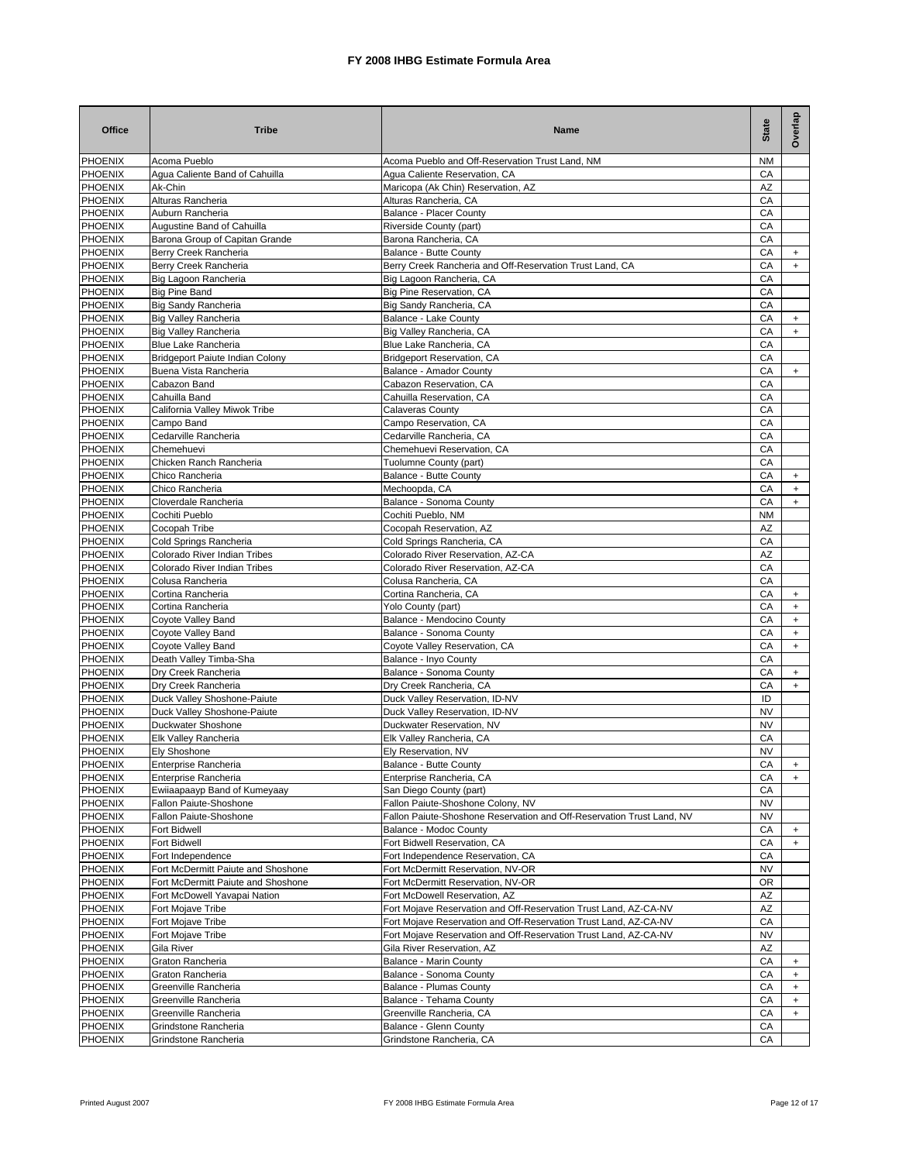| <b>Office</b>                    | <b>Tribe</b>                                              | Name                                                                                                                                 | <b>State</b> | Overlap                |
|----------------------------------|-----------------------------------------------------------|--------------------------------------------------------------------------------------------------------------------------------------|--------------|------------------------|
| <b>PHOENIX</b>                   | Acoma Pueblo                                              | Acoma Pueblo and Off-Reservation Trust Land, NM                                                                                      | <b>NM</b>    |                        |
| <b>PHOENIX</b>                   | Agua Caliente Band of Cahuilla                            | Agua Caliente Reservation, CA                                                                                                        | СA           |                        |
| PHOENIX                          | Ak-Chin                                                   | Maricopa (Ak Chin) Reservation, AZ                                                                                                   | AZ           |                        |
| <b>PHOENIX</b><br><b>PHOENIX</b> | Alturas Rancheria<br>Auburn Rancheria                     | Alturas Rancheria, CA<br><b>Balance - Placer County</b>                                                                              | СA<br>CA     |                        |
| <b>PHOENIX</b>                   | Augustine Band of Cahuilla                                | Riverside County (part)                                                                                                              | CA           |                        |
| <b>PHOENIX</b>                   | Barona Group of Capitan Grande                            | Barona Rancheria, CA                                                                                                                 | CA           |                        |
| <b>PHOENIX</b>                   | Berry Creek Rancheria                                     | Balance - Butte County                                                                                                               | СA           | $\ddot{}$              |
| <b>PHOENIX</b>                   | Berry Creek Rancheria                                     | Berry Creek Rancheria and Off-Reservation Trust Land, CA                                                                             | CA           | $+$                    |
| <b>PHOENIX</b>                   | Big Lagoon Rancheria                                      | Big Lagoon Rancheria, CA                                                                                                             | CA           |                        |
| <b>PHOENIX</b>                   | <b>Big Pine Band</b>                                      | Big Pine Reservation, CA                                                                                                             | CA           |                        |
| <b>PHOENIX</b>                   | <b>Big Sandy Rancheria</b>                                | Big Sandy Rancheria, CA                                                                                                              | CA           |                        |
| <b>PHOENIX</b>                   | <b>Big Valley Rancheria</b>                               | Balance - Lake County                                                                                                                | CA           | $+$                    |
| <b>PHOENIX</b><br><b>PHOENIX</b> | <b>Big Valley Rancheria</b><br><b>Blue Lake Rancheria</b> | Big Valley Rancheria, CA<br>Blue Lake Rancheria, CA                                                                                  | CA<br>CA     | $+$                    |
| <b>PHOENIX</b>                   | Bridgeport Paiute Indian Colony                           | <b>Bridgeport Reservation, CA</b>                                                                                                    | CA           |                        |
| <b>PHOENIX</b>                   | Buena Vista Rancheria                                     | Balance - Amador County                                                                                                              | CA           | $+$                    |
| <b>PHOENIX</b>                   | Cabazon Band                                              | Cabazon Reservation, CA                                                                                                              | CA           |                        |
| <b>PHOENIX</b>                   | Cahuilla Band                                             | Cahuilla Reservation, CA                                                                                                             | CA           |                        |
| <b>PHOENIX</b>                   | California Valley Miwok Tribe                             | <b>Calaveras County</b>                                                                                                              | CA           |                        |
| <b>PHOENIX</b>                   | Campo Band                                                | Campo Reservation, CA                                                                                                                | CA           |                        |
| <b>PHOENIX</b>                   | Cedarville Rancheria                                      | Cedarville Rancheria, CA                                                                                                             | CA           |                        |
| <b>PHOENIX</b>                   | Chemehuevi                                                | Chemehuevi Reservation, CA                                                                                                           | CA           |                        |
| <b>PHOENIX</b>                   | Chicken Ranch Rancheria                                   | Tuolumne County (part)                                                                                                               | CA           |                        |
| <b>PHOENIX</b>                   | Chico Rancheria                                           | Balance - Butte County                                                                                                               | CA           | $\ddot{}$              |
| <b>PHOENIX</b><br><b>PHOENIX</b> | Chico Rancheria<br>Cloverdale Rancheria                   | Mechoopda, CA                                                                                                                        | CA<br>CA     | $\ddot{}$<br>$\ddot{}$ |
| <b>PHOENIX</b>                   | Cochiti Pueblo                                            | Balance - Sonoma County<br>Cochiti Pueblo, NM                                                                                        | <b>NM</b>    |                        |
| <b>PHOENIX</b>                   | Cocopah Tribe                                             | Cocopah Reservation, AZ                                                                                                              | AZ           |                        |
| <b>PHOENIX</b>                   | Cold Springs Rancheria                                    | Cold Springs Rancheria, CA                                                                                                           | CA           |                        |
| <b>PHOENIX</b>                   | Colorado River Indian Tribes                              | Colorado River Reservation, AZ-CA                                                                                                    | AZ           |                        |
| <b>PHOENIX</b>                   | Colorado River Indian Tribes                              | Colorado River Reservation, AZ-CA                                                                                                    | CA           |                        |
| <b>PHOENIX</b>                   | Colusa Rancheria                                          | Colusa Rancheria, CA                                                                                                                 | СA           |                        |
| <b>PHOENIX</b>                   | Cortina Rancheria                                         | Cortina Rancheria, CA                                                                                                                | CA           | $+$                    |
| <b>PHOENIX</b>                   | Cortina Rancheria                                         | Yolo County (part)                                                                                                                   | СA           | $+$                    |
| <b>PHOENIX</b>                   | Coyote Valley Band                                        | Balance - Mendocino County                                                                                                           | СA           | $+$                    |
| <b>PHOENIX</b><br><b>PHOENIX</b> | Coyote Valley Band<br>Coyote Valley Band                  | Balance - Sonoma County<br>Coyote Valley Reservation, CA                                                                             | CA<br>CA     | $\ddot{}$<br>$+$       |
| <b>PHOENIX</b>                   | Death Valley Timba-Sha                                    | Balance - Inyo County                                                                                                                | CA           |                        |
| <b>PHOENIX</b>                   | Dry Creek Rancheria                                       | Balance - Sonoma County                                                                                                              | CA           | $+$                    |
| <b>PHOENIX</b>                   | Dry Creek Rancheria                                       | Dry Creek Rancheria, CA                                                                                                              | СA           | $+$                    |
| <b>PHOENIX</b>                   | Duck Valley Shoshone-Paiute                               | Duck Valley Reservation, ID-NV                                                                                                       | ID           |                        |
| <b>PHOENIX</b>                   | Duck Valley Shoshone-Paiute                               | Duck Valley Reservation, ID-NV                                                                                                       | <b>NV</b>    |                        |
| <b>PHOENIX</b>                   | Duckwater Shoshone                                        | Duckwater Reservation, NV                                                                                                            | <b>NV</b>    |                        |
| <b>PHOENIX</b>                   | Elk Valley Rancheria                                      | Elk Valley Rancheria, CA                                                                                                             | СA           |                        |
| <b>PHOENIX</b>                   | Ely Shoshone                                              | Elv Reservation, NV                                                                                                                  | <b>NV</b>    |                        |
| <b>PHOENIX</b>                   | Enterprise Rancheria                                      | Balance - Butte County                                                                                                               | CА           |                        |
| PHOENIX<br><b>PHOENIX</b>        | Enterprise Rancheria<br>Ewiiaapaayp Band of Kumeyaay      | Enterprise Rancheria, CA<br>San Diego County (part)                                                                                  | CA<br>СA     | $\ddot{}$              |
| <b>PHOENIX</b>                   | Fallon Paiute-Shoshone                                    | Fallon Paiute-Shoshone Colony, NV                                                                                                    | <b>NV</b>    |                        |
| <b>PHOENIX</b>                   | Fallon Paiute-Shoshone                                    | Fallon Paiute-Shoshone Reservation and Off-Reservation Trust Land, NV                                                                | NV           |                        |
| <b>PHOENIX</b>                   | Fort Bidwell                                              | Balance - Modoc County                                                                                                               | CA           | $\ddot{}$              |
| <b>PHOENIX</b>                   | Fort Bidwell                                              | Fort Bidwell Reservation, CA                                                                                                         | СA           | $+$                    |
| <b>PHOENIX</b>                   | Fort Independence                                         | Fort Independence Reservation, CA                                                                                                    | СA           |                        |
| <b>PHOENIX</b>                   | Fort McDermitt Paiute and Shoshone                        | Fort McDermitt Reservation, NV-OR                                                                                                    | <b>NV</b>    |                        |
| <b>PHOENIX</b>                   | Fort McDermitt Paiute and Shoshone                        | Fort McDermitt Reservation, NV-OR                                                                                                    | OR           |                        |
| <b>PHOENIX</b>                   | Fort McDowell Yavapai Nation                              | Fort McDowell Reservation, AZ                                                                                                        | AΖ           |                        |
| <b>PHOENIX</b>                   | Fort Mojave Tribe                                         | Fort Mojave Reservation and Off-Reservation Trust Land, AZ-CA-NV                                                                     | AZ           |                        |
| <b>PHOENIX</b><br><b>PHOENIX</b> | Fort Mojave Tribe<br>Fort Mojave Tribe                    | Fort Mojave Reservation and Off-Reservation Trust Land, AZ-CA-NV<br>Fort Mojave Reservation and Off-Reservation Trust Land, AZ-CA-NV | СA<br>NV     |                        |
| <b>PHOENIX</b>                   | Gila River                                                | Gila River Reservation, AZ                                                                                                           | AZ           |                        |
| <b>PHOENIX</b>                   | Graton Rancheria                                          | Balance - Marin County                                                                                                               | CA           | $+$                    |
| <b>PHOENIX</b>                   | Graton Rancheria                                          | Balance - Sonoma County                                                                                                              | CA           | $\ddot{}$              |
| <b>PHOENIX</b>                   | Greenville Rancheria                                      | Balance - Plumas County                                                                                                              | CA           | $+$                    |
| <b>PHOENIX</b>                   | Greenville Rancheria                                      | Balance - Tehama County                                                                                                              | CA           | $\ddot{}$              |
| PHOENIX                          | Greenville Rancheria                                      | Greenville Rancheria, CA                                                                                                             | CA           | $\ddot{}$              |
| <b>PHOENIX</b>                   | Grindstone Rancheria                                      | Balance - Glenn County                                                                                                               | СA           |                        |
| <b>PHOENIX</b>                   | Grindstone Rancheria                                      | Grindstone Rancheria, CA                                                                                                             | СA           |                        |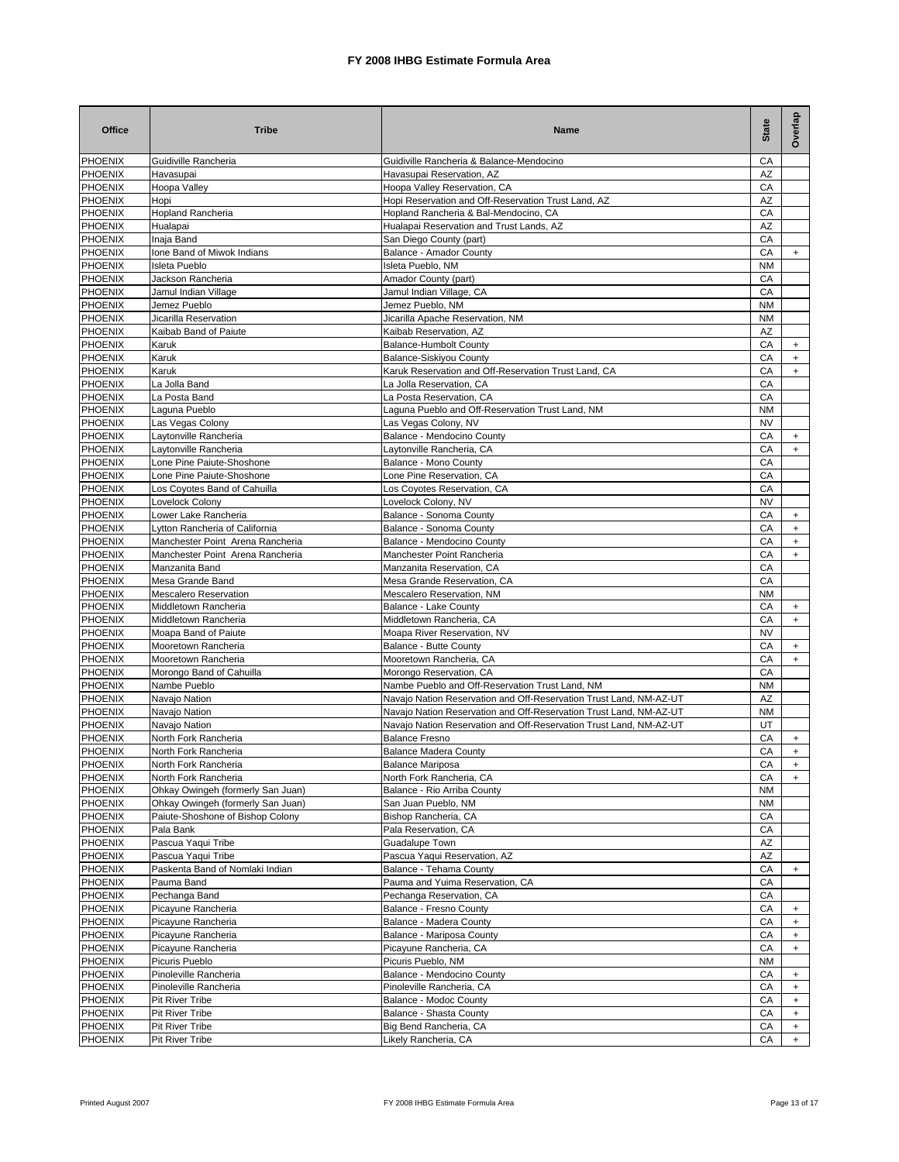| <b>Office</b>                    | <b>Tribe</b>                                              | Name                                                                                         | <b>State</b>    | Overlap          |
|----------------------------------|-----------------------------------------------------------|----------------------------------------------------------------------------------------------|-----------------|------------------|
| <b>PHOENIX</b>                   | Guidiville Rancheria                                      | Guidiville Rancheria & Balance-Mendocino                                                     | CA              |                  |
| <b>PHOENIX</b>                   | Havasupai                                                 | Havasupai Reservation, AZ                                                                    | AZ              |                  |
| PHOENIX                          | Hoopa Valley                                              | Hoopa Valley Reservation, CA                                                                 | CA              |                  |
| PHOENIX<br><b>PHOENIX</b>        | Hopi<br>Hopland Rancheria                                 | Hopi Reservation and Off-Reservation Trust Land, AZ<br>Hopland Rancheria & Bal-Mendocino, CA | ΑZ<br>CA        |                  |
| PHOENIX                          | Hualapai                                                  | Hualapai Reservation and Trust Lands, AZ                                                     | AZ              |                  |
| <b>PHOENIX</b>                   | Inaja Band                                                | San Diego County (part)                                                                      | CA              |                  |
| PHOENIX                          | Ione Band of Miwok Indians                                | Balance - Amador County                                                                      | СA              | $+$              |
| <b>PHOENIX</b>                   | <b>Isleta Pueblo</b>                                      | Isleta Pueblo, NM                                                                            | NM              |                  |
| <b>PHOENIX</b>                   | Jackson Rancheria                                         | Amador County (part)                                                                         | CA              |                  |
| <b>PHOENIX</b>                   | Jamul Indian Village                                      | Jamul Indian Village, CA                                                                     | CA              |                  |
| <b>PHOENIX</b>                   | Jemez Pueblo                                              | Jemez Pueblo, NM                                                                             | <b>NM</b>       |                  |
| <b>PHOENIX</b>                   | Jicarilla Reservation                                     | Jicarilla Apache Reservation, NM                                                             | <b>NM</b>       |                  |
| <b>PHOENIX</b><br><b>PHOENIX</b> | Kaibab Band of Paiute<br>Karuk                            | Kaibab Reservation, AZ<br><b>Balance-Humbolt County</b>                                      | AZ<br>CA        | $+$              |
| <b>PHOENIX</b>                   | Karuk                                                     | Balance-Siskiyou County                                                                      | CA              | $\ddot{}$        |
| <b>PHOENIX</b>                   | Karuk                                                     | Karuk Reservation and Off-Reservation Trust Land, CA                                         | CA              | $\ddot{}$        |
| <b>PHOENIX</b>                   | La Jolla Band                                             | La Jolla Reservation, CA                                                                     | CA              |                  |
| <b>PHOENIX</b>                   | La Posta Band                                             | La Posta Reservation, CA                                                                     | CA              |                  |
| <b>PHOENIX</b>                   | Laguna Pueblo                                             | Laguna Pueblo and Off-Reservation Trust Land, NM                                             | <b>NM</b>       |                  |
| <b>PHOENIX</b>                   | Las Vegas Colony                                          | Las Vegas Colony, NV                                                                         | <b>NV</b>       |                  |
| <b>PHOENIX</b>                   | Lavtonville Rancheria                                     | Balance - Mendocino County                                                                   | CA              | $\ddot{}$        |
| <b>PHOENIX</b>                   | Laytonville Rancheria                                     | Laytonville Rancheria, CA                                                                    | CA              | $\ddot{}$        |
| <b>PHOENIX</b>                   | Lone Pine Paiute-Shoshone                                 | Balance - Mono County                                                                        | CA              |                  |
| <b>PHOENIX</b>                   | Lone Pine Paiute-Shoshone                                 | Lone Pine Reservation, CA                                                                    | CA              |                  |
| <b>PHOENIX</b><br><b>PHOENIX</b> | Los Coyotes Band of Cahuilla<br>Lovelock Colony           | Los Coyotes Reservation, CA<br>Lovelock Colony, NV                                           | CA<br><b>NV</b> |                  |
| <b>PHOENIX</b>                   | Lower Lake Rancheria                                      | Balance - Sonoma County                                                                      | CA              | $\ddot{}$        |
| <b>PHOENIX</b>                   | Lytton Rancheria of California                            | Balance - Sonoma County                                                                      | СA              | $\ddot{}$        |
| <b>PHOENIX</b>                   | Manchester Point Arena Rancheria                          | Balance - Mendocino County                                                                   | СA              | $\ddot{}$        |
| <b>PHOENIX</b>                   | Manchester Point Arena Rancheria                          | Manchester Point Rancheria                                                                   | СA              | $\ddot{}$        |
| <b>PHOENIX</b>                   | Manzanita Band                                            | Manzanita Reservation, CA                                                                    | СA              |                  |
| <b>PHOENIX</b>                   | Mesa Grande Band                                          | Mesa Grande Reservation, CA                                                                  | СA              |                  |
| <b>PHOENIX</b>                   | <b>Mescalero Reservation</b>                              | Mescalero Reservation, NM                                                                    | <b>NM</b>       |                  |
| <b>PHOENIX</b>                   | Middletown Rancheria                                      | Balance - Lake County                                                                        | CA              | $+$              |
| <b>PHOENIX</b><br><b>PHOENIX</b> | Middletown Rancheria                                      | Middletown Rancheria, CA                                                                     | СA<br><b>NV</b> | $+$              |
| <b>PHOENIX</b>                   | Moapa Band of Paiute<br>Mooretown Rancheria               | Moapa River Reservation, NV<br>Balance - Butte County                                        | CA              | $+$              |
| <b>PHOENIX</b>                   | Mooretown Rancheria                                       | Mooretown Rancheria, CA                                                                      | CA              | $+$              |
| <b>PHOENIX</b>                   | Morongo Band of Cahuilla                                  | Morongo Reservation, CA                                                                      | CA              |                  |
| <b>PHOENIX</b>                   | Nambe Pueblo                                              | Nambe Pueblo and Off-Reservation Trust Land, NM                                              | <b>NM</b>       |                  |
| <b>PHOENIX</b>                   | Navajo Nation                                             | Navajo Nation Reservation and Off-Reservation Trust Land, NM-AZ-UT                           | AZ              |                  |
| <b>PHOENIX</b>                   | Navajo Nation                                             | Navajo Nation Reservation and Off-Reservation Trust Land, NM-AZ-UT                           | <b>NM</b>       |                  |
| <b>PHOENIX</b>                   | Navajo Nation                                             | Navajo Nation Reservation and Off-Reservation Trust Land, NM-AZ-UT                           | UT              |                  |
| <b>PHOENIX</b>                   | North Fork Rancheria                                      | <b>Balance Fresno</b>                                                                        | СA              | $+$              |
| PHOENIX                          | North Fork Rancheria                                      | <b>Balance Madera County</b>                                                                 | CA              | $+$              |
| <b>PHOENIX</b><br><b>PHOENIX</b> | North Fork Rancheria                                      | Balance Mariposa<br>North Fork Rancheria, CA                                                 | СA              |                  |
| <b>PHOENIX</b>                   | North Fork Rancheria<br>Ohkay Owingeh (formerly San Juan) | Balance - Rio Arriba County                                                                  | CA<br>NM        | $\ddot{}$        |
| <b>PHOENIX</b>                   | Ohkay Owingeh (formerly San Juan)                         | San Juan Pueblo, NM                                                                          | NM              |                  |
| <b>PHOENIX</b>                   | Paiute-Shoshone of Bishop Colony                          | Bishop Rancheria, CA                                                                         | СA              |                  |
| <b>PHOENIX</b>                   | Pala Bank                                                 | Pala Reservation, CA                                                                         | CA              |                  |
| PHOENIX                          | Pascua Yaqui Tribe                                        | Guadalupe Town                                                                               | AΖ              |                  |
| PHOENIX                          | Pascua Yaqui Tribe                                        | Pascua Yaqui Reservation, AZ                                                                 | AZ              |                  |
| PHOENIX                          | Paskenta Band of Nomlaki Indian                           | Balance - Tehama County                                                                      | СA              | $\ddot{}$        |
| <b>PHOENIX</b>                   | Pauma Band                                                | Pauma and Yuima Reservation, CA                                                              | СA              |                  |
| PHOENIX                          | Pechanga Band                                             | Pechanga Reservation, CA                                                                     | СA              |                  |
| <b>PHOENIX</b>                   | Picayune Rancheria                                        | Balance - Fresno County                                                                      | СA              | $+$              |
| PHOENIX<br>PHOENIX               | Picayune Rancheria<br>Picayune Rancheria                  | Balance - Madera County<br>Balance - Mariposa County                                         | СA<br>СA        | $\ddot{}$<br>$+$ |
| PHOENIX                          | Picayune Rancheria                                        | Picayune Rancheria, CA                                                                       | CA              | $+$              |
| PHOENIX                          | Picuris Pueblo                                            | Picuris Pueblo, NM                                                                           | <b>NM</b>       |                  |
| PHOENIX                          | Pinoleville Rancheria                                     | Balance - Mendocino County                                                                   | CA              | $\ddot{}$        |
| PHOENIX                          | Pinoleville Rancheria                                     | Pinoleville Rancheria, CA                                                                    | CA              | $+$              |
| PHOENIX                          | Pit River Tribe                                           | Balance - Modoc County                                                                       | CA              | $+$              |
| PHOENIX                          | <b>Pit River Tribe</b>                                    | Balance - Shasta County                                                                      | CA              | $+$              |
| PHOENIX                          | <b>Pit River Tribe</b>                                    | Big Bend Rancheria, CA                                                                       | СA              | $\ddot{}$        |
| <b>PHOENIX</b>                   | <b>Pit River Tribe</b>                                    | Likely Rancheria, CA                                                                         | СA              | $+$              |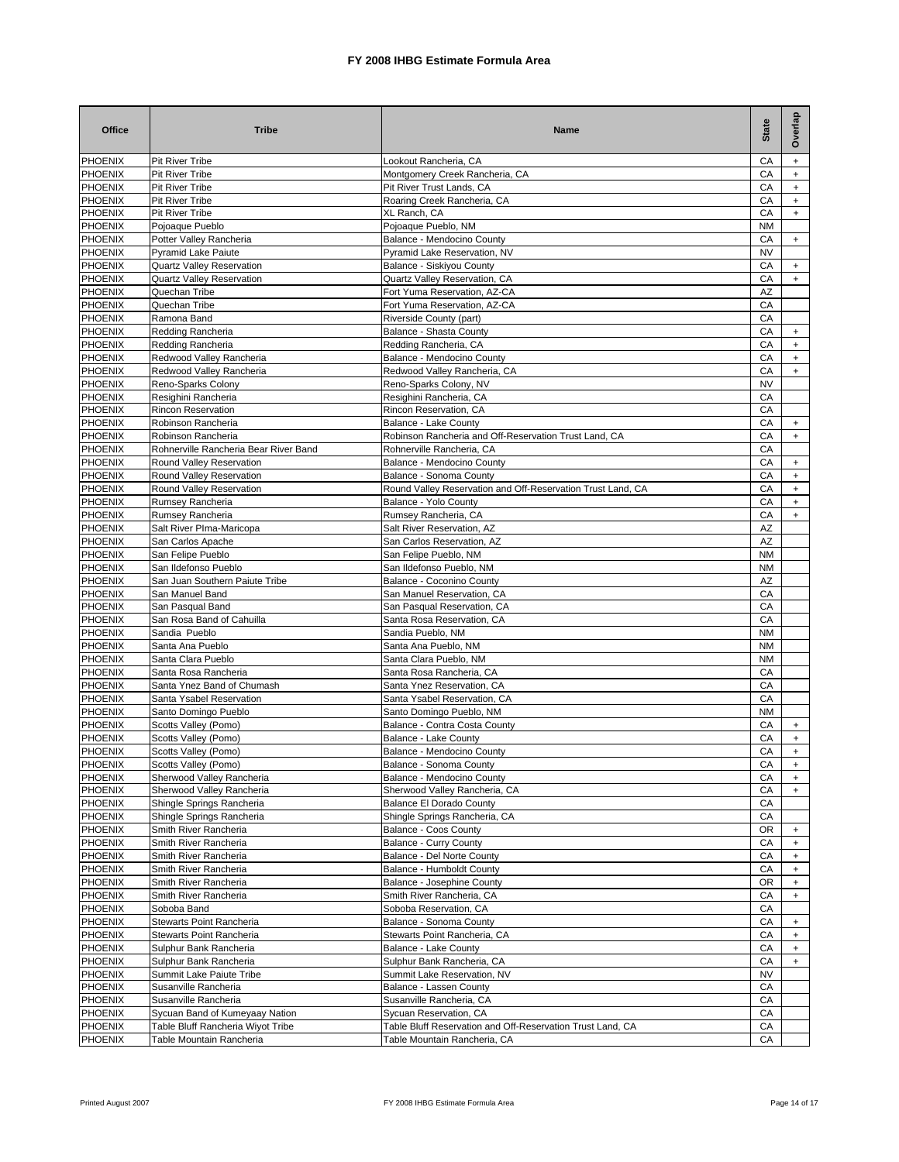| <b>Office</b>                    | <b>Tribe</b>                                                         | Name                                                                               | <b>State</b>    | Overlap          |
|----------------------------------|----------------------------------------------------------------------|------------------------------------------------------------------------------------|-----------------|------------------|
| <b>PHOENIX</b>                   | <b>Pit River Tribe</b>                                               | Lookout Rancheria, CA                                                              | CA              | $+$              |
| <b>PHOENIX</b>                   | Pit River Tribe                                                      | Montgomery Creek Rancheria, CA                                                     | CA              | $+$              |
| <b>PHOENIX</b><br>PHOENIX        | <b>Pit River Tribe</b><br>Pit River Tribe                            | Pit River Trust Lands, CA<br>Roaring Creek Rancheria, CA                           | CA<br>СA        | $+$<br>$\ddot{}$ |
| PHOENIX                          | <b>Pit River Tribe</b>                                               | XL Ranch, CA                                                                       | CA              | $\ddot{}$        |
| PHOENIX                          | Pojoaque Pueblo                                                      | Pojoaque Pueblo, NM                                                                | <b>NM</b>       |                  |
| PHOENIX                          | Potter Valley Rancheria                                              | Balance - Mendocino County                                                         | CA              | $+$              |
| PHOENIX                          | <b>Pyramid Lake Paiute</b>                                           | Pyramid Lake Reservation, NV                                                       | <b>NV</b>       |                  |
| PHOENIX<br>PHOENIX               | <b>Quartz Valley Reservation</b><br><b>Quartz Valley Reservation</b> | Balance - Siskivou Countv<br>Quartz Valley Reservation, CA                         | CA<br>CA        | $+$<br>$+$       |
| <b>PHOENIX</b>                   | Quechan Tribe                                                        | Fort Yuma Reservation, AZ-CA                                                       | AZ              |                  |
| PHOENIX                          | Quechan Tribe                                                        | Fort Yuma Reservation, AZ-CA                                                       | CA              |                  |
| <b>PHOENIX</b>                   | Ramona Band                                                          | Riverside County (part)                                                            | CA              |                  |
| PHOENIX                          | Redding Rancheria                                                    | Balance - Shasta County                                                            | CA              | $\ddot{}$        |
| <b>PHOENIX</b><br><b>PHOENIX</b> | Redding Rancheria<br>Redwood Valley Rancheria                        | Redding Rancheria, CA<br>Balance - Mendocino County                                | CA<br>CA        | $+$<br>$+$       |
| <b>PHOENIX</b>                   | Redwood Valley Rancheria                                             | Redwood Valley Rancheria, CA                                                       | CA              | $+$              |
| <b>PHOENIX</b>                   | Reno-Sparks Colony                                                   | Reno-Sparks Colony, NV                                                             | <b>NV</b>       |                  |
| <b>PHOENIX</b>                   | Resighini Rancheria                                                  | Resighini Rancheria, CA                                                            | CA              |                  |
| <b>PHOENIX</b>                   | <b>Rincon Reservation</b>                                            | Rincon Reservation, CA                                                             | CA              |                  |
| <b>PHOENIX</b>                   | Robinson Rancheria                                                   | Balance - Lake County                                                              | CA              | $\ddot{}$        |
| <b>PHOENIX</b><br><b>PHOENIX</b> | Robinson Rancheria<br>Rohnerville Rancheria Bear River Band          | Robinson Rancheria and Off-Reservation Trust Land, CA<br>Rohnerville Rancheria, CA | CA<br>CA        | $\ddot{}$        |
| <b>PHOENIX</b>                   | Round Valley Reservation                                             | Balance - Mendocino County                                                         | CA              | $\ddot{}$        |
| <b>PHOENIX</b>                   | Round Valley Reservation                                             | Balance - Sonoma County                                                            | CA              | $\ddot{}$        |
| <b>PHOENIX</b>                   | Round Valley Reservation                                             | Round Valley Reservation and Off-Reservation Trust Land, CA                        | CA              | $\ddot{}$        |
| <b>PHOENIX</b>                   | Rumsey Rancheria                                                     | Balance - Yolo County                                                              | CA              | $\ddot{}$        |
| PHOENIX                          | Rumsey Rancheria                                                     | Rumsey Rancheria, CA                                                               | CA              | $\ddot{}$        |
| <b>PHOENIX</b><br><b>PHOENIX</b> | Salt River Plma-Maricopa<br>San Carlos Apache                        | Salt River Reservation, AZ<br>San Carlos Reservation, AZ                           | AZ<br>AZ        |                  |
| <b>PHOENIX</b>                   | San Felipe Pueblo                                                    | San Felipe Pueblo, NM                                                              | <b>NM</b>       |                  |
| <b>PHOENIX</b>                   | San Ildefonso Pueblo                                                 | San Ildefonso Pueblo, NM                                                           | <b>NM</b>       |                  |
| <b>PHOENIX</b>                   | San Juan Southern Paiute Tribe                                       | Balance - Coconino County                                                          | AZ              |                  |
| PHOENIX                          | San Manuel Band                                                      | San Manuel Reservation, CA                                                         | CA              |                  |
| <b>PHOENIX</b>                   | San Pasqual Band                                                     | San Pasqual Reservation, CA                                                        | СA              |                  |
| <b>PHOENIX</b><br><b>PHOENIX</b> | San Rosa Band of Cahuilla<br>Sandia Pueblo                           | Santa Rosa Reservation, CA<br>Sandia Pueblo, NM                                    | CA<br><b>NM</b> |                  |
| <b>PHOENIX</b>                   | Santa Ana Pueblo                                                     | Santa Ana Pueblo, NM                                                               | <b>NM</b>       |                  |
| <b>PHOENIX</b>                   | Santa Clara Pueblo                                                   | Santa Clara Pueblo, NM                                                             | <b>NM</b>       |                  |
| <b>PHOENIX</b>                   | Santa Rosa Rancheria                                                 | Santa Rosa Rancheria, CA                                                           | CA              |                  |
| <b>PHOENIX</b>                   | Santa Ynez Band of Chumash                                           | Santa Ynez Reservation, CA                                                         | СA              |                  |
| <b>PHOENIX</b>                   | Santa Ysabel Reservation                                             | Santa Ysabel Reservation, CA                                                       | CA              |                  |
| <b>PHOENIX</b><br><b>PHOENIX</b> | Santo Domingo Pueblo                                                 | Santo Domingo Pueblo, NM                                                           | <b>NM</b><br>CA |                  |
| <b>PHOENIX</b>                   | Scotts Valley (Pomo)<br>Scotts Valley (Pomo)                         | Balance - Contra Costa County<br>Balance - Lake County                             | СA              | $+$<br>$\ddot{}$ |
| PHOENIX                          | Scotts Valley (Pomo)                                                 | Balance - Mendocino County                                                         | CA              | $+$              |
| <b>PHOENIX</b>                   | Scotts Valley (Pomo)                                                 | Balance - Sonoma County                                                            | CА              |                  |
| <b>PHOENIX</b>                   | Sherwood Valley Rancheria                                            | Balance - Mendocino County                                                         | CA              | $+$              |
| <b>PHOENIX</b>                   | Sherwood Valley Rancheria                                            | Sherwood Valley Rancheria, CA                                                      | СA              | $+$              |
| <b>PHOENIX</b>                   | Shingle Springs Rancheria                                            | <b>Balance El Dorado County</b>                                                    | CA              |                  |
| <b>PHOENIX</b><br><b>PHOENIX</b> | Shingle Springs Rancheria<br>Smith River Rancheria                   | Shingle Springs Rancheria, CA<br>Balance - Coos County                             | СA<br>0R        | $+$              |
| <b>PHOENIX</b>                   | Smith River Rancheria                                                | <b>Balance - Curry County</b>                                                      | СA              | $\ddot{}$        |
| PHOENIX                          | Smith River Rancheria                                                | Balance - Del Norte County                                                         | СA              | $\ddot{}$        |
| <b>PHOENIX</b>                   | Smith River Rancheria                                                | Balance - Humboldt County                                                          | СA              | $\ddot{}$        |
| <b>PHOENIX</b>                   | Smith River Rancheria                                                | Balance - Josephine County                                                         | OR              | $\ddot{}$        |
| <b>PHOENIX</b>                   | Smith River Rancheria                                                | Smith River Rancheria, CA                                                          | СA              | $\ddot{}$        |
| <b>PHOENIX</b><br>PHOENIX        | Soboba Band<br>Stewarts Point Rancheria                              | Soboba Reservation, CA<br>Balance - Sonoma County                                  | СA<br>СA        | $^{+}$           |
| PHOENIX                          | Stewarts Point Rancheria                                             | Stewarts Point Rancheria, CA                                                       | СA              | $+$              |
| PHOENIX                          | Sulphur Bank Rancheria                                               | Balance - Lake County                                                              | СA              | $\ddot{}$        |
| <b>PHOENIX</b>                   | Sulphur Bank Rancheria                                               | Sulphur Bank Rancheria, CA                                                         | СA              | $+$              |
| PHOENIX                          | Summit Lake Paiute Tribe                                             | Summit Lake Reservation, NV                                                        | NV              |                  |
| PHOENIX                          | Susanville Rancheria                                                 | Balance - Lassen County                                                            | СA              |                  |
| PHOENIX<br>PHOENIX               | Susanville Rancheria<br>Sycuan Band of Kumeyaay Nation               | Susanville Rancheria, CA<br>Sycuan Reservation, CA                                 | СA<br>CA        |                  |
| PHOENIX                          | Table Bluff Rancheria Wiyot Tribe                                    | Table Bluff Reservation and Off-Reservation Trust Land, CA                         | СA              |                  |
| PHOENIX                          | Table Mountain Rancheria                                             | Table Mountain Rancheria, CA                                                       | СA              |                  |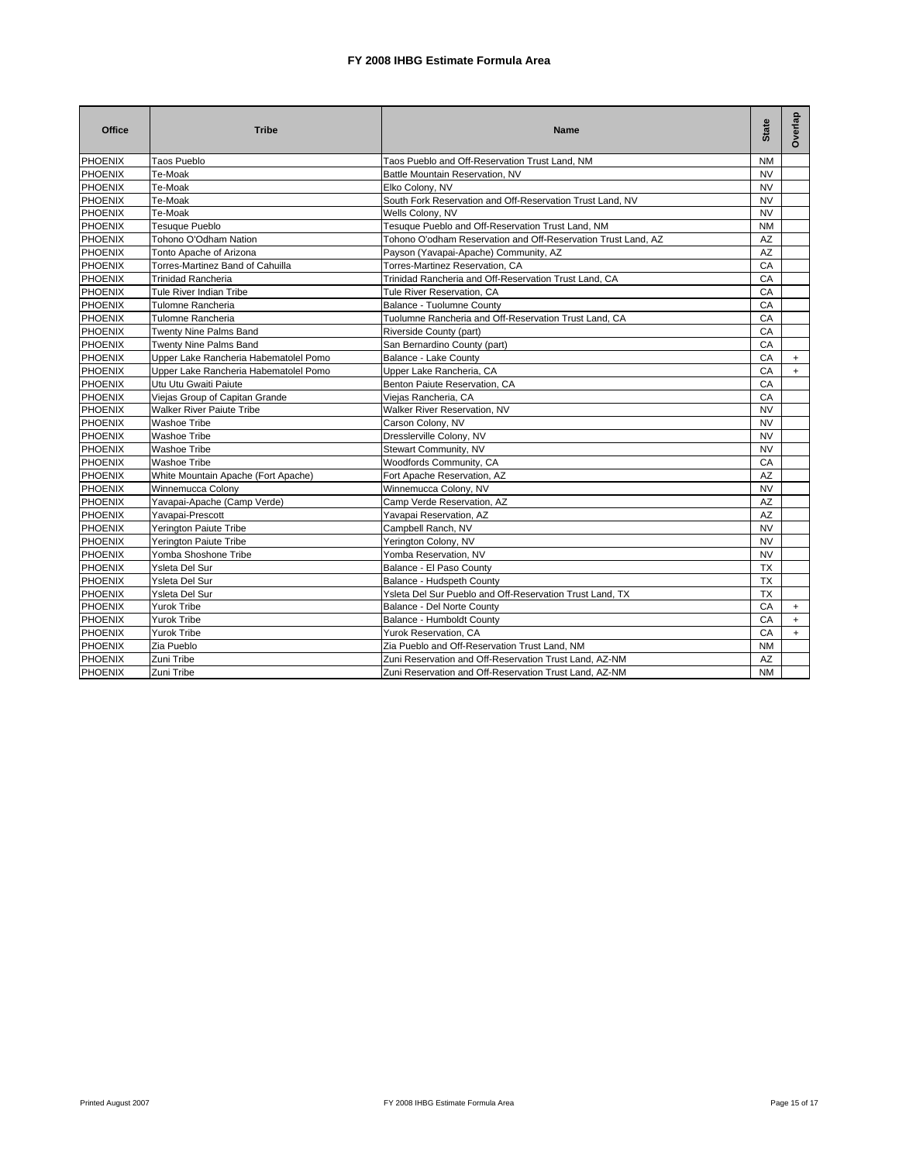| Office         | <b>Tribe</b>                          | <b>Name</b>                                                   | <b>State</b> | Overlap |
|----------------|---------------------------------------|---------------------------------------------------------------|--------------|---------|
| <b>PHOENIX</b> | <b>Taos Pueblo</b>                    | Taos Pueblo and Off-Reservation Trust Land, NM                | <b>NM</b>    |         |
| <b>PHOENIX</b> | Te-Moak                               | Battle Mountain Reservation, NV                               | <b>NV</b>    |         |
| <b>PHOENIX</b> | Te-Moak                               | Elko Colony, NV                                               | <b>NV</b>    |         |
| <b>PHOENIX</b> | Te-Moak                               | South Fork Reservation and Off-Reservation Trust Land, NV     | <b>NV</b>    |         |
| PHOENIX        | Te-Moak                               | Wells Colony, NV                                              | <b>NV</b>    |         |
| <b>PHOENIX</b> | <b>Tesuque Pueblo</b>                 | Tesuque Pueblo and Off-Reservation Trust Land, NM             | <b>NM</b>    |         |
| <b>PHOENIX</b> | Tohono O'Odham Nation                 | Tohono O'odham Reservation and Off-Reservation Trust Land, AZ | AZ           |         |
| <b>PHOENIX</b> | Tonto Apache of Arizona               | Payson (Yavapai-Apache) Community, AZ                         | AZ           |         |
| <b>PHOENIX</b> | Torres-Martinez Band of Cahuilla      | Torres-Martinez Reservation, CA                               | CA           |         |
| <b>PHOENIX</b> | <b>Trinidad Rancheria</b>             | Trinidad Rancheria and Off-Reservation Trust Land, CA         | CA           |         |
| <b>PHOENIX</b> | Tule River Indian Tribe               | Tule River Reservation, CA                                    | CA           |         |
| <b>PHOENIX</b> | Tulomne Rancheria                     | Balance - Tuolumne County                                     | CA           |         |
| <b>PHOENIX</b> | Tulomne Rancheria                     | Tuolumne Rancheria and Off-Reservation Trust Land, CA         | CA           |         |
| <b>PHOENIX</b> | Twenty Nine Palms Band                | Riverside County (part)                                       | CA           |         |
| <b>PHOENIX</b> | Twenty Nine Palms Band                | San Bernardino County (part)                                  | CA           |         |
| <b>PHOENIX</b> | Upper Lake Rancheria Habematolel Pomo | <b>Balance - Lake County</b>                                  | CA           | $+$     |
| <b>PHOENIX</b> | Upper Lake Rancheria Habematolel Pomo | Upper Lake Rancheria, CA                                      | CA           | $+$     |
| <b>PHOENIX</b> | Utu Utu Gwaiti Paiute                 | Benton Paiute Reservation, CA                                 | CA           |         |
| PHOENIX        | Viejas Group of Capitan Grande        | Viejas Rancheria, CA                                          | CA           |         |
| <b>PHOENIX</b> | <b>Walker River Paiute Tribe</b>      | Walker River Reservation, NV                                  | <b>NV</b>    |         |
| <b>PHOENIX</b> | Washoe Tribe                          | Carson Colony, NV                                             | <b>NV</b>    |         |
| <b>PHOENIX</b> | Washoe Tribe                          | Dresslerville Colony, NV                                      | <b>NV</b>    |         |
| PHOENIX        | Washoe Tribe                          | Stewart Community, NV                                         | <b>NV</b>    |         |
| <b>PHOENIX</b> | Washoe Tribe                          | Woodfords Community, CA                                       | CA           |         |
| <b>PHOENIX</b> | White Mountain Apache (Fort Apache)   | Fort Apache Reservation, AZ                                   | AZ           |         |
| PHOENIX        | Winnemucca Colony                     | Winnemucca Colony, NV                                         | <b>NV</b>    |         |
| <b>PHOENIX</b> | Yavapai-Apache (Camp Verde)           | Camp Verde Reservation, AZ                                    | AZ           |         |
| <b>PHOENIX</b> | Yavapai-Prescott                      | Yavapai Reservation, AZ                                       | <b>AZ</b>    |         |
| PHOENIX        | Yerington Paiute Tribe                | Campbell Ranch, NV                                            | <b>NV</b>    |         |
| <b>PHOENIX</b> | Yerington Paiute Tribe                | Yerington Colony, NV                                          | <b>NV</b>    |         |
| <b>PHOENIX</b> | Yomba Shoshone Tribe                  | Yomba Reservation, NV                                         | <b>NV</b>    |         |
| <b>PHOENIX</b> | Ysleta Del Sur                        | Balance - El Paso County                                      | <b>TX</b>    |         |
| PHOENIX        | Ysleta Del Sur                        | Balance - Hudspeth County                                     | <b>TX</b>    |         |
| <b>PHOENIX</b> | Ysleta Del Sur                        | Ysleta Del Sur Pueblo and Off-Reservation Trust Land, TX      | <b>TX</b>    |         |
| PHOENIX        | Yurok Tribe                           | Balance - Del Norte County                                    | CA           | $+$     |
| <b>PHOENIX</b> | Yurok Tribe                           | Balance - Humboldt County                                     | CA           | $+$     |
| PHOENIX        | Yurok Tribe                           | Yurok Reservation, CA                                         | CA           | $+$     |
| <b>PHOENIX</b> | Zia Pueblo                            | Zia Pueblo and Off-Reservation Trust Land, NM                 | <b>NM</b>    |         |
| <b>PHOENIX</b> | Zuni Tribe                            | Zuni Reservation and Off-Reservation Trust Land, AZ-NM        | AZ           |         |
| <b>PHOENIX</b> | Zuni Tribe                            | Zuni Reservation and Off-Reservation Trust Land, AZ-NM        | <b>NM</b>    |         |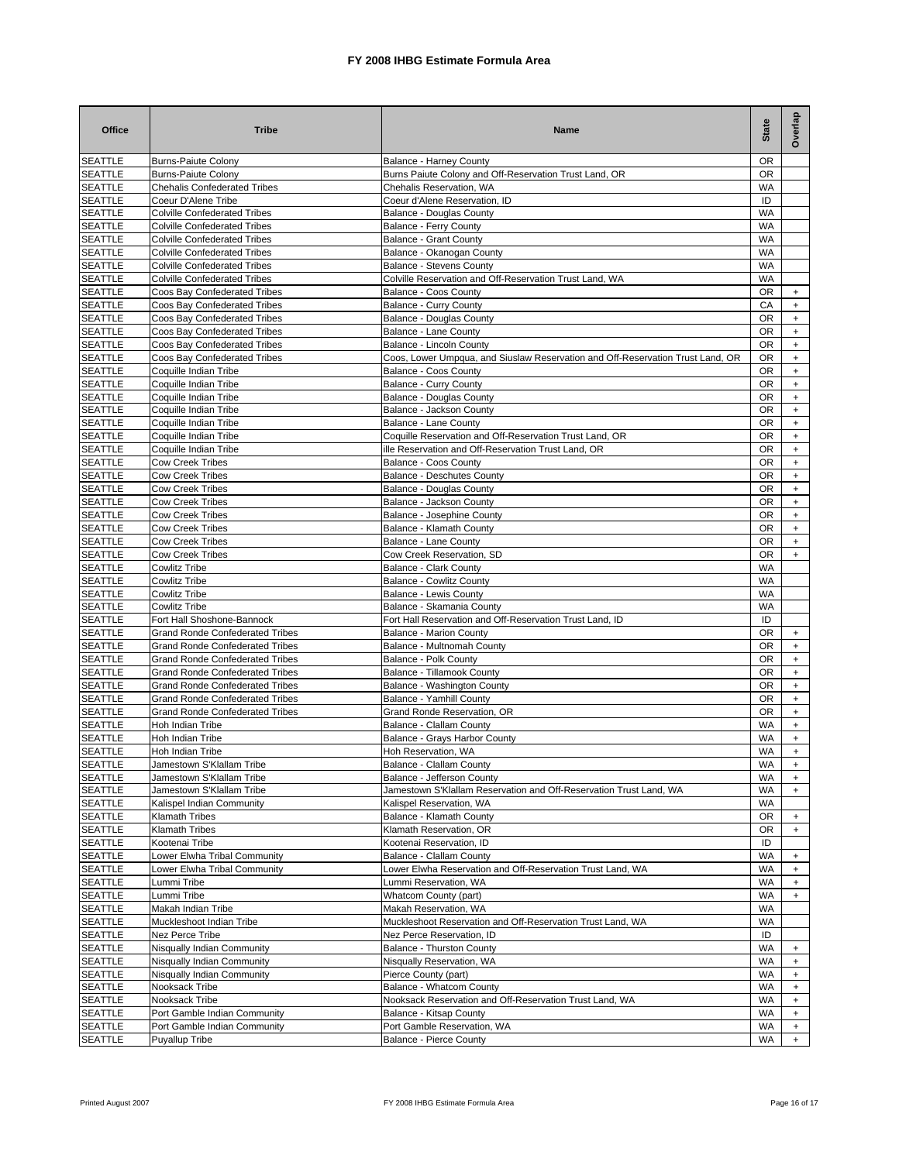| <b>Office</b>                    | <b>Tribe</b>                                                 | Name                                                                                                           | <b>State</b>           | Overlap                                                              |
|----------------------------------|--------------------------------------------------------------|----------------------------------------------------------------------------------------------------------------|------------------------|----------------------------------------------------------------------|
| <b>SEATTLE</b>                   | <b>Burns-Paiute Colony</b>                                   | <b>Balance - Harney County</b>                                                                                 | OR                     |                                                                      |
| <b>SEATTLE</b>                   | <b>Burns-Paiute Colony</b>                                   | Burns Paiute Colony and Off-Reservation Trust Land, OR                                                         | OR                     |                                                                      |
| <b>SEATTLE</b><br><b>SEATTLE</b> | <b>Chehalis Confederated Tribes</b><br>Coeur D'Alene Tribe   | Chehalis Reservation, WA<br>Coeur d'Alene Reservation. ID                                                      | <b>WA</b><br>ID        |                                                                      |
| <b>SEATTLE</b>                   | <b>Colville Confederated Tribes</b>                          | Balance - Douglas County                                                                                       | <b>WA</b>              |                                                                      |
| <b>SEATTLE</b>                   | <b>Colville Confederated Tribes</b>                          | Balance - Ferry County                                                                                         | <b>WA</b>              |                                                                      |
| <b>SEATTLE</b>                   | <b>Colville Confederated Tribes</b>                          | <b>Balance - Grant County</b>                                                                                  | <b>WA</b>              |                                                                      |
| <b>SEATTLE</b>                   | <b>Colville Confederated Tribes</b>                          | Balance - Okanogan County                                                                                      | <b>WA</b>              |                                                                      |
| <b>SEATTLE</b>                   | <b>Colville Confederated Tribes</b>                          | <b>Balance - Stevens County</b>                                                                                | <b>WA</b>              |                                                                      |
| <b>SEATTLE</b>                   | <b>Colville Confederated Tribes</b>                          | Colville Reservation and Off-Reservation Trust Land, WA                                                        | WA                     |                                                                      |
| <b>SEATTLE</b>                   | Coos Bay Confederated Tribes                                 | Balance - Coos County                                                                                          | OR                     | $\ddot{}$                                                            |
| <b>SEATTLE</b><br><b>SEATTLE</b> | Coos Bay Confederated Tribes<br>Coos Bay Confederated Tribes | Balance - Curry County<br><b>Balance - Douglas County</b>                                                      | CA<br>OR               | $\ddot{}$<br>$\ddot{}$                                               |
| <b>SEATTLE</b>                   | Coos Bay Confederated Tribes                                 | Balance - Lane County                                                                                          | OR                     | $\ddot{}$                                                            |
| <b>SEATTLE</b>                   | Coos Bay Confederated Tribes                                 | Balance - Lincoln County                                                                                       | OR                     | $\ddot{}$                                                            |
| <b>SEATTLE</b>                   | Coos Bay Confederated Tribes                                 | Coos, Lower Umpqua, and Siuslaw Reservation and Off-Reservation Trust Land, OR                                 | OR                     | $\begin{array}{c} + \end{array}$                                     |
| <b>SEATTLE</b>                   | Coquille Indian Tribe                                        | Balance - Coos County                                                                                          | <b>OR</b>              | $\begin{array}{c} + \end{array}$                                     |
| <b>SEATTLE</b>                   | Coquille Indian Tribe                                        | Balance - Curry County                                                                                         | OR                     | $\ddot{}$                                                            |
| <b>SEATTLE</b>                   | Coquille Indian Tribe                                        | <b>Balance - Douglas County</b>                                                                                | <b>OR</b>              | $\ddot{}$                                                            |
| <b>SEATTLE</b>                   | Coquille Indian Tribe                                        | Balance - Jackson County                                                                                       | OR                     | $\ddag$                                                              |
| <b>SEATTLE</b>                   | Coquille Indian Tribe                                        | Balance - Lane County                                                                                          | OR                     | $\begin{array}{c} + \end{array}$                                     |
| <b>SEATTLE</b><br><b>SEATTLE</b> | Coquille Indian Tribe<br>Coquille Indian Tribe               | Coquille Reservation and Off-Reservation Trust Land, OR<br>ille Reservation and Off-Reservation Trust Land, OR | OR<br>OR               | $\ddot{}$<br>$\ddot{}$                                               |
| <b>SEATTLE</b>                   | <b>Cow Creek Tribes</b>                                      | Balance - Coos County                                                                                          | OR                     | $\ddot{}$                                                            |
| <b>SEATTLE</b>                   | <b>Cow Creek Tribes</b>                                      | Balance - Deschutes County                                                                                     | OR                     | $\ddot{}$                                                            |
| <b>SEATTLE</b>                   | <b>Cow Creek Tribes</b>                                      | <b>Balance - Douglas County</b>                                                                                | OR                     | $\ddot{}$                                                            |
| <b>SEATTLE</b>                   | <b>Cow Creek Tribes</b>                                      | Balance - Jackson County                                                                                       | OR                     | $\ddot{}$                                                            |
| <b>SEATTLE</b>                   | <b>Cow Creek Tribes</b>                                      | Balance - Josephine County                                                                                     | OR                     | $\ddot{}$                                                            |
| <b>SEATTLE</b>                   | <b>Cow Creek Tribes</b>                                      | Balance - Klamath County                                                                                       | <b>OR</b>              | $\ddot{}$                                                            |
| <b>SEATTLE</b>                   | <b>Cow Creek Tribes</b>                                      | Balance - Lane County                                                                                          | <b>OR</b>              | $+$                                                                  |
| <b>SEATTLE</b>                   | <b>Cow Creek Tribes</b>                                      | Cow Creek Reservation, SD                                                                                      | 0R                     | $\ddot{}$                                                            |
| <b>SEATTLE</b>                   | <b>Cowlitz Tribe</b>                                         | <b>Balance - Clark County</b>                                                                                  | <b>WA</b>              |                                                                      |
| <b>SEATTLE</b><br><b>SEATTLE</b> | <b>Cowlitz Tribe</b><br><b>Cowlitz Tribe</b>                 | <b>Balance - Cowlitz County</b><br>Balance - Lewis County                                                      | <b>WA</b><br><b>WA</b> |                                                                      |
| SEATTLE                          | Cowlitz Tribe                                                | Balance - Skamania County                                                                                      | WA                     |                                                                      |
| <b>SEATTLE</b>                   | Fort Hall Shoshone-Bannock                                   | Fort Hall Reservation and Off-Reservation Trust Land, ID                                                       | ID                     |                                                                      |
| <b>SEATTLE</b>                   | <b>Grand Ronde Confederated Tribes</b>                       | <b>Balance - Marion County</b>                                                                                 | OR                     | $+$                                                                  |
| <b>SEATTLE</b>                   | <b>Grand Ronde Confederated Tribes</b>                       | Balance - Multnomah County                                                                                     | OR                     | $+$                                                                  |
| <b>SEATTLE</b>                   | <b>Grand Ronde Confederated Tribes</b>                       | Balance - Polk County                                                                                          | OR                     | $\ddot{}$                                                            |
| <b>SEATTLE</b>                   | <b>Grand Ronde Confederated Tribes</b>                       | Balance - Tillamook County                                                                                     | OR                     | $+$                                                                  |
| <b>SEATTLE</b>                   | <b>Grand Ronde Confederated Tribes</b>                       | Balance - Washington County                                                                                    | OR                     | $\ddot{}$                                                            |
| <b>SEATTLE</b>                   | <b>Grand Ronde Confederated Tribes</b>                       | Balance - Yamhill County                                                                                       | OR                     | $\begin{array}{c} + \end{array}$                                     |
| <b>SEATTLE</b><br><b>SEATTLE</b> | <b>Grand Ronde Confederated Tribes</b><br>Hoh Indian Tribe   | Grand Ronde Reservation, OR                                                                                    | OR<br><b>WA</b>        | $\ddot{}$                                                            |
| <b>SEATTLE</b>                   | Hoh Indian Tribe                                             | Balance - Clallam County<br>Balance - Grays Harbor County                                                      | WA                     | $\begin{array}{c} + \end{array}$<br>$\begin{array}{c} + \end{array}$ |
| <b>SEATTLE</b>                   | Hoh Indian Tribe                                             | Hoh Reservation, WA                                                                                            | WA                     | $\ddot{}$                                                            |
| <b>SEATTLE</b>                   | Jamestown S'Klallam Tribe                                    | Balance - Clallam County                                                                                       | WA                     |                                                                      |
| <b>SEATTLE</b>                   | Jamestown S'Klallam Tribe                                    | Balance - Jefferson County                                                                                     | WA                     | $\ddot{}$                                                            |
| <b>SEATTLE</b>                   | Jamestown S'Klallam Tribe                                    | Jamestown S'Klallam Reservation and Off-Reservation Trust Land, WA                                             | WA                     | $+$                                                                  |
| <b>SEATTLE</b>                   | Kalispel Indian Community                                    | Kalispel Reservation, WA                                                                                       | WA                     |                                                                      |
| <b>SEATTLE</b>                   | Klamath Tribes                                               | Balance - Klamath County                                                                                       | OR                     | $\ddot{}$                                                            |
| <b>SEATTLE</b>                   | Klamath Tribes                                               | Klamath Reservation, OR                                                                                        | OR                     | $+$                                                                  |
| <b>SEATTLE</b>                   | Kootenai Tribe                                               | Kootenai Reservation, ID                                                                                       | ID<br><b>WA</b>        |                                                                      |
| <b>SEATTLE</b><br><b>SEATTLE</b> | Lower Elwha Tribal Community<br>Lower Elwha Tribal Community | Balance - Clallam County<br>Lower Elwha Reservation and Off-Reservation Trust Land, WA                         | <b>WA</b>              | $+$<br>$\ddot{}$                                                     |
| <b>SEATTLE</b>                   | Lummi Tribe                                                  | Lummi Reservation, WA                                                                                          | WA                     | $+$                                                                  |
| <b>SEATTLE</b>                   | Lummi Tribe                                                  | Whatcom County (part)                                                                                          | <b>WA</b>              | $+$                                                                  |
| <b>SEATTLE</b>                   | Makah Indian Tribe                                           | Makah Reservation, WA                                                                                          | <b>WA</b>              |                                                                      |
| <b>SEATTLE</b>                   | Muckleshoot Indian Tribe                                     | Muckleshoot Reservation and Off-Reservation Trust Land, WA                                                     | <b>WA</b>              |                                                                      |
| <b>SEATTLE</b>                   | Nez Perce Tribe                                              | Nez Perce Reservation, ID                                                                                      | ID                     |                                                                      |
| <b>SEATTLE</b>                   | Nisqually Indian Community                                   | Balance - Thurston County                                                                                      | WA                     | $\ddot{}$                                                            |
| <b>SEATTLE</b>                   | Nisqually Indian Community                                   | Nisqually Reservation, WA                                                                                      | <b>WA</b>              | $\ddot{}$                                                            |
| <b>SEATTLE</b>                   | Nisqually Indian Community<br>Nooksack Tribe                 | Pierce County (part)<br>Balance - Whatcom County                                                               | WA<br>WA               | $\ddot{}$                                                            |
| <b>SEATTLE</b><br><b>SEATTLE</b> | Nooksack Tribe                                               | Nooksack Reservation and Off-Reservation Trust Land, WA                                                        | WA                     | $\ddot{}$<br>$\ddot{}$                                               |
| <b>SEATTLE</b>                   | Port Gamble Indian Community                                 | Balance - Kitsap County                                                                                        | WA                     | $\ddot{}$                                                            |
| <b>SEATTLE</b>                   | Port Gamble Indian Community                                 | Port Gamble Reservation, WA                                                                                    | WA                     | $\ddot{}$                                                            |
| <b>SEATTLE</b>                   | <b>Puyallup Tribe</b>                                        | Balance - Pierce County                                                                                        | WA                     | $+$                                                                  |